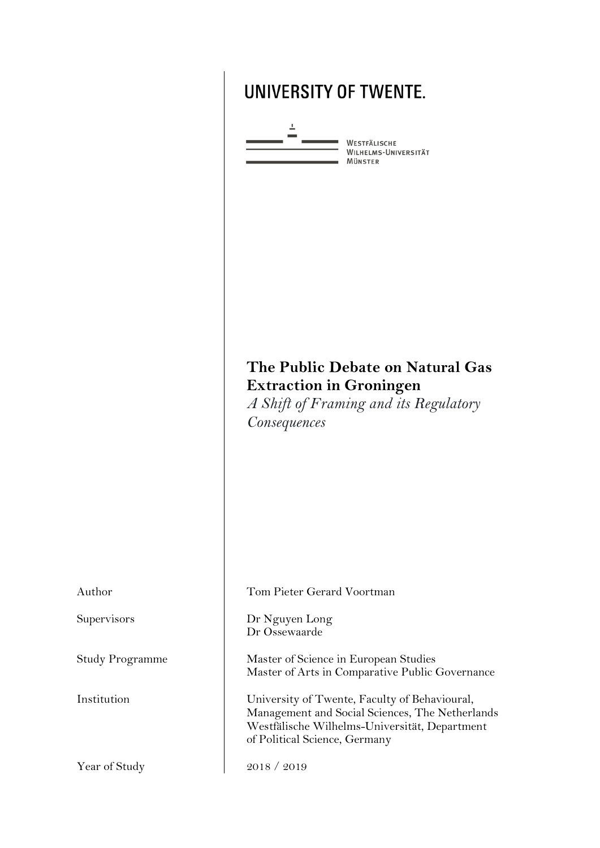# **UNIVERSITY OF TWENTE.**



WESTFÄLISCHE<br>WILHELMS-UNIVERSITÄT MÜNSTER

## **The Public Debate on Natural Gas Extraction in Groningen**

*A Shift of Framing and its Regulatory Consequences*

| Author                 | Tom Pieter Gerard Voortman                                                                                                                                                         |
|------------------------|------------------------------------------------------------------------------------------------------------------------------------------------------------------------------------|
| Supervisors            | Dr Nguyen Long<br>Dr Ossewaarde                                                                                                                                                    |
| <b>Study Programme</b> | Master of Science in European Studies<br>Master of Arts in Comparative Public Governance                                                                                           |
| Institution            | University of Twente, Faculty of Behavioural,<br>Management and Social Sciences, The Netherlands<br>Westfälische Wilhelms-Universität, Department<br>of Political Science, Germany |
| Year of Study          | 2018 / 2019                                                                                                                                                                        |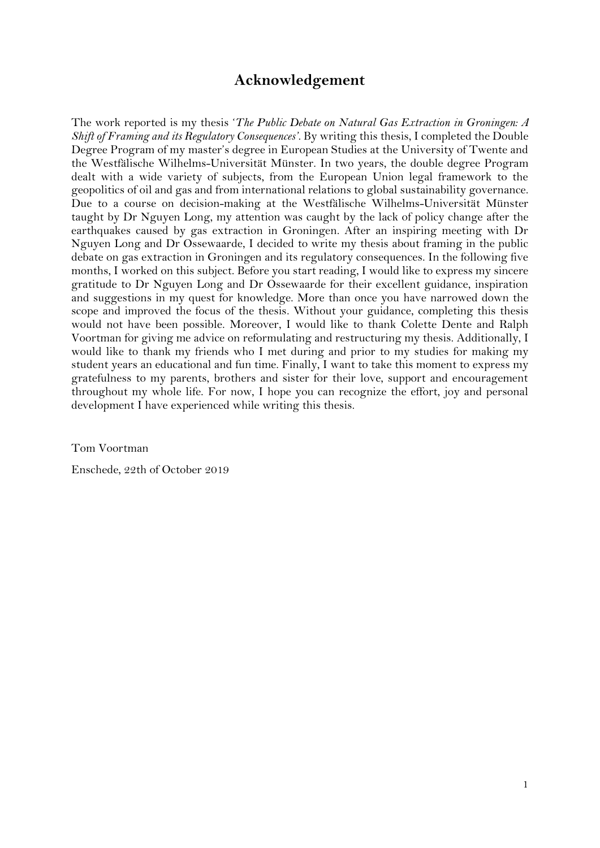## **Acknowledgement**

<span id="page-1-0"></span>The work reported is my thesis '*The Public Debate on Natural Gas Extraction in Groningen: A Shift of Framing and its Regulatory Consequences'*. By writing this thesis, I completed the Double Degree Program of my master's degree in European Studies at the University of Twente and the Westfälische Wilhelms-Universität Münster. In two years, the double degree Program dealt with a wide variety of subjects, from the European Union legal framework to the geopolitics of oil and gas and from international relations to global sustainability governance. Due to a course on decision-making at the Westfälische Wilhelms-Universität Münster taught by Dr Nguyen Long, my attention was caught by the lack of policy change after the earthquakes caused by gas extraction in Groningen. After an inspiring meeting with Dr Nguyen Long and Dr Ossewaarde, I decided to write my thesis about framing in the public debate on gas extraction in Groningen and its regulatory consequences. In the following five months, I worked on this subject. Before you start reading, I would like to express my sincere gratitude to Dr Nguyen Long and Dr Ossewaarde for their excellent guidance, inspiration and suggestions in my quest for knowledge. More than once you have narrowed down the scope and improved the focus of the thesis. Without your guidance, completing this thesis would not have been possible. Moreover, I would like to thank Colette Dente and Ralph Voortman for giving me advice on reformulating and restructuring my thesis. Additionally, I would like to thank my friends who I met during and prior to my studies for making my student years an educational and fun time. Finally, I want to take this moment to express my gratefulness to my parents, brothers and sister for their love, support and encouragement throughout my whole life. For now, I hope you can recognize the effort, joy and personal development I have experienced while writing this thesis.

Tom Voortman

Enschede, 22th of October 2019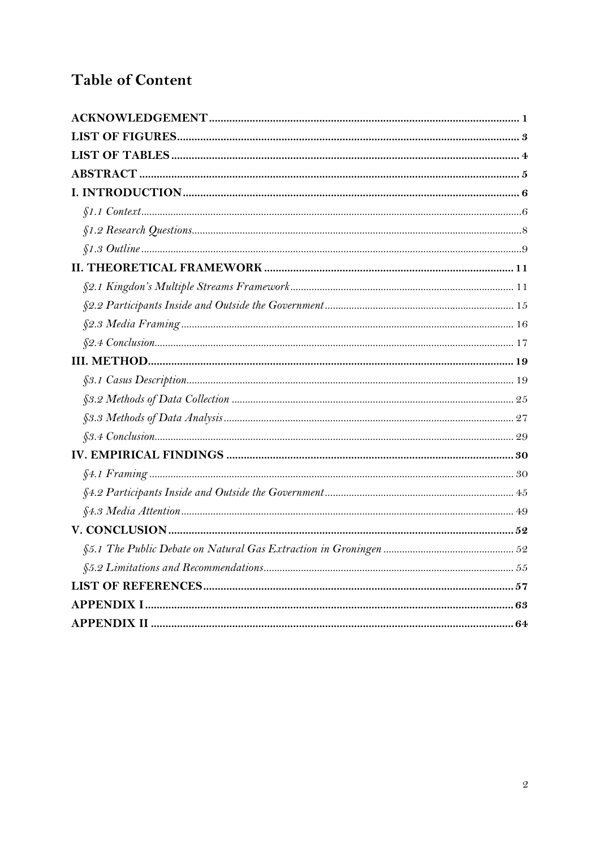## **Table of Content**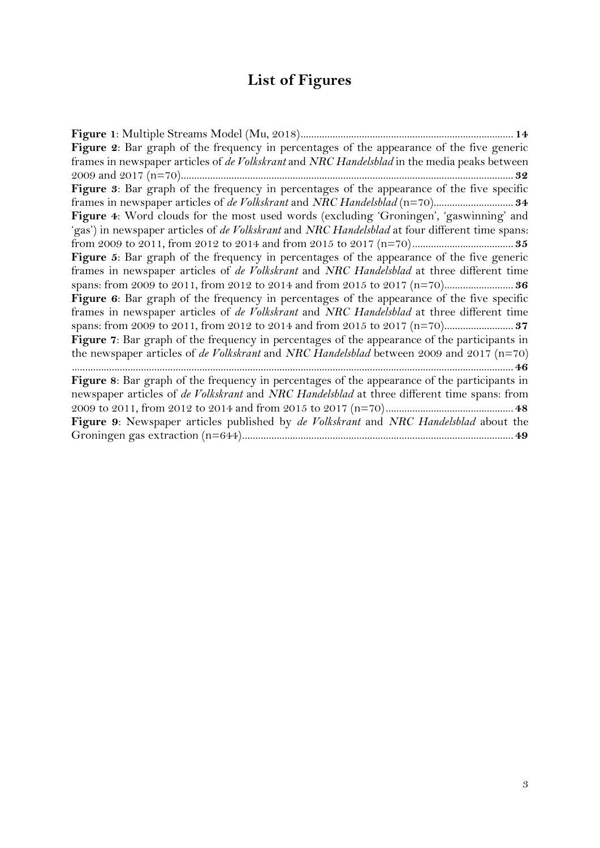# **List of Figures**

<span id="page-3-0"></span>

| Figure 2: Bar graph of the frequency in percentages of the appearance of the five generic                     |
|---------------------------------------------------------------------------------------------------------------|
| frames in newspaper articles of de Volkskrant and NRC Handelsblad in the media peaks between                  |
|                                                                                                               |
| Figure 3: Bar graph of the frequency in percentages of the appearance of the five specific                    |
|                                                                                                               |
| Figure 4: Word clouds for the most used words (excluding 'Groningen', 'gaswinning' and                        |
| 'gas') in newspaper articles of <i>de Volkskrant</i> and <i>NRC Handelsblad</i> at four different time spans: |
|                                                                                                               |
| Figure 5: Bar graph of the frequency in percentages of the appearance of the five generic                     |
| frames in newspaper articles of <i>de Volkskrant</i> and NRC Handelsblad at three different time              |
|                                                                                                               |
| Figure 6: Bar graph of the frequency in percentages of the appearance of the five specific                    |
| frames in newspaper articles of <i>de Volkskrant</i> and NRC Handelsblad at three different time              |
|                                                                                                               |
| Figure 7: Bar graph of the frequency in percentages of the appearance of the participants in                  |
| the newspaper articles of de Volkskrant and NRC Handelsblad between 2009 and 2017 ( $n=70$ )                  |
|                                                                                                               |
| Figure 8: Bar graph of the frequency in percentages of the appearance of the participants in                  |
| newspaper articles of <i>de Volkskrant</i> and NRC Handelsblad at three different time spans: from            |
|                                                                                                               |
| Figure 9: Newspaper articles published by de Volkskrant and NRC Handelsblad about the                         |
|                                                                                                               |
|                                                                                                               |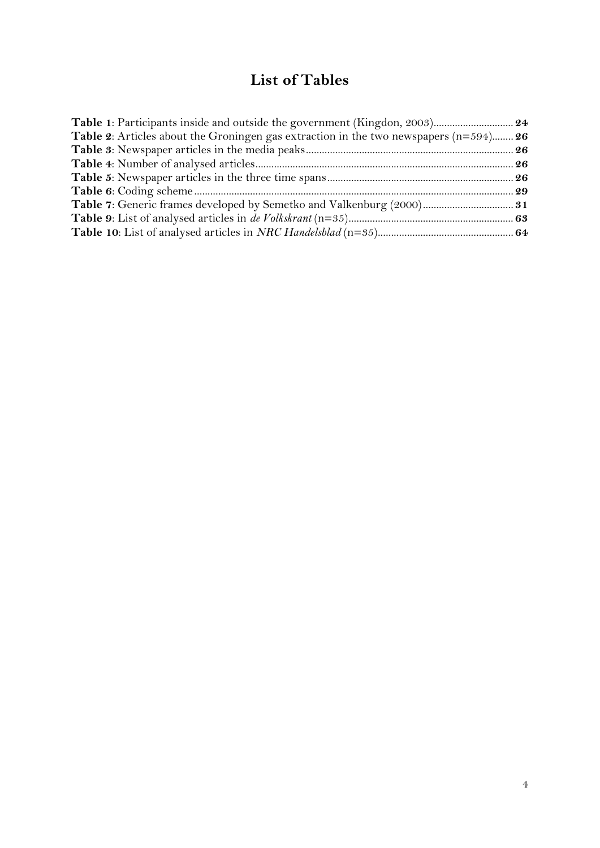## **List of Tables**

<span id="page-4-0"></span>

| Table 1: Participants inside and outside the government (Kingdon, 2003) 24                     |  |
|------------------------------------------------------------------------------------------------|--|
| <b>Table 2:</b> Articles about the Groningen gas extraction in the two newspapers $(n=594)$ 26 |  |
|                                                                                                |  |
|                                                                                                |  |
|                                                                                                |  |
|                                                                                                |  |
|                                                                                                |  |
|                                                                                                |  |
|                                                                                                |  |
|                                                                                                |  |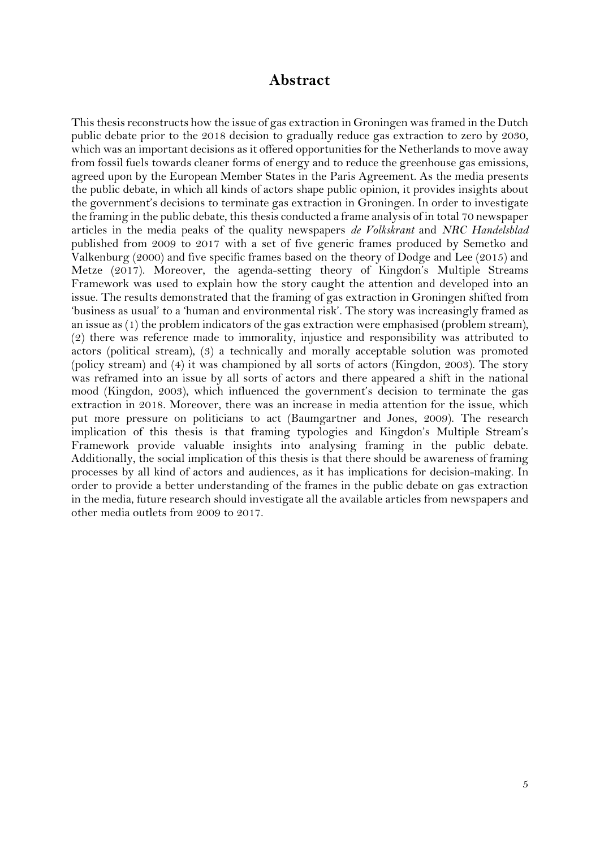#### **Abstract**

<span id="page-5-0"></span>This thesis reconstructs how the issue of gas extraction in Groningen was framed in the Dutch public debate prior to the 2018 decision to gradually reduce gas extraction to zero by 2030, which was an important decisions as it offered opportunities for the Netherlands to move away from fossil fuels towards cleaner forms of energy and to reduce the greenhouse gas emissions, agreed upon by the European Member States in the Paris Agreement. As the media presents the public debate, in which all kinds of actors shape public opinion, it provides insights about the government's decisions to terminate gas extraction in Groningen. In order to investigate the framing in the public debate, this thesis conducted a frame analysis of in total 70 newspaper articles in the media peaks of the quality newspapers *de Volkskrant* and *NRC Handelsblad* published from 2009 to 2017 with a set of five generic frames produced by Semetko and Valkenburg (2000) and five specific frames based on the theory of Dodge and Lee (2015) and Metze (2017). Moreover, the agenda-setting theory of Kingdon's Multiple Streams Framework was used to explain how the story caught the attention and developed into an issue. The results demonstrated that the framing of gas extraction in Groningen shifted from 'business as usual' to a 'human and environmental risk'. The story was increasingly framed as an issue as (1) the problem indicators of the gas extraction were emphasised (problem stream), (2) there was reference made to immorality, injustice and responsibility was attributed to actors (political stream), (3) a technically and morally acceptable solution was promoted (policy stream) and (4) it was championed by all sorts of actors (Kingdon, 2003). The story was reframed into an issue by all sorts of actors and there appeared a shift in the national mood (Kingdon, 2003), which influenced the government's decision to terminate the gas extraction in 2018. Moreover, there was an increase in media attention for the issue, which put more pressure on politicians to act (Baumgartner and Jones, 2009). The research implication of this thesis is that framing typologies and Kingdon's Multiple Stream's Framework provide valuable insights into analysing framing in the public debate. Additionally, the social implication of this thesis is that there should be awareness of framing processes by all kind of actors and audiences, as it has implications for decision-making. In order to provide a better understanding of the frames in the public debate on gas extraction in the media, future research should investigate all the available articles from newspapers and other media outlets from 2009 to 2017.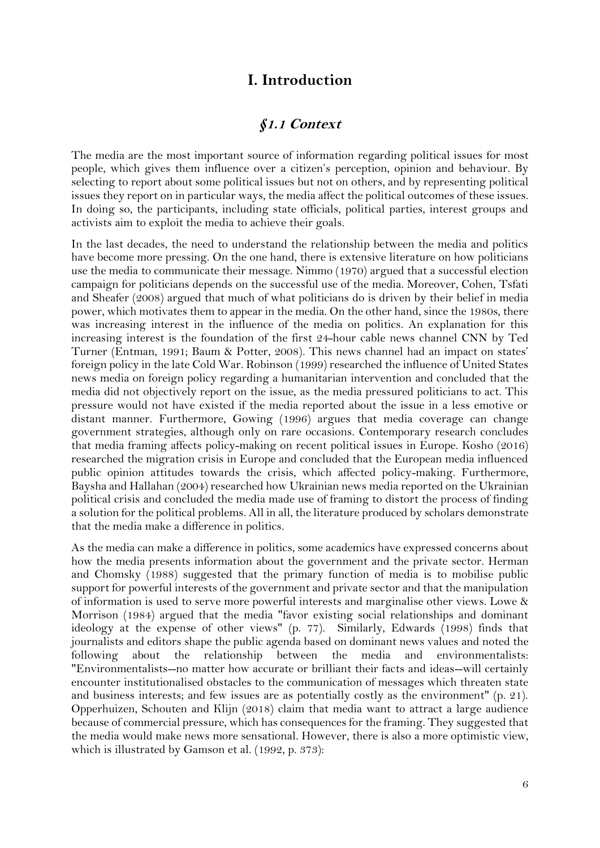## **I. Introduction**

#### **§1.1 Context**

<span id="page-6-1"></span><span id="page-6-0"></span>The media are the most important source of information regarding political issues for most people, which gives them influence over a citizen's perception, opinion and behaviour. By selecting to report about some political issues but not on others, and by representing political issues they report on in particular ways, the media affect the political outcomes of these issues. In doing so, the participants, including state officials, political parties, interest groups and activists aim to exploit the media to achieve their goals.

In the last decades, the need to understand the relationship between the media and politics have become more pressing. On the one hand, there is extensive literature on how politicians use the media to communicate their message. Nimmo (1970) argued that a successful election campaign for politicians depends on the successful use of the media. Moreover, Cohen, Tsfati and Sheafer (2008) argued that much of what politicians do is driven by their belief in media power, which motivates them to appear in the media. On the other hand, since the 1980s, there was increasing interest in the influence of the media on politics. An explanation for this increasing interest is the foundation of the first 24-hour cable news channel CNN by Ted Turner (Entman, 1991; Baum & Potter, 2008). This news channel had an impact on states' foreign policy in the late Cold War. Robinson (1999) researched the influence of United States news media on foreign policy regarding a humanitarian intervention and concluded that the media did not objectively report on the issue, as the media pressured politicians to act. This pressure would not have existed if the media reported about the issue in a less emotive or distant manner. Furthermore, Gowing (1996) argues that media coverage can change government strategies, although only on rare occasions. Contemporary research concludes that media framing affects policy-making on recent political issues in Europe. Kosho (2016) researched the migration crisis in Europe and concluded that the European media influenced public opinion attitudes towards the crisis, which affected policy-making. Furthermore, Baysha and Hallahan (2004) researched how Ukrainian news media reported on the Ukrainian political crisis and concluded the media made use of framing to distort the process of finding a solution for the political problems. All in all, the literature produced by scholars demonstrate that the media make a difference in politics.

As the media can make a difference in politics, some academics have expressed concerns about how the media presents information about the government and the private sector. Herman and Chomsky (1988) suggested that the primary function of media is to mobilise public support for powerful interests of the government and private sector and that the manipulation of information is used to serve more powerful interests and marginalise other views. Lowe & Morrison (1984) argued that the media "favor existing social relationships and dominant ideology at the expense of other views" (p. 77). Similarly, Edwards (1998) finds that journalists and editors shape the public agenda based on dominant news values and noted the following about the relationship between the media and environmentalists: "Environmentalists--no matter how accurate or brilliant their facts and ideas--will certainly encounter institutionalised obstacles to the communication of messages which threaten state and business interests; and few issues are as potentially costly as the environment" (p. 21). Opperhuizen, Schouten and Klijn (2018) claim that media want to attract a large audience because of commercial pressure, which has consequences for the framing. They suggested that the media would make news more sensational. However, there is also a more optimistic view, which is illustrated by Gamson et al. (1992, p. 373):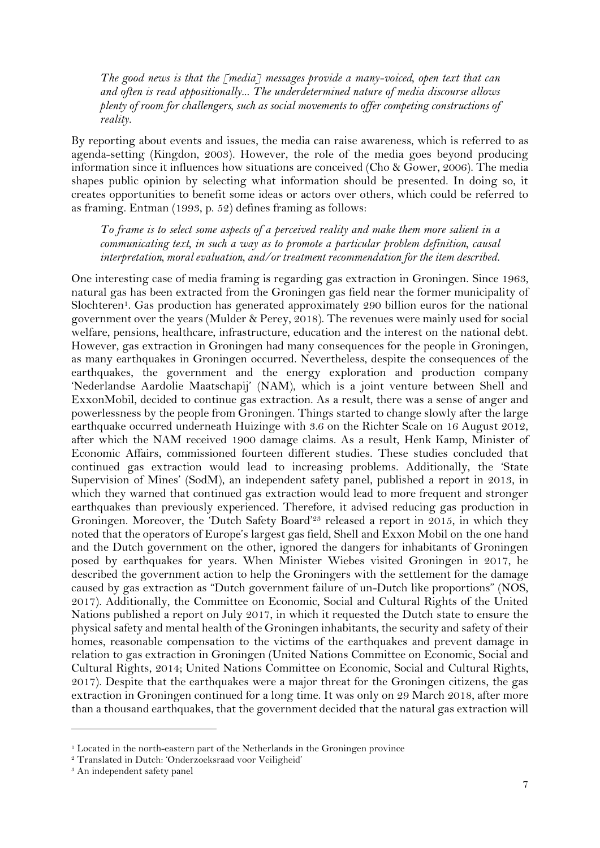*The good news is that the [media] messages provide a many-voiced, open text that can and often is read appositionally... The underdetermined nature of media discourse allows plenty of room for challengers, such as social movements to offer competing constructions of reality.*

By reporting about events and issues, the media can raise awareness, which is referred to as agenda-setting (Kingdon, 2003). However, the role of the media goes beyond producing information since it influences how situations are conceived (Cho & Gower, 2006). The media shapes public opinion by selecting what information should be presented. In doing so, it creates opportunities to benefit some ideas or actors over others, which could be referred to as framing. Entman (1993, p. 52) defines framing as follows:

*To frame is to select some aspects of a perceived reality and make them more salient in a communicating text, in such a way as to promote a particular problem definition, causal interpretation, moral evaluation, and/or treatment recommendation for the item described.*

One interesting case of media framing is regarding gas extraction in Groningen. Since 1963, natural gas has been extracted from the Groningen gas field near the former municipality of Slochteren<sup>1</sup>. Gas production has generated approximately 290 billion euros for the national government over the years (Mulder & Perey, 2018). The revenues were mainly used for social welfare, pensions, healthcare, infrastructure, education and the interest on the national debt. However, gas extraction in Groningen had many consequences for the people in Groningen, as many earthquakes in Groningen occurred. Nevertheless, despite the consequences of the earthquakes, the government and the energy exploration and production company 'Nederlandse Aardolie Maatschapij' (NAM), which is a joint venture between Shell and ExxonMobil, decided to continue gas extraction. As a result, there was a sense of anger and powerlessness by the people from Groningen. Things started to change slowly after the large earthquake occurred underneath Huizinge with 3.6 on the Richter Scale on 16 August 2012, after which the NAM received 1900 damage claims. As a result, Henk Kamp, Minister of Economic Affairs, commissioned fourteen different studies. These studies concluded that continued gas extraction would lead to increasing problems. Additionally, the 'State Supervision of Mines' (SodM), an independent safety panel, published a report in 2013, in which they warned that continued gas extraction would lead to more frequent and stronger earthquakes than previously experienced. Therefore, it advised reducing gas production in Groningen. Moreover, the 'Dutch Safety Board'<sup>23</sup> released a report in 2015, in which they noted that the operators of Europe's largest gas field, Shell and Exxon Mobil on the one hand and the Dutch government on the other, ignored the dangers for inhabitants of Groningen posed by earthquakes for years. When Minister Wiebes visited Groningen in 2017, he described the government action to help the Groningers with the settlement for the damage caused by gas extraction as "Dutch government failure of un-Dutch like proportions" (NOS, 2017). Additionally, the Committee on Economic, Social and Cultural Rights of the United Nations published a report on July 2017, in which it requested the Dutch state to ensure the physical safety and mental health of the Groningen inhabitants, the security and safety of their homes, reasonable compensation to the victims of the earthquakes and prevent damage in relation to gas extraction in Groningen (United Nations Committee on Economic, Social and Cultural Rights, 2014; United Nations Committee on Economic, Social and Cultural Rights, 2017). Despite that the earthquakes were a major threat for the Groningen citizens, the gas extraction in Groningen continued for a long time. It was only on 29 March 2018, after more than a thousand earthquakes, that the government decided that the natural gas extraction will

<sup>&</sup>lt;sup>1</sup> Located in the north-eastern part of the Netherlands in the Groningen province

<sup>2</sup> Translated in Dutch: 'Onderzoeksraad voor Veiligheid'

<sup>&</sup>lt;sup>3</sup> An independent safety panel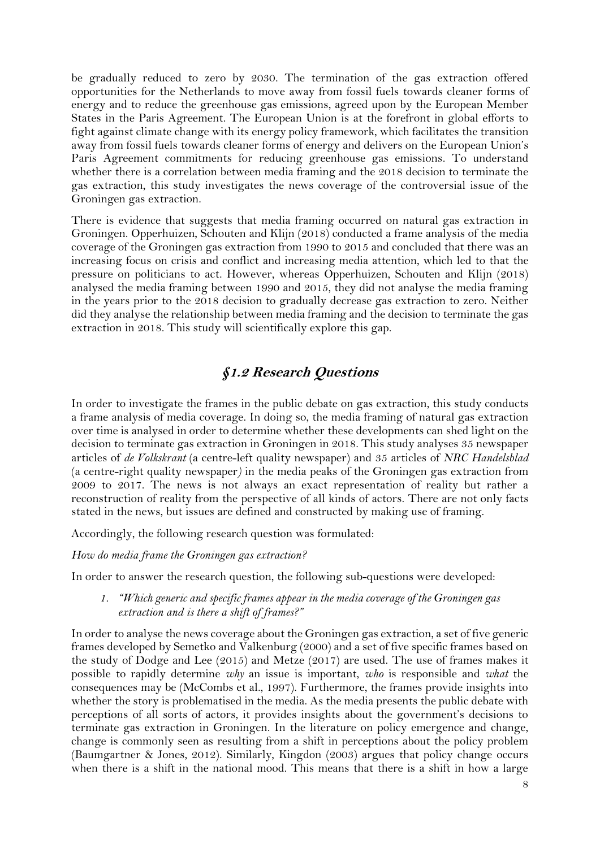be gradually reduced to zero by 2030. The termination of the gas extraction offered opportunities for the Netherlands to move away from fossil fuels towards cleaner forms of energy and to reduce the greenhouse gas emissions, agreed upon by the European Member States in the Paris Agreement. The European Union is at the forefront in global efforts to fight against climate change with its energy policy framework, which facilitates the transition away from fossil fuels towards cleaner forms of energy and delivers on the European Union's Paris Agreement commitments for reducing greenhouse gas emissions. To understand whether there is a correlation between media framing and the 2018 decision to terminate the gas extraction, this study investigates the news coverage of the controversial issue of the Groningen gas extraction.

There is evidence that suggests that media framing occurred on natural gas extraction in Groningen. Opperhuizen, Schouten and Klijn (2018) conducted a frame analysis of the media coverage of the Groningen gas extraction from 1990 to 2015 and concluded that there was an increasing focus on crisis and conflict and increasing media attention, which led to that the pressure on politicians to act. However, whereas Opperhuizen, Schouten and Klijn (2018) analysed the media framing between 1990 and 2015, they did not analyse the media framing in the years prior to the 2018 decision to gradually decrease gas extraction to zero. Neither did they analyse the relationship between media framing and the decision to terminate the gas extraction in 2018. This study will scientifically explore this gap.

## **§1.2 Research Questions**

<span id="page-8-0"></span>In order to investigate the frames in the public debate on gas extraction, this study conducts a frame analysis of media coverage. In doing so, the media framing of natural gas extraction over time is analysed in order to determine whether these developments can shed light on the decision to terminate gas extraction in Groningen in 2018. This study analyses 35 newspaper articles of *de Volkskrant* (a centre-left quality newspaper) and 35 articles of *NRC Handelsblad* (a centre-right quality newspaper*)* in the media peaks of the Groningen gas extraction from 2009 to 2017. The news is not always an exact representation of reality but rather a reconstruction of reality from the perspective of all kinds of actors. There are not only facts stated in the news, but issues are defined and constructed by making use of framing.

Accordingly, the following research question was formulated:

*How do media frame the Groningen gas extraction?*

In order to answer the research question, the following sub-questions were developed:

#### *1. "Which generic and specific frames appear in the media coverage of the Groningen gas extraction and is there a shift of frames?"*

In order to analyse the news coverage about the Groningen gas extraction, a set of five generic frames developed by Semetko and Valkenburg (2000) and a set of five specific frames based on the study of Dodge and Lee (2015) and Metze (2017) are used. The use of frames makes it possible to rapidly determine *why* an issue is important, *who* is responsible and *what* the consequences may be (McCombs et al., 1997). Furthermore, the frames provide insights into whether the story is problematised in the media. As the media presents the public debate with perceptions of all sorts of actors, it provides insights about the government's decisions to terminate gas extraction in Groningen. In the literature on policy emergence and change, change is commonly seen as resulting from a shift in perceptions about the policy problem (Baumgartner & Jones, 2012). Similarly, Kingdon (2003) argues that policy change occurs when there is a shift in the national mood. This means that there is a shift in how a large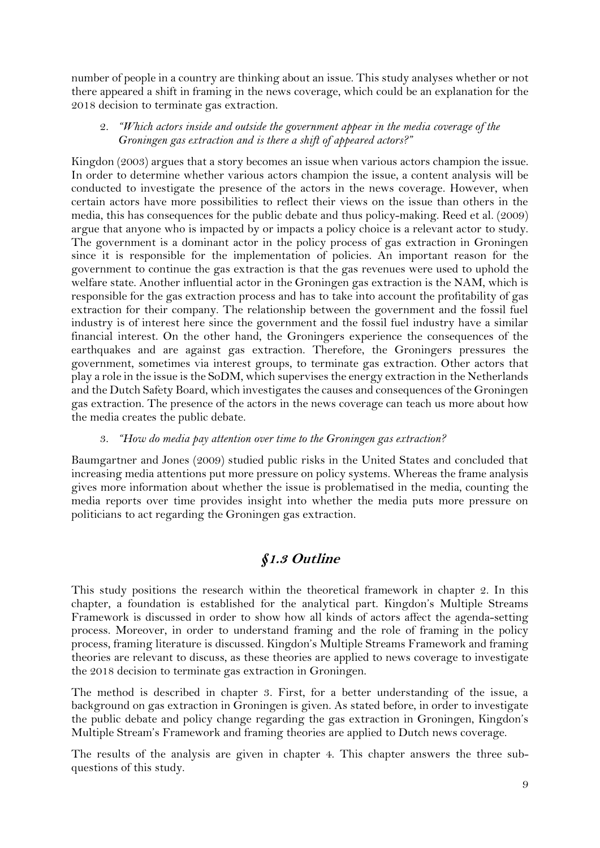number of people in a country are thinking about an issue. This study analyses whether or not there appeared a shift in framing in the news coverage, which could be an explanation for the 2018 decision to terminate gas extraction.

2. *"Which actors inside and outside the government appear in the media coverage of the Groningen gas extraction and is there a shift of appeared actors?"*

Kingdon (2003) argues that a story becomes an issue when various actors champion the issue. In order to determine whether various actors champion the issue, a content analysis will be conducted to investigate the presence of the actors in the news coverage. However, when certain actors have more possibilities to reflect their views on the issue than others in the media, this has consequences for the public debate and thus policy-making. Reed et al. (2009) argue that anyone who is impacted by or impacts a policy choice is a relevant actor to study. The government is a dominant actor in the policy process of gas extraction in Groningen since it is responsible for the implementation of policies. An important reason for the government to continue the gas extraction is that the gas revenues were used to uphold the welfare state. Another influential actor in the Groningen gas extraction is the NAM, which is responsible for the gas extraction process and has to take into account the profitability of gas extraction for their company. The relationship between the government and the fossil fuel industry is of interest here since the government and the fossil fuel industry have a similar financial interest. On the other hand, the Groningers experience the consequences of the earthquakes and are against gas extraction. Therefore, the Groningers pressures the government, sometimes via interest groups, to terminate gas extraction. Other actors that play a role in the issue is the SoDM, which supervises the energy extraction in the Netherlands and the Dutch Safety Board, which investigates the causes and consequences of the Groningen gas extraction. The presence of the actors in the news coverage can teach us more about how the media creates the public debate.

#### 3. *"How do media pay attention over time to the Groningen gas extraction?*

Baumgartner and Jones (2009) studied public risks in the United States and concluded that increasing media attentions put more pressure on policy systems. Whereas the frame analysis gives more information about whether the issue is problematised in the media, counting the media reports over time provides insight into whether the media puts more pressure on politicians to act regarding the Groningen gas extraction.

## **§1.3 Outline**

<span id="page-9-0"></span>This study positions the research within the theoretical framework in chapter 2. In this chapter, a foundation is established for the analytical part. Kingdon's Multiple Streams Framework is discussed in order to show how all kinds of actors affect the agenda-setting process. Moreover, in order to understand framing and the role of framing in the policy process, framing literature is discussed. Kingdon's Multiple Streams Framework and framing theories are relevant to discuss, as these theories are applied to news coverage to investigate the 2018 decision to terminate gas extraction in Groningen.

The method is described in chapter 3. First, for a better understanding of the issue, a background on gas extraction in Groningen is given. As stated before, in order to investigate the public debate and policy change regarding the gas extraction in Groningen, Kingdon's Multiple Stream's Framework and framing theories are applied to Dutch news coverage.

The results of the analysis are given in chapter 4. This chapter answers the three subquestions of this study.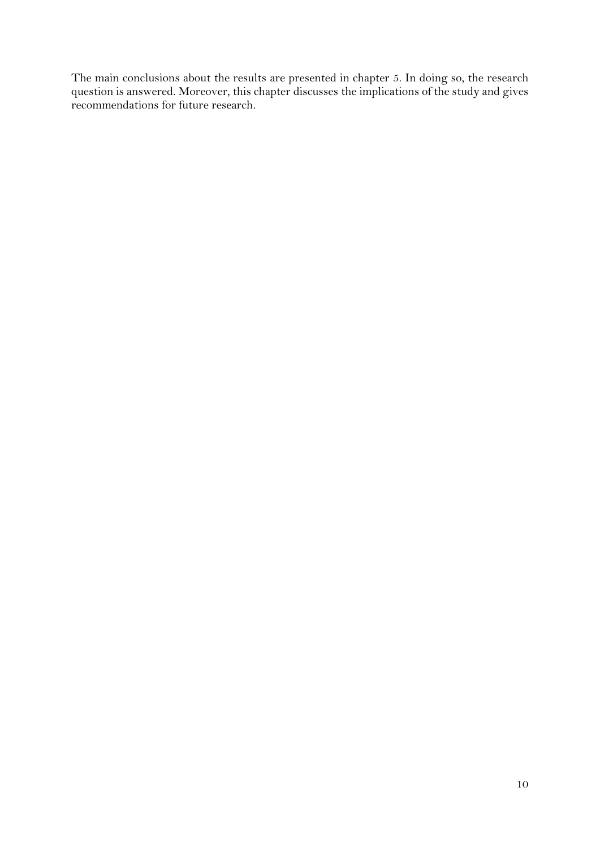The main conclusions about the results are presented in chapter 5. In doing so, the research question is answered. Moreover, this chapter discusses the implications of the study and gives recommendations for future research.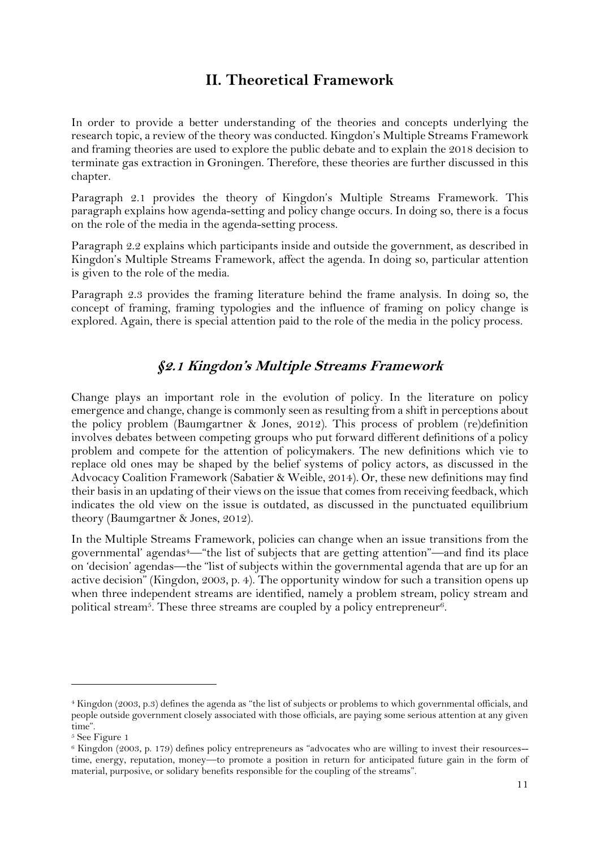## **II. Theoretical Framework**

<span id="page-11-0"></span>In order to provide a better understanding of the theories and concepts underlying the research topic, a review of the theory was conducted. Kingdon's Multiple Streams Framework and framing theories are used to explore the public debate and to explain the 2018 decision to terminate gas extraction in Groningen. Therefore, these theories are further discussed in this chapter.

Paragraph 2.1 provides the theory of Kingdon's Multiple Streams Framework. This paragraph explains how agenda-setting and policy change occurs. In doing so, there is a focus on the role of the media in the agenda-setting process.

Paragraph 2.2 explains which participants inside and outside the government, as described in Kingdon's Multiple Streams Framework, affect the agenda. In doing so, particular attention is given to the role of the media.

Paragraph 2.3 provides the framing literature behind the frame analysis. In doing so, the concept of framing, framing typologies and the influence of framing on policy change is explored. Again, there is special attention paid to the role of the media in the policy process.

## **§2.1 Kingdon's Multiple Streams Framework**

<span id="page-11-1"></span>Change plays an important role in the evolution of policy. In the literature on policy emergence and change, change is commonly seen as resulting from a shift in perceptions about the policy problem (Baumgartner & Jones, 2012). This process of problem (re)definition involves debates between competing groups who put forward different definitions of a policy problem and compete for the attention of policymakers. The new definitions which vie to replace old ones may be shaped by the belief systems of policy actors, as discussed in the Advocacy Coalition Framework (Sabatier & Weible, 2014). Or, these new definitions may find their basis in an updating of their views on the issue that comes from receiving feedback, which indicates the old view on the issue is outdated, as discussed in the punctuated equilibrium theory (Baumgartner & Jones, 2012).

In the Multiple Streams Framework, policies can change when an issue transitions from the governmental' agendas4—"the list of subjects that are getting attention"—and find its place on 'decision' agendas—the "list of subjects within the governmental agenda that are up for an active decision" (Kingdon, 2003, p. 4). The opportunity window for such a transition opens up when three independent streams are identified, namely a problem stream, policy stream and political stream5. These three streams are coupled by a policy entrepreneur6.

<sup>4</sup> Kingdon (2003, p.3) defines the agenda as "the list of subjects or problems to which governmental officials, and people outside government closely associated with those officials, are paying some serious attention at any given time".

<sup>5</sup> See Figure 1

<sup>6</sup> Kingdon (2003, p. 179) defines policy entrepreneurs as "advocates who are willing to invest their resources- time, energy, reputation, money—to promote a position in return for anticipated future gain in the form of material, purposive, or solidary benefits responsible for the coupling of the streams".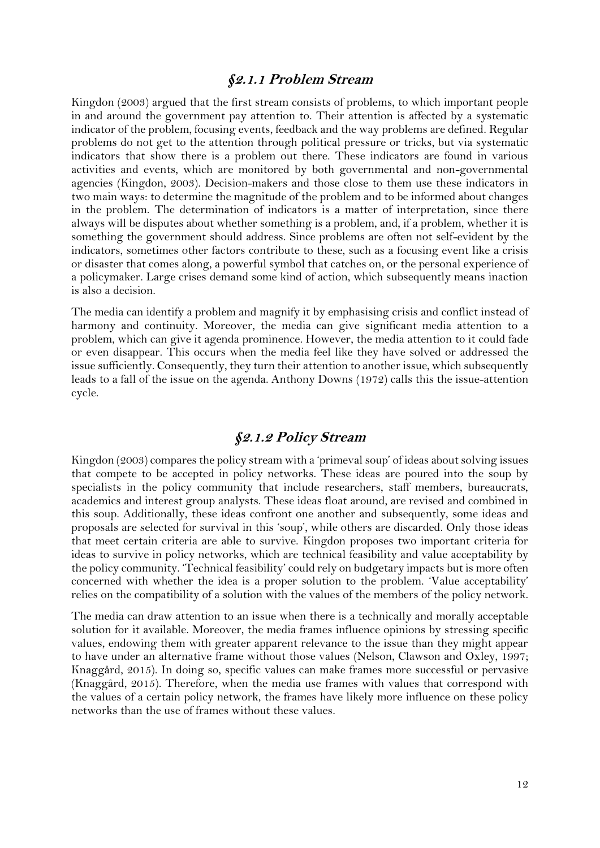#### **§2.1.1 Problem Stream**

Kingdon (2003) argued that the first stream consists of problems, to which important people in and around the government pay attention to. Their attention is affected by a systematic indicator of the problem, focusing events, feedback and the way problems are defined. Regular problems do not get to the attention through political pressure or tricks, but via systematic indicators that show there is a problem out there. These indicators are found in various activities and events, which are monitored by both governmental and non-governmental agencies (Kingdon, 2003). Decision-makers and those close to them use these indicators in two main ways: to determine the magnitude of the problem and to be informed about changes in the problem. The determination of indicators is a matter of interpretation, since there always will be disputes about whether something is a problem, and, if a problem, whether it is something the government should address. Since problems are often not self-evident by the indicators, sometimes other factors contribute to these, such as a focusing event like a crisis or disaster that comes along, a powerful symbol that catches on, or the personal experience of a policymaker. Large crises demand some kind of action, which subsequently means inaction is also a decision.

The media can identify a problem and magnify it by emphasising crisis and conflict instead of harmony and continuity. Moreover, the media can give significant media attention to a problem, which can give it agenda prominence. However, the media attention to it could fade or even disappear. This occurs when the media feel like they have solved or addressed the issue sufficiently. Consequently, they turn their attention to another issue, which subsequently leads to a fall of the issue on the agenda. Anthony Downs (1972) calls this the issue-attention cycle.

## **§2.1.2 Policy Stream**

Kingdon (2003) compares the policy stream with a 'primeval soup' of ideas about solving issues that compete to be accepted in policy networks. These ideas are poured into the soup by specialists in the policy community that include researchers, staff members, bureaucrats, academics and interest group analysts. These ideas float around, are revised and combined in this soup. Additionally, these ideas confront one another and subsequently, some ideas and proposals are selected for survival in this 'soup', while others are discarded. Only those ideas that meet certain criteria are able to survive. Kingdon proposes two important criteria for ideas to survive in policy networks, which are technical feasibility and value acceptability by the policy community. 'Technical feasibility' could rely on budgetary impacts but is more often concerned with whether the idea is a proper solution to the problem. 'Value acceptability' relies on the compatibility of a solution with the values of the members of the policy network.

The media can draw attention to an issue when there is a technically and morally acceptable solution for it available. Moreover, the media frames influence opinions by stressing specific values, endowing them with greater apparent relevance to the issue than they might appear to have under an alternative frame without those values (Nelson, Clawson and Oxley, 1997; Knaggård, 2015). In doing so, specific values can make frames more successful or pervasive (Knaggård, 2015). Therefore, when the media use frames with values that correspond with the values of a certain policy network, the frames have likely more influence on these policy networks than the use of frames without these values.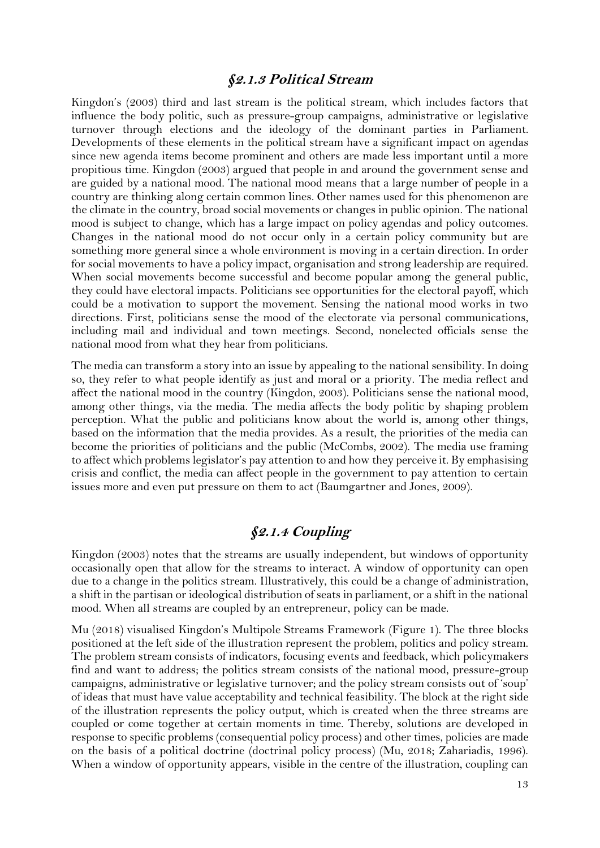#### **§2.1.3 Political Stream**

Kingdon's (2003) third and last stream is the political stream, which includes factors that influence the body politic, such as pressure-group campaigns, administrative or legislative turnover through elections and the ideology of the dominant parties in Parliament. Developments of these elements in the political stream have a significant impact on agendas since new agenda items become prominent and others are made less important until a more propitious time. Kingdon (2003) argued that people in and around the government sense and are guided by a national mood. The national mood means that a large number of people in a country are thinking along certain common lines. Other names used for this phenomenon are the climate in the country, broad social movements or changes in public opinion. The national mood is subject to change, which has a large impact on policy agendas and policy outcomes. Changes in the national mood do not occur only in a certain policy community but are something more general since a whole environment is moving in a certain direction. In order for social movements to have a policy impact, organisation and strong leadership are required. When social movements become successful and become popular among the general public, they could have electoral impacts. Politicians see opportunities for the electoral payoff, which could be a motivation to support the movement. Sensing the national mood works in two directions. First, politicians sense the mood of the electorate via personal communications, including mail and individual and town meetings. Second, nonelected officials sense the national mood from what they hear from politicians.

The media can transform a story into an issue by appealing to the national sensibility. In doing so, they refer to what people identify as just and moral or a priority. The media reflect and affect the national mood in the country (Kingdon, 2003). Politicians sense the national mood, among other things, via the media. The media affects the body politic by shaping problem perception. What the public and politicians know about the world is, among other things, based on the information that the media provides. As a result, the priorities of the media can become the priorities of politicians and the public (McCombs, 2002). The media use framing to affect which problems legislator's pay attention to and how they perceive it. By emphasising crisis and conflict, the media can affect people in the government to pay attention to certain issues more and even put pressure on them to act (Baumgartner and Jones, 2009).

## **§2.1.4 Coupling**

Kingdon (2003) notes that the streams are usually independent, but windows of opportunity occasionally open that allow for the streams to interact. A window of opportunity can open due to a change in the politics stream. Illustratively, this could be a change of administration, a shift in the partisan or ideological distribution of seats in parliament, or a shift in the national mood. When all streams are coupled by an entrepreneur, policy can be made.

Mu (2018) visualised Kingdon's Multipole Streams Framework (Figure 1). The three blocks positioned at the left side of the illustration represent the problem, politics and policy stream. The problem stream consists of indicators, focusing events and feedback, which policymakers find and want to address; the politics stream consists of the national mood, pressure-group campaigns, administrative or legislative turnover; and the policy stream consists out of 'soup' of ideas that must have value acceptability and technical feasibility. The block at the right side of the illustration represents the policy output, which is created when the three streams are coupled or come together at certain moments in time. Thereby, solutions are developed in response to specific problems (consequential policy process) and other times, policies are made on the basis of a political doctrine (doctrinal policy process) (Mu, 2018; Zahariadis, 1996). When a window of opportunity appears, visible in the centre of the illustration, coupling can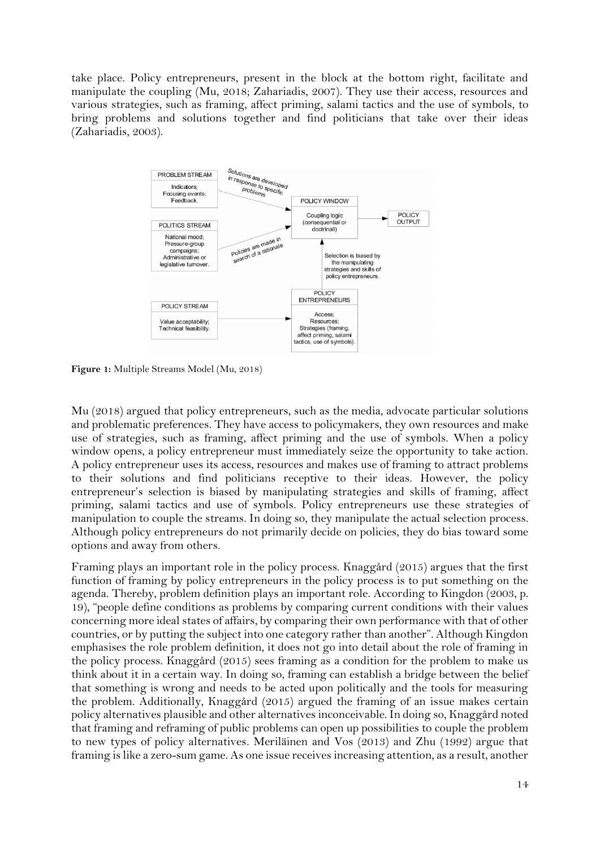take place. Policy entrepreneurs, present in the block at the bottom right, facilitate and manipulate the coupling (Mu, 2018; Zahariadis, 2007). They use their access, resources and various strategies, such as framing, affect priming, salami tactics and the use of symbols, to bring problems and solutions together and find politicians that take over their ideas (Zahariadis, 2003).



<span id="page-14-0"></span>**Figure 1:** Multiple Streams Model (Mu, 2018)

Mu (2018) argued that policy entrepreneurs, such as the media, advocate particular solutions and problematic preferences. They have access to policymakers, they own resources and make use of strategies, such as framing, affect priming and the use of symbols. When a policy window opens, a policy entrepreneur must immediately seize the opportunity to take action. A policy entrepreneur uses its access, resources and makes use of framing to attract problems to their solutions and find politicians receptive to their ideas. However, the policy entrepreneur's selection is biased by manipulating strategies and skills of framing, affect priming, salami tactics and use of symbols. Policy entrepreneurs use these strategies of manipulation to couple the streams. In doing so, they manipulate the actual selection process. Although policy entrepreneurs do not primarily decide on policies, they do bias toward some options and away from others.

Framing plays an important role in the policy process. Knaggård (2015) argues that the first function of framing by policy entrepreneurs in the policy process is to put something on the agenda. Thereby, problem definition plays an important role. According to Kingdon (2003, p. 19), "people define conditions as problems by comparing current conditions with their values concerning more ideal states of affairs, by comparing their own performance with that of other countries, or by putting the subject into one category rather than another". Although Kingdon emphasises the role problem definition, it does not go into detail about the role of framing in the policy process. Knaggård (2015) sees framing as a condition for the problem to make us think about it in a certain way. In doing so, framing can establish a bridge between the belief that something is wrong and needs to be acted upon politically and the tools for measuring the problem. Additionally, Knaggård (2015) argued the framing of an issue makes certain policy alternatives plausible and other alternatives inconceivable. In doing so, Knaggård noted that framing and reframing of public problems can open up possibilities to couple the problem to new types of policy alternatives. Meriläinen and Vos (2013) and Zhu (1992) argue that framing is like a zero-sum game. As one issue receives increasing attention, as a result, another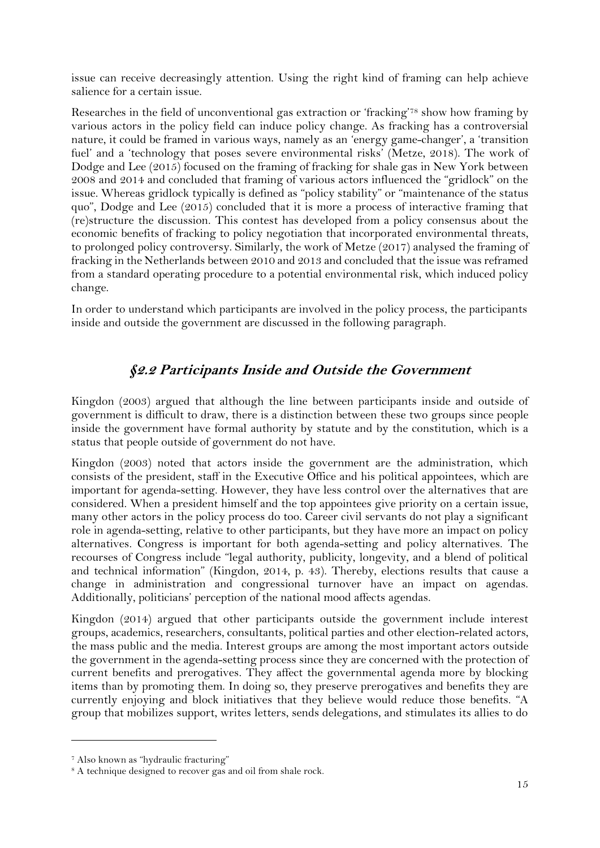issue can receive decreasingly attention. Using the right kind of framing can help achieve salience for a certain issue.

Researches in the field of unconventional gas extraction or 'fracking'<sup>78</sup> show how framing by various actors in the policy field can induce policy change. As fracking has a controversial nature, it could be framed in various ways, namely as an 'energy game-changer', a 'transition fuel' and a 'technology that poses severe environmental risks' (Metze, 2018). The work of Dodge and Lee (2015) focused on the framing of fracking for shale gas in New York between 2008 and 2014 and concluded that framing of various actors influenced the "gridlock" on the issue. Whereas gridlock typically is defined as "policy stability" or "maintenance of the status quo", Dodge and Lee  $(2015)$  concluded that it is more a process of interactive framing that (re)structure the discussion. This contest has developed from a policy consensus about the economic benefits of fracking to policy negotiation that incorporated environmental threats, to prolonged policy controversy. Similarly, the work of Metze (2017) analysed the framing of fracking in the Netherlands between 2010 and 2013 and concluded that the issue was reframed from a standard operating procedure to a potential environmental risk, which induced policy change.

In order to understand which participants are involved in the policy process, the participants inside and outside the government are discussed in the following paragraph.

## **§2.2 Participants Inside and Outside the Government**

<span id="page-15-0"></span>Kingdon (2003) argued that although the line between participants inside and outside of government is difficult to draw, there is a distinction between these two groups since people inside the government have formal authority by statute and by the constitution, which is a status that people outside of government do not have.

Kingdon (2003) noted that actors inside the government are the administration, which consists of the president, staff in the Executive Office and his political appointees, which are important for agenda-setting. However, they have less control over the alternatives that are considered. When a president himself and the top appointees give priority on a certain issue, many other actors in the policy process do too. Career civil servants do not play a significant role in agenda-setting, relative to other participants, but they have more an impact on policy alternatives. Congress is important for both agenda-setting and policy alternatives. The recourses of Congress include "legal authority, publicity, longevity, and a blend of political and technical information" (Kingdon, 2014, p. 43). Thereby, elections results that cause a change in administration and congressional turnover have an impact on agendas. Additionally, politicians' perception of the national mood affects agendas.

Kingdon (2014) argued that other participants outside the government include interest groups, academics, researchers, consultants, political parties and other election-related actors, the mass public and the media. Interest groups are among the most important actors outside the government in the agenda-setting process since they are concerned with the protection of current benefits and prerogatives. They affect the governmental agenda more by blocking items than by promoting them. In doing so, they preserve prerogatives and benefits they are currently enjoying and block initiatives that they believe would reduce those benefits. "A group that mobilizes support, writes letters, sends delegations, and stimulates its allies to do

<sup>7</sup> Also known as "hydraulic fracturing"

<sup>&</sup>lt;sup>8</sup> A technique designed to recover gas and oil from shale rock.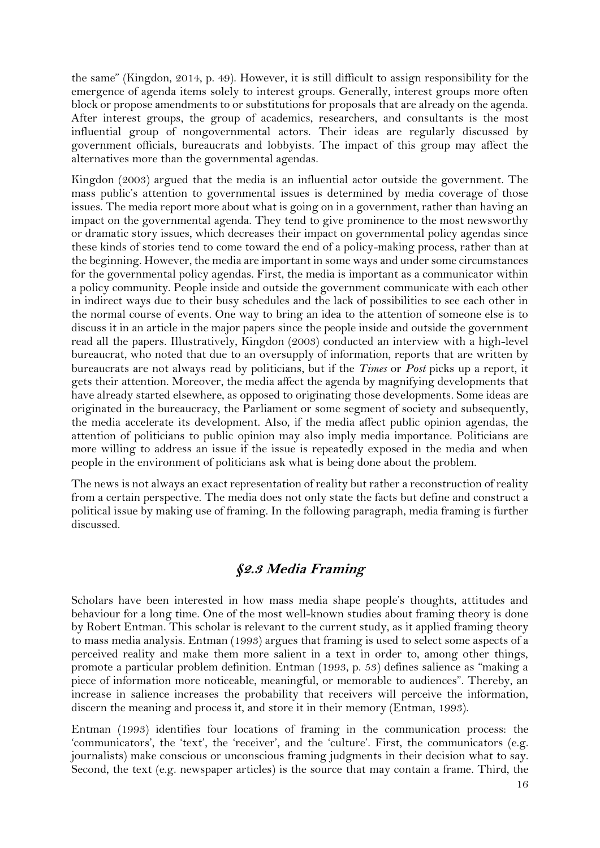the same" (Kingdon, 2014, p. 49). However, it is still difficult to assign responsibility for the emergence of agenda items solely to interest groups. Generally, interest groups more often block or propose amendments to or substitutions for proposals that are already on the agenda. After interest groups, the group of academics, researchers, and consultants is the most influential group of nongovernmental actors. Their ideas are regularly discussed by government officials, bureaucrats and lobbyists. The impact of this group may affect the alternatives more than the governmental agendas.

Kingdon (2003) argued that the media is an influential actor outside the government. The mass public's attention to governmental issues is determined by media coverage of those issues. The media report more about what is going on in a government, rather than having an impact on the governmental agenda. They tend to give prominence to the most newsworthy or dramatic story issues, which decreases their impact on governmental policy agendas since these kinds of stories tend to come toward the end of a policy-making process, rather than at the beginning. However, the media are important in some ways and under some circumstances for the governmental policy agendas. First, the media is important as a communicator within a policy community. People inside and outside the government communicate with each other in indirect ways due to their busy schedules and the lack of possibilities to see each other in the normal course of events. One way to bring an idea to the attention of someone else is to discuss it in an article in the major papers since the people inside and outside the government read all the papers. Illustratively, Kingdon (2003) conducted an interview with a high-level bureaucrat, who noted that due to an oversupply of information, reports that are written by bureaucrats are not always read by politicians, but if the *Times* or *Post* picks up a report, it gets their attention. Moreover, the media affect the agenda by magnifying developments that have already started elsewhere, as opposed to originating those developments. Some ideas are originated in the bureaucracy, the Parliament or some segment of society and subsequently, the media accelerate its development. Also, if the media affect public opinion agendas, the attention of politicians to public opinion may also imply media importance. Politicians are more willing to address an issue if the issue is repeatedly exposed in the media and when people in the environment of politicians ask what is being done about the problem.

The news is not always an exact representation of reality but rather a reconstruction of reality from a certain perspective. The media does not only state the facts but define and construct a political issue by making use of framing. In the following paragraph, media framing is further discussed.

#### **§2.3 Media Framing**

<span id="page-16-0"></span>Scholars have been interested in how mass media shape people's thoughts, attitudes and behaviour for a long time. One of the most well-known studies about framing theory is done by Robert Entman. This scholar is relevant to the current study, as it applied framing theory to mass media analysis. Entman (1993) argues that framing is used to select some aspects of a perceived reality and make them more salient in a text in order to, among other things, promote a particular problem definition. Entman (1993, p. 53) defines salience as "making a piece of information more noticeable, meaningful, or memorable to audiences". Thereby, an increase in salience increases the probability that receivers will perceive the information, discern the meaning and process it, and store it in their memory (Entman, 1993).

Entman (1993) identifies four locations of framing in the communication process: the 'communicators', the 'text', the 'receiver', and the 'culture'. First, the communicators (e.g. journalists) make conscious or unconscious framing judgments in their decision what to say. Second, the text (e.g. newspaper articles) is the source that may contain a frame. Third, the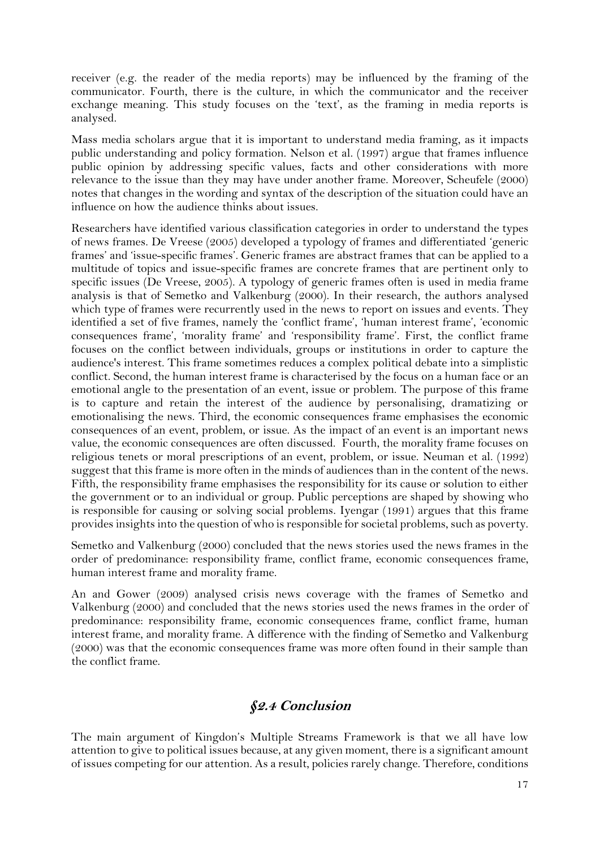receiver (e.g. the reader of the media reports) may be influenced by the framing of the communicator. Fourth, there is the culture, in which the communicator and the receiver exchange meaning. This study focuses on the 'text', as the framing in media reports is analysed.

Mass media scholars argue that it is important to understand media framing, as it impacts public understanding and policy formation. Nelson et al. (1997) argue that frames influence public opinion by addressing specific values, facts and other considerations with more relevance to the issue than they may have under another frame. Moreover, Scheufele (2000) notes that changes in the wording and syntax of the description of the situation could have an influence on how the audience thinks about issues.

Researchers have identified various classification categories in order to understand the types of news frames. De Vreese (2005) developed a typology of frames and differentiated 'generic frames' and 'issue-specific frames'. Generic frames are abstract frames that can be applied to a multitude of topics and issue-specific frames are concrete frames that are pertinent only to specific issues (De Vreese, 2005). A typology of generic frames often is used in media frame analysis is that of Semetko and Valkenburg (2000). In their research, the authors analysed which type of frames were recurrently used in the news to report on issues and events. They identified a set of five frames, namely the 'conflict frame', 'human interest frame', 'economic consequences frame', 'morality frame' and 'responsibility frame'. First, the conflict frame focuses on the conflict between individuals, groups or institutions in order to capture the audience's interest. This frame sometimes reduces a complex political debate into a simplistic conflict. Second, the human interest frame is characterised by the focus on a human face or an emotional angle to the presentation of an event, issue or problem. The purpose of this frame is to capture and retain the interest of the audience by personalising, dramatizing or emotionalising the news. Third, the economic consequences frame emphasises the economic consequences of an event, problem, or issue. As the impact of an event is an important news value, the economic consequences are often discussed. Fourth, the morality frame focuses on religious tenets or moral prescriptions of an event, problem, or issue. Neuman et al. (1992) suggest that this frame is more often in the minds of audiences than in the content of the news. Fifth, the responsibility frame emphasises the responsibility for its cause or solution to either the government or to an individual or group. Public perceptions are shaped by showing who is responsible for causing or solving social problems. Iyengar (1991) argues that this frame provides insights into the question of who is responsible for societal problems, such as poverty.

Semetko and Valkenburg (2000) concluded that the news stories used the news frames in the order of predominance: responsibility frame, conflict frame, economic consequences frame, human interest frame and morality frame.

An and Gower (2009) analysed crisis news coverage with the frames of Semetko and Valkenburg (2000) and concluded that the news stories used the news frames in the order of predominance: responsibility frame, economic consequences frame, conflict frame, human interest frame, and morality frame. A difference with the finding of Semetko and Valkenburg (2000) was that the economic consequences frame was more often found in their sample than the conflict frame.

## **§2.4 Conclusion**

<span id="page-17-0"></span>The main argument of Kingdon's Multiple Streams Framework is that we all have low attention to give to political issues because, at any given moment, there is a significant amount of issues competing for our attention. As a result, policies rarely change. Therefore, conditions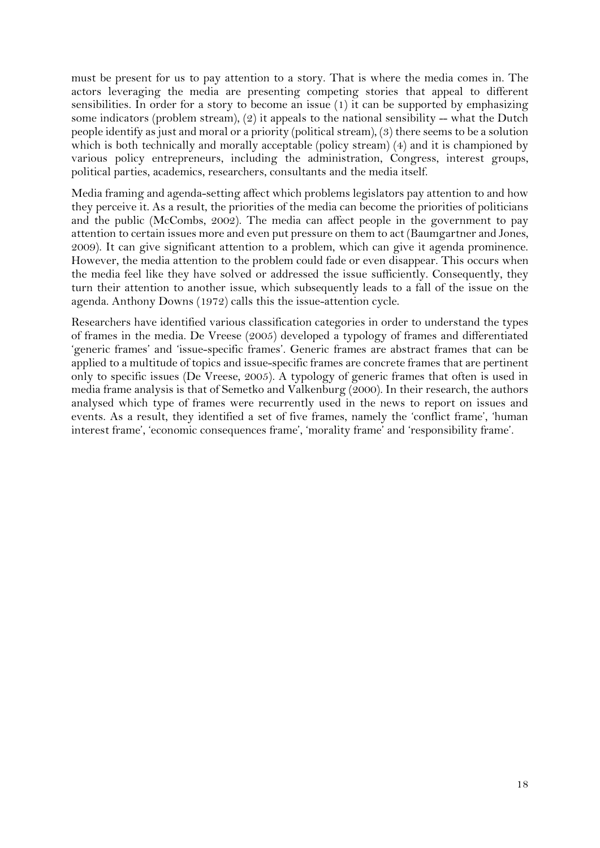must be present for us to pay attention to a story. That is where the media comes in. The actors leveraging the media are presenting competing stories that appeal to different sensibilities. In order for a story to become an issue (1) it can be supported by emphasizing some indicators (problem stream),  $(2)$  it appeals to the national sensibility -- what the Dutch people identify as just and moral or a priority (political stream), (3) there seems to be a solution which is both technically and morally acceptable (policy stream) (4) and it is championed by various policy entrepreneurs, including the administration, Congress, interest groups, political parties, academics, researchers, consultants and the media itself.

Media framing and agenda-setting affect which problems legislators pay attention to and how they perceive it. As a result, the priorities of the media can become the priorities of politicians and the public (McCombs, 2002). The media can affect people in the government to pay attention to certain issues more and even put pressure on them to act (Baumgartner and Jones, 2009). It can give significant attention to a problem, which can give it agenda prominence. However, the media attention to the problem could fade or even disappear. This occurs when the media feel like they have solved or addressed the issue sufficiently. Consequently, they turn their attention to another issue, which subsequently leads to a fall of the issue on the agenda. Anthony Downs (1972) calls this the issue-attention cycle.

Researchers have identified various classification categories in order to understand the types of frames in the media. De Vreese (2005) developed a typology of frames and differentiated 'generic frames' and 'issue-specific frames'. Generic frames are abstract frames that can be applied to a multitude of topics and issue-specific frames are concrete frames that are pertinent only to specific issues (De Vreese, 2005). A typology of generic frames that often is used in media frame analysis is that of Semetko and Valkenburg (2000). In their research, the authors analysed which type of frames were recurrently used in the news to report on issues and events. As a result, they identified a set of five frames, namely the 'conflict frame', 'human interest frame', 'economic consequences frame', 'morality frame' and 'responsibility frame'.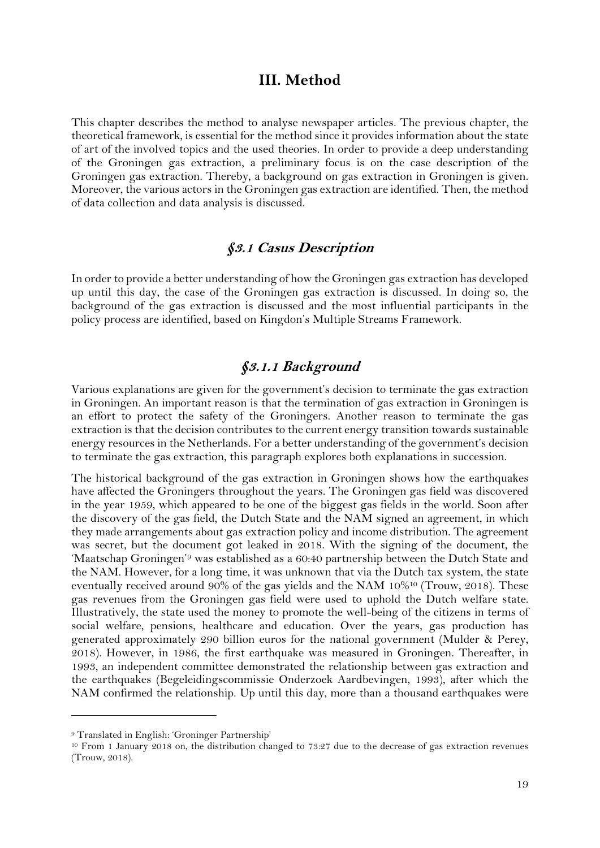#### **III. Method**

<span id="page-19-0"></span>This chapter describes the method to analyse newspaper articles. The previous chapter, the theoretical framework, is essential for the method since it provides information about the state of art of the involved topics and the used theories. In order to provide a deep understanding of the Groningen gas extraction, a preliminary focus is on the case description of the Groningen gas extraction. Thereby, a background on gas extraction in Groningen is given. Moreover, the various actors in the Groningen gas extraction are identified. Then, the method of data collection and data analysis is discussed.

#### **§3.1 Casus Description**

<span id="page-19-1"></span>In order to provide a better understanding of how the Groningen gas extraction has developed up until this day, the case of the Groningen gas extraction is discussed. In doing so, the background of the gas extraction is discussed and the most influential participants in the policy process are identified, based on Kingdon's Multiple Streams Framework.

#### **§3.1.1 Background**

Various explanations are given for the government's decision to terminate the gas extraction in Groningen. An important reason is that the termination of gas extraction in Groningen is an effort to protect the safety of the Groningers. Another reason to terminate the gas extraction is that the decision contributes to the current energy transition towards sustainable energy resources in the Netherlands. For a better understanding of the government's decision to terminate the gas extraction, this paragraph explores both explanations in succession.

The historical background of the gas extraction in Groningen shows how the earthquakes have affected the Groningers throughout the years. The Groningen gas field was discovered in the year 1959, which appeared to be one of the biggest gas fields in the world. Soon after the discovery of the gas field, the Dutch State and the NAM signed an agreement, in which they made arrangements about gas extraction policy and income distribution. The agreement was secret, but the document got leaked in 2018. With the signing of the document, the 'Maatschap Groningen'<sup>9</sup> was established as a 60:40 partnership between the Dutch State and the NAM. However, for a long time, it was unknown that via the Dutch tax system, the state eventually received around 90% of the gas yields and the NAM 10%<sup>10</sup> (Trouw, 2018). These gas revenues from the Groningen gas field were used to uphold the Dutch welfare state. Illustratively, the state used the money to promote the well-being of the citizens in terms of social welfare, pensions, healthcare and education. Over the years, gas production has generated approximately 290 billion euros for the national government (Mulder & Perey, 2018). However, in 1986, the first earthquake was measured in Groningen. Thereafter, in 1993, an independent committee demonstrated the relationship between gas extraction and the earthquakes (Begeleidingscommissie Onderzoek Aardbevingen, 1993), after which the NAM confirmed the relationship. Up until this day, more than a thousand earthquakes were

<sup>9</sup> Translated in English: 'Groninger Partnership'

<sup>10</sup> From 1 January 2018 on, the distribution changed to 73:27 due to the decrease of gas extraction revenues (Trouw, 2018).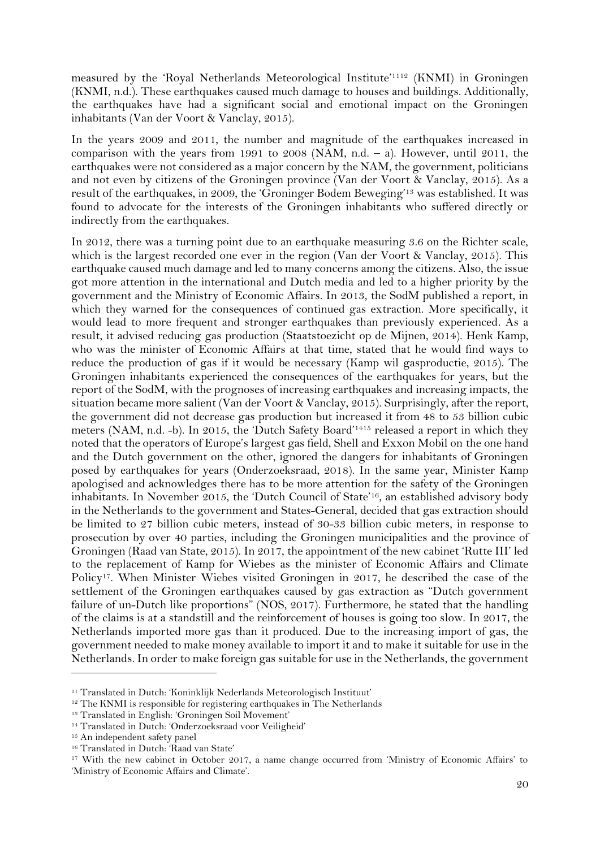measured by the 'Royal Netherlands Meteorological Institute' <sup>1112</sup> (KNMI) in Groningen (KNMI, n.d.). These earthquakes caused much damage to houses and buildings. Additionally, the earthquakes have had a significant social and emotional impact on the Groningen inhabitants (Van der Voort & Vanclay, 2015).

In the years 2009 and 2011, the number and magnitude of the earthquakes increased in comparison with the years from 1991 to  $2008$  (NAM, n.d.  $-$  a). However, until  $2011$ , the earthquakes were not considered as a major concern by the NAM, the government, politicians and not even by citizens of the Groningen province (Van der Voort & Vanclay, 2015). As a result of the earthquakes, in 2009, the 'Groninger Bodem Beweging' <sup>13</sup> was established. It was found to advocate for the interests of the Groningen inhabitants who suffered directly or indirectly from the earthquakes.

In 2012, there was a turning point due to an earthquake measuring 3.6 on the Richter scale, which is the largest recorded one ever in the region (Van der Voort & Vanclay, 2015). This earthquake caused much damage and led to many concerns among the citizens. Also, the issue got more attention in the international and Dutch media and led to a higher priority by the government and the Ministry of Economic Affairs. In 2013, the SodM published a report, in which they warned for the consequences of continued gas extraction. More specifically, it would lead to more frequent and stronger earthquakes than previously experienced. As a result, it advised reducing gas production (Staatstoezicht op de Mijnen, 2014). Henk Kamp, who was the minister of Economic Affairs at that time, stated that he would find ways to reduce the production of gas if it would be necessary (Kamp wil gasproductie, 2015). The Groningen inhabitants experienced the consequences of the earthquakes for years, but the report of the SodM, with the prognoses of increasing earthquakes and increasing impacts, the situation became more salient (Van der Voort & Vanclay, 2015). Surprisingly, after the report, the government did not decrease gas production but increased it from 48 to 53 billion cubic meters (NAM, n.d. -b). In 2015, the 'Dutch Safety Board'<sup>1415</sup> released a report in which they noted that the operators of Europe's largest gas field, Shell and Exxon Mobil on the one hand and the Dutch government on the other, ignored the dangers for inhabitants of Groningen posed by earthquakes for years (Onderzoeksraad, 2018). In the same year, Minister Kamp apologised and acknowledges there has to be more attention for the safety of the Groningen inhabitants. In November 2015, the 'Dutch Council of State' <sup>16</sup>, an established advisory body in the Netherlands to the government and States-General, decided that gas extraction should be limited to 27 billion cubic meters, instead of 30-33 billion cubic meters, in response to prosecution by over 40 parties, including the Groningen municipalities and the province of Groningen (Raad van State, 2015). In 2017, the appointment of the new cabinet 'Rutte III' led to the replacement of Kamp for Wiebes as the minister of Economic Affairs and Climate Policy<sup>17</sup>. When Minister Wiebes visited Groningen in 2017, he described the case of the settlement of the Groningen earthquakes caused by gas extraction as "Dutch government failure of un-Dutch like proportions" (NOS, 2017). Furthermore, he stated that the handling of the claims is at a standstill and the reinforcement of houses is going too slow. In 2017, the Netherlands imported more gas than it produced. Due to the increasing import of gas, the government needed to make money available to import it and to make it suitable for use in the Netherlands. In order to make foreign gas suitable for use in the Netherlands, the government

<sup>11</sup> Translated in Dutch: 'Koninklijk Nederlands Meteorologisch Instituut'

<sup>12</sup> The KNMI is responsible for registering earthquakes in The Netherlands

<sup>13</sup> Translated in English: 'Groningen Soil Movement'

<sup>14</sup> Translated in Dutch: 'Onderzoeksraad voor Veiligheid'

<sup>15</sup> An independent safety panel

<sup>16</sup> Translated in Dutch: 'Raad van State'

<sup>17</sup> With the new cabinet in October 2017, a name change occurred from 'Ministry of Economic Affairs' to 'Ministry of Economic Affairs and Climate'.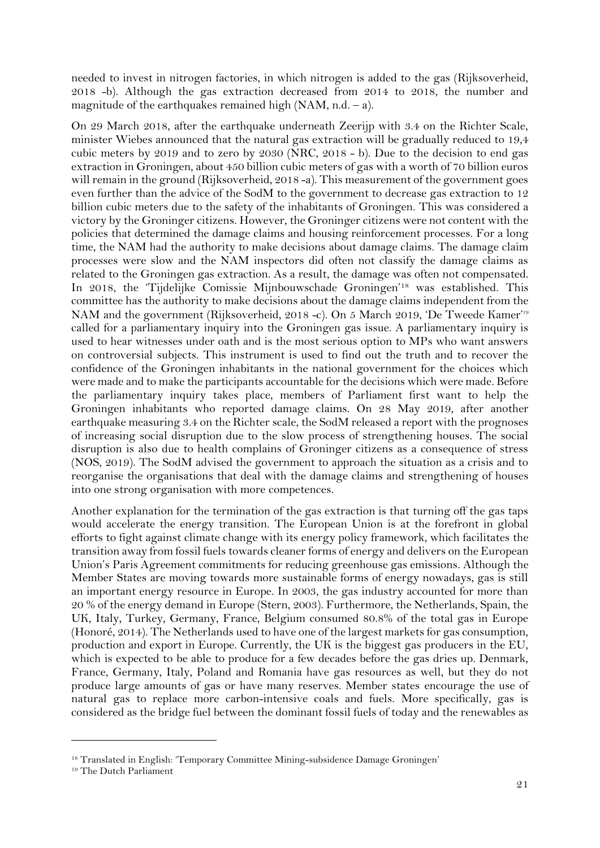needed to invest in nitrogen factories, in which nitrogen is added to the gas (Rijksoverheid, 2018 -b). Although the gas extraction decreased from 2014 to 2018, the number and magnitude of the earthquakes remained high  $(NAM, n.d. - a)$ .

On 29 March 2018, after the earthquake underneath Zeerijp with 3.4 on the Richter Scale, minister Wiebes announced that the natural gas extraction will be gradually reduced to 19,4 cubic meters by 2019 and to zero by 2030 (NRC, 2018 - b). Due to the decision to end gas extraction in Groningen, about 450 billion cubic meters of gas with a worth of 70 billion euros will remain in the ground (Rijksoverheid, 2018 -a). This measurement of the government goes even further than the advice of the SodM to the government to decrease gas extraction to 12 billion cubic meters due to the safety of the inhabitants of Groningen. This was considered a victory by the Groninger citizens. However, the Groninger citizens were not content with the policies that determined the damage claims and housing reinforcement processes. For a long time, the NAM had the authority to make decisions about damage claims. The damage claim processes were slow and the NAM inspectors did often not classify the damage claims as related to the Groningen gas extraction. As a result, the damage was often not compensated. In 2018, the 'Tijdelijke Comissie Mijnbouwschade Groningen'<sup>18</sup> was established. This committee has the authority to make decisions about the damage claims independent from the NAM and the government (Rijksoverheid, 2018 -c). On 5 March 2019, 'De Tweede Kamer'<sup>18</sup> called for a parliamentary inquiry into the Groningen gas issue. A parliamentary inquiry is used to hear witnesses under oath and is the most serious option to MPs who want answers on controversial subjects. This instrument is used to find out the truth and to recover the confidence of the Groningen inhabitants in the national government for the choices which were made and to make the participants accountable for the decisions which were made. Before the parliamentary inquiry takes place, members of Parliament first want to help the Groningen inhabitants who reported damage claims. On 28 May 2019, after another earthquake measuring 3.4 on the Richter scale, the SodM released a report with the prognoses of increasing social disruption due to the slow process of strengthening houses. The social disruption is also due to health complains of Groninger citizens as a consequence of stress (NOS, 2019). The SodM advised the government to approach the situation as a crisis and to reorganise the organisations that deal with the damage claims and strengthening of houses into one strong organisation with more competences.

Another explanation for the termination of the gas extraction is that turning off the gas taps would accelerate the energy transition. The European Union is at the forefront in global efforts to fight against climate change with its energy policy framework, which facilitates the transition away from fossil fuels towards cleaner forms of energy and delivers on the European Union's Paris Agreement commitments for reducing greenhouse gas emissions. Although the Member States are moving towards more sustainable forms of energy nowadays, gas is still an important energy resource in Europe. In 2003, the gas industry accounted for more than 20 % of the energy demand in Europe (Stern, 2003). Furthermore, the Netherlands, Spain, the UK, Italy, Turkey, Germany, France, Belgium consumed 80.8% of the total gas in Europe (Honoré, 2014). The Netherlands used to have one of the largest markets for gas consumption, production and export in Europe. Currently, the UK is the biggest gas producers in the EU, which is expected to be able to produce for a few decades before the gas dries up. Denmark, France, Germany, Italy, Poland and Romania have gas resources as well, but they do not produce large amounts of gas or have many reserves. Member states encourage the use of natural gas to replace more carbon-intensive coals and fuels. More specifically, gas is considered as the bridge fuel between the dominant fossil fuels of today and the renewables as

<sup>18</sup> Translated in English: 'Temporary Committee Mining-subsidence Damage Groningen'

<sup>19</sup> The Dutch Parliament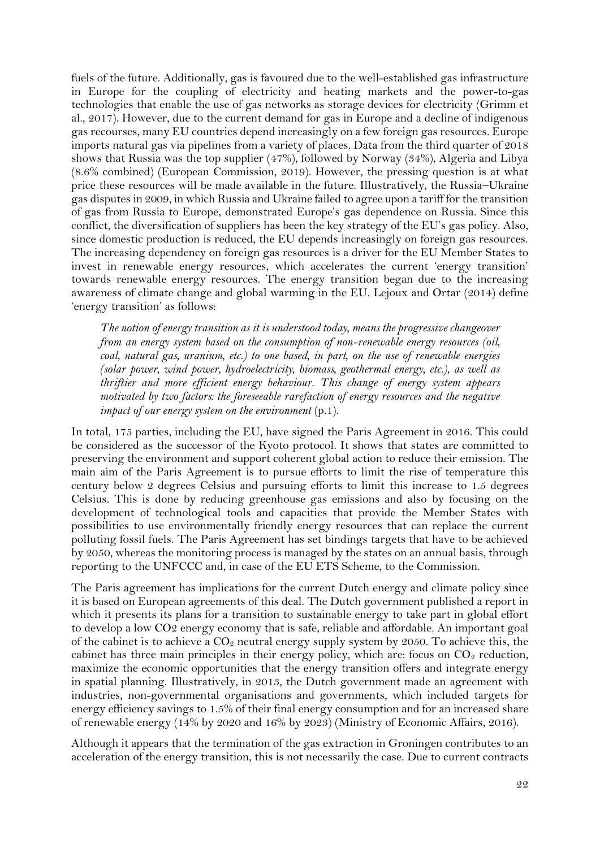fuels of the future. Additionally, gas is favoured due to the well-established gas infrastructure in Europe for the coupling of electricity and heating markets and the power-to-gas technologies that enable the use of gas networks as storage devices for electricity (Grimm et al., 2017). However, due to the current demand for gas in Europe and a decline of indigenous gas recourses, many EU countries depend increasingly on a few foreign gas resources. Europe imports natural gas via pipelines from a variety of places. Data from the third quarter of 2018 shows that Russia was the top supplier (47%), followed by Norway (34%), Algeria and Libya (8.6% combined) (European Commission, 2019). However, the pressing question is at what price these resources will be made available in the future. Illustratively, the Russia–Ukraine gas disputes in 2009, in which Russia and Ukraine failed to agree upon a tariff for the transition of gas from Russia to Europe, demonstrated Europe's gas dependence on Russia. Since this conflict, the diversification of suppliers has been the key strategy of the EU's gas policy. Also, since domestic production is reduced, the EU depends increasingly on foreign gas resources. The increasing dependency on foreign gas resources is a driver for the EU Member States to invest in renewable energy resources, which accelerates the current 'energy transition' towards renewable energy resources. The energy transition began due to the increasing awareness of climate change and global warming in the EU. Lejoux and Ortar (2014) define 'energy transition' as follows:

*The notion of energy transition as it is understood today, means the progressive changeover from an energy system based on the consumption of non-renewable energy resources (oil, coal, natural gas, uranium, etc.) to one based, in part, on the use of renewable energies (solar power, wind power, hydroelectricity, biomass, geothermal energy, etc.), as well as thriftier and more efficient energy behaviour. This change of energy system appears motivated by two factors: the foreseeable rarefaction of energy resources and the negative impact of our energy system on the environment* (p.1).

In total, 175 parties, including the EU, have signed the Paris Agreement in 2016. This could be considered as the successor of the Kyoto protocol. It shows that states are committed to preserving the environment and support coherent global action to reduce their emission. The main aim of the Paris Agreement is to pursue efforts to limit the rise of temperature this century below 2 degrees Celsius and pursuing efforts to limit this increase to 1.5 degrees Celsius. This is done by reducing greenhouse gas emissions and also by focusing on the development of technological tools and capacities that provide the Member States with possibilities to use environmentally friendly energy resources that can replace the current polluting fossil fuels. The Paris Agreement has set bindings targets that have to be achieved by 2050, whereas the monitoring process is managed by the states on an annual basis, through reporting to the UNFCCC and, in case of the EU ETS Scheme, to the Commission.

The Paris agreement has implications for the current Dutch energy and climate policy since it is based on European agreements of this deal. The Dutch government published a report in which it presents its plans for a transition to sustainable energy to take part in global effort to develop a low CO2 energy economy that is safe, reliable and affordable. An important goal of the cabinet is to achieve a  $CO<sub>2</sub>$  neutral energy supply system by 2050. To achieve this, the cabinet has three main principles in their energy policy, which are: focus on  $CO<sub>2</sub>$  reduction, maximize the economic opportunities that the energy transition offers and integrate energy in spatial planning. Illustratively, in 2013, the Dutch government made an agreement with industries, non-governmental organisations and governments, which included targets for energy efficiency savings to 1.5% of their final energy consumption and for an increased share of renewable energy (14% by 2020 and 16% by 2023) (Ministry of Economic Affairs, 2016).

Although it appears that the termination of the gas extraction in Groningen contributes to an acceleration of the energy transition, this is not necessarily the case. Due to current contracts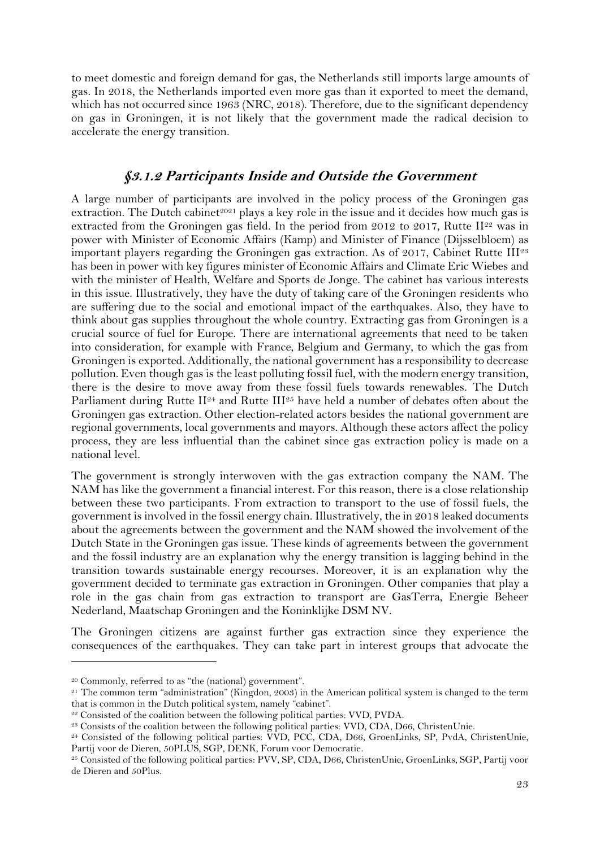to meet domestic and foreign demand for gas, the Netherlands still imports large amounts of gas. In 2018, the Netherlands imported even more gas than it exported to meet the demand, which has not occurred since 1963 (NRC, 2018). Therefore, due to the significant dependency on gas in Groningen, it is not likely that the government made the radical decision to accelerate the energy transition.

#### **§3.1.2 Participants Inside and Outside the Government**

A large number of participants are involved in the policy process of the Groningen gas extraction. The Dutch cabinet<sup>2021</sup> plays a key role in the issue and it decides how much gas is extracted from the Groningen gas field. In the period from 2012 to 2017, Rutte  $\mathbb{I}^{22}$  was in power with Minister of Economic Affairs (Kamp) and Minister of Finance (Dijsselbloem) as important players regarding the Groningen gas extraction. As of 2017, Cabinet Rutte III<sup>23</sup> has been in power with key figures minister of Economic Affairs and Climate Eric Wiebes and with the minister of Health, Welfare and Sports de Jonge. The cabinet has various interests in this issue. Illustratively, they have the duty of taking care of the Groningen residents who are suffering due to the social and emotional impact of the earthquakes. Also, they have to think about gas supplies throughout the whole country. Extracting gas from Groningen is a crucial source of fuel for Europe. There are international agreements that need to be taken into consideration, for example with France, Belgium and Germany, to which the gas from Groningen is exported. Additionally, the national government has a responsibility to decrease pollution. Even though gas is the least polluting fossil fuel, with the modern energy transition, there is the desire to move away from these fossil fuels towards renewables. The Dutch Parliament during Rutte II<sup>24</sup> and Rutte III<sup>25</sup> have held a number of debates often about the Groningen gas extraction. Other election-related actors besides the national government are regional governments, local governments and mayors. Although these actors affect the policy process, they are less influential than the cabinet since gas extraction policy is made on a national level.

The government is strongly interwoven with the gas extraction company the NAM. The NAM has like the government a financial interest. For this reason, there is a close relationship between these two participants. From extraction to transport to the use of fossil fuels, the government is involved in the fossil energy chain. Illustratively, the in 2018 leaked documents about the agreements between the government and the NAM showed the involvement of the Dutch State in the Groningen gas issue. These kinds of agreements between the government and the fossil industry are an explanation why the energy transition is lagging behind in the transition towards sustainable energy recourses. Moreover, it is an explanation why the government decided to terminate gas extraction in Groningen. Other companies that play a role in the gas chain from gas extraction to transport are GasTerra, Energie Beheer Nederland, Maatschap Groningen and the Koninklijke DSM NV.

The Groningen citizens are against further gas extraction since they experience the consequences of the earthquakes. They can take part in interest groups that advocate the

<sup>20</sup> Commonly, referred to as "the (national) government".

 $21$  The common term "administration" (Kingdon, 2003) in the American political system is changed to the term that is common in the Dutch political system, namely "cabinet".

<sup>&</sup>lt;sup>22</sup> Consisted of the coalition between the following political parties: VVD, PVDA.

<sup>23</sup> Consists of the coalition between the following political parties: VVD, CDA, D66, ChristenUnie.

<sup>24</sup> Consisted of the following political parties: VVD, PCC, CDA, D66, GroenLinks, SP, PvdA, ChristenUnie, Partij voor de Dieren, 50PLUS, SGP, DENK, Forum voor Democratie.

<sup>25</sup> Consisted of the following political parties: PVV, SP, CDA, D66, ChristenUnie, GroenLinks, SGP, Partij voor de Dieren and 50Plus.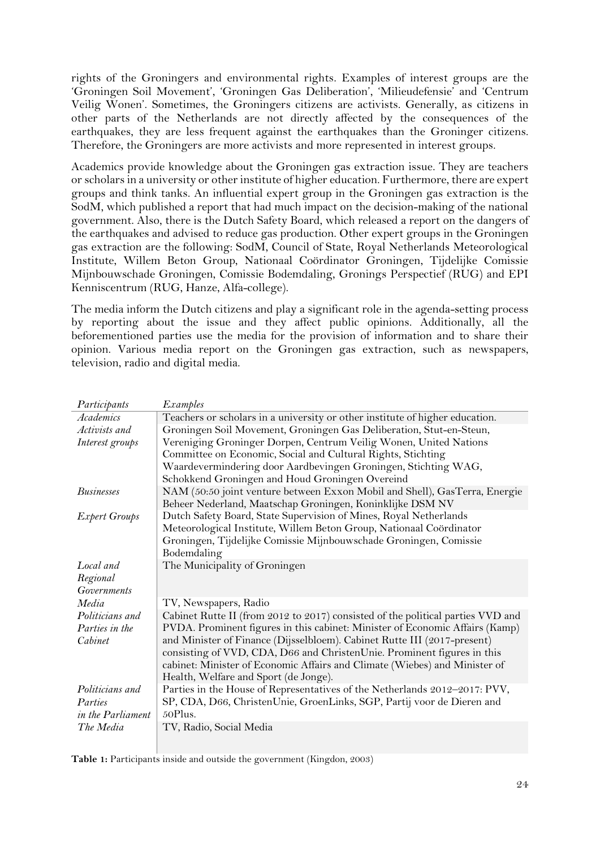rights of the Groningers and environmental rights. Examples of interest groups are the 'Groningen Soil Movement', 'Groningen Gas Deliberation', 'Milieudefensie' and 'Centrum Veilig Wonen'. Sometimes, the Groningers citizens are activists. Generally, as citizens in other parts of the Netherlands are not directly affected by the consequences of the earthquakes, they are less frequent against the earthquakes than the Groninger citizens. Therefore, the Groningers are more activists and more represented in interest groups.

Academics provide knowledge about the Groningen gas extraction issue. They are teachers or scholars in a university or other institute of higher education. Furthermore, there are expert groups and think tanks. An influential expert group in the Groningen gas extraction is the SodM, which published a report that had much impact on the decision-making of the national government. Also, there is the Dutch Safety Board, which released a report on the dangers of the earthquakes and advised to reduce gas production. Other expert groups in the Groningen gas extraction are the following: SodM, Council of State, Royal Netherlands Meteorological Institute, Willem Beton Group, Nationaal Coördinator Groningen, Tijdelijke Comissie Mijnbouwschade Groningen, Comissie Bodemdaling, Gronings Perspectief (RUG) and EPI Kenniscentrum (RUG, Hanze, Alfa-college).

The media inform the Dutch citizens and play a significant role in the agenda-setting process by reporting about the issue and they affect public opinions. Additionally, all the beforementioned parties use the media for the provision of information and to share their opinion. Various media report on the Groningen gas extraction, such as newspapers, television, radio and digital media.

| Participants         | Examples                                                                         |
|----------------------|----------------------------------------------------------------------------------|
| Academics            | Teachers or scholars in a university or other institute of higher education.     |
| Activists and        | Groningen Soil Movement, Groningen Gas Deliberation, Stut-en-Steun,              |
| Interest groups      | Vereniging Groninger Dorpen, Centrum Veilig Wonen, United Nations                |
|                      | Committee on Economic, Social and Cultural Rights, Stichting                     |
|                      | Waardevermindering door Aardbevingen Groningen, Stichting WAG,                   |
|                      | Schokkend Groningen and Houd Groningen Overeind                                  |
| <b>Businesses</b>    | NAM (50:50 joint venture between Exxon Mobil and Shell), GasTerra, Energie       |
|                      | Beheer Nederland, Maatschap Groningen, Koninklijke DSM NV                        |
| <b>Expert Groups</b> | Dutch Safety Board, State Supervision of Mines, Royal Netherlands                |
|                      | Meteorological Institute, Willem Beton Group, Nationaal Coördinator              |
|                      | Groningen, Tijdelijke Comissie Mijnbouwschade Groningen, Comissie<br>Bodemdaling |
| Local and            | The Municipality of Groningen                                                    |
| Regional             |                                                                                  |
| <b>Governments</b>   |                                                                                  |
| Media                | TV, Newspapers, Radio                                                            |
| Politicians and      | Cabinet Rutte II (from 2012 to 2017) consisted of the political parties VVD and  |
| Parties in the       | PVDA. Prominent figures in this cabinet: Minister of Economic Affairs (Kamp)     |
| Cabinet              | and Minister of Finance (Dijsselbloem). Cabinet Rutte III (2017-present)         |
|                      | consisting of VVD, CDA, D66 and ChristenUnie. Prominent figures in this          |
|                      | cabinet: Minister of Economic Affairs and Climate (Wiebes) and Minister of       |
|                      | Health, Welfare and Sport (de Jonge).                                            |
| Politicians and      | Parties in the House of Representatives of the Netherlands 2012-2017: PVV,       |
| Parties              | SP, CDA, D66, ChristenUnie, GroenLinks, SGP, Partij voor de Dieren and           |
| in the Parliament    | 50Plus.                                                                          |
| The Media            | TV, Radio, Social Media                                                          |
|                      |                                                                                  |

<span id="page-24-0"></span>Table 1: Participants inside and outside the government (Kingdon, 2003)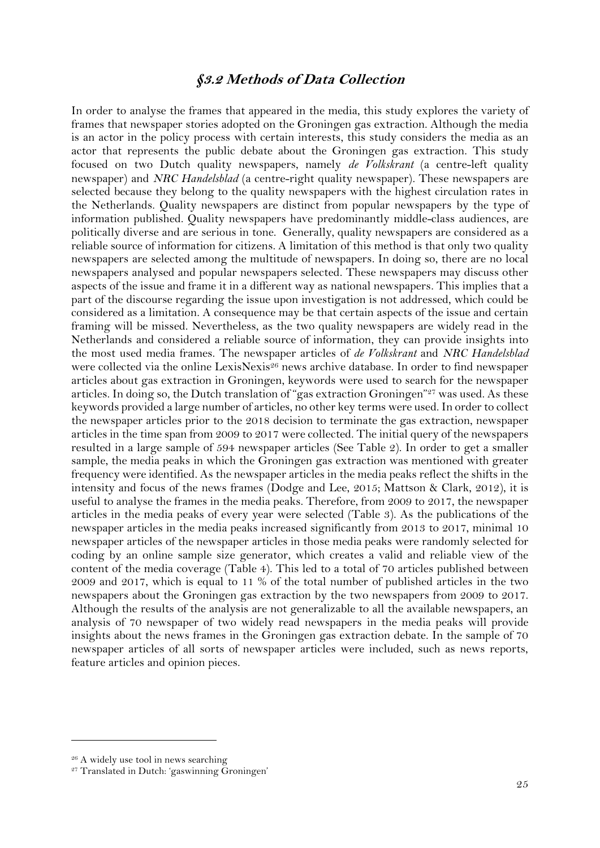#### **§3.2 Methods of Data Collection**

<span id="page-25-0"></span>In order to analyse the frames that appeared in the media, this study explores the variety of frames that newspaper stories adopted on the Groningen gas extraction. Although the media is an actor in the policy process with certain interests, this study considers the media as an actor that represents the public debate about the Groningen gas extraction. This study focused on two Dutch quality newspapers, namely *de Volkskrant* (a centre-left quality newspaper) and *NRC Handelsblad* (a centre-right quality newspaper)*.* These newspapers are selected because they belong to the quality newspapers with the highest circulation rates in the Netherlands. Quality newspapers are distinct from popular newspapers by the type of information published. Quality newspapers have predominantly middle-class audiences, are politically diverse and are serious in tone. Generally, quality newspapers are considered as a reliable source of information for citizens. A limitation of this method is that only two quality newspapers are selected among the multitude of newspapers. In doing so, there are no local newspapers analysed and popular newspapers selected. These newspapers may discuss other aspects of the issue and frame it in a different way as national newspapers. This implies that a part of the discourse regarding the issue upon investigation is not addressed, which could be considered as a limitation. A consequence may be that certain aspects of the issue and certain framing will be missed. Nevertheless, as the two quality newspapers are widely read in the Netherlands and considered a reliable source of information, they can provide insights into the most used media frames. The newspaper articles of *de Volkskrant* and *NRC Handelsblad* were collected via the online LexisNexis<sup>26</sup> news archive database. In order to find newspaper articles about gas extraction in Groningen, keywords were used to search for the newspaper articles. In doing so, the Dutch translation of "gas extraction Groningen"<sup>27</sup> was used. As these keywords provided a large number of articles, no other key terms were used. In order to collect the newspaper articles prior to the 2018 decision to terminate the gas extraction, newspaper articles in the time span from 2009 to 2017 were collected. The initial query of the newspapers resulted in a large sample of 594 newspaper articles (See Table 2). In order to get a smaller sample, the media peaks in which the Groningen gas extraction was mentioned with greater frequency were identified. As the newspaper articles in the media peaks reflect the shifts in the intensity and focus of the news frames (Dodge and Lee, 2015; Mattson & Clark, 2012), it is useful to analyse the frames in the media peaks. Therefore, from 2009 to 2017, the newspaper articles in the media peaks of every year were selected (Table 3). As the publications of the newspaper articles in the media peaks increased significantly from 2013 to 2017, minimal 10 newspaper articles of the newspaper articles in those media peaks were randomly selected for coding by an online sample size generator, which creates a valid and reliable view of the content of the media coverage (Table 4). This led to a total of 70 articles published between 2009 and 2017, which is equal to 11 % of the total number of published articles in the two newspapers about the Groningen gas extraction by the two newspapers from 2009 to 2017. Although the results of the analysis are not generalizable to all the available newspapers, an analysis of 70 newspaper of two widely read newspapers in the media peaks will provide insights about the news frames in the Groningen gas extraction debate. In the sample of 70 newspaper articles of all sorts of newspaper articles were included, such as news reports, feature articles and opinion pieces.

<sup>&</sup>lt;sup>26</sup> A widely use tool in news searching

<sup>27</sup> Translated in Dutch: 'gaswinning Groningen'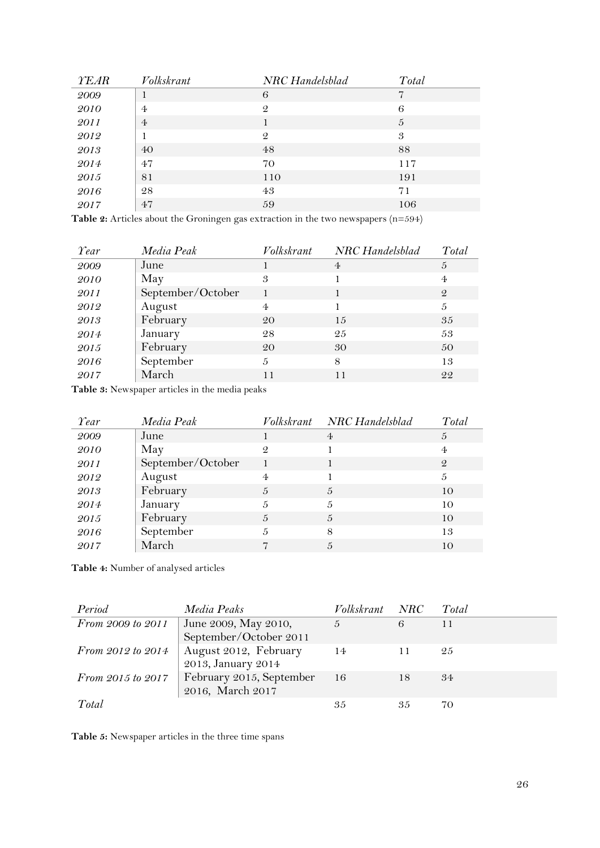| <b>YEAR</b> | Volkskrant     | NRC Handelsblad | Total |
|-------------|----------------|-----------------|-------|
| 2009        |                | 6               | 7     |
| <i>2010</i> | $\overline{4}$ | $\mathcal{Q}$   | 6     |
| 2011        | $\overline{4}$ |                 | 5     |
| 2012        |                | $\mathcal{Q}$   | 3     |
| 2013        | 40             | 48              | 88    |
| 2014        | 47             | 70              | 117   |
| 2015        | 81             | 110             | 191   |
| 2016        | 28             | 43              | 71    |
| 2017        | 47             | 59              | 106   |

<span id="page-26-0"></span>**Table 2:** Articles about the Groningen gas extraction in the two newspapers (n=594)

| Year | Media Peak        | Volkskrant     | NRC Handelsblad | Total         |
|------|-------------------|----------------|-----------------|---------------|
| 2009 | June              |                | $\overline{4}$  | 5             |
| 2010 | May               | 3              |                 | 4             |
| 2011 | September/October |                |                 | $\mathcal{Q}$ |
| 2012 | August            | $\overline{4}$ |                 | 5             |
| 2013 | February          | 20             | 15              | 35            |
| 2014 | January           | 28             | 25              | 53            |
| 2015 | February          | 20             | 30              | 50            |
| 2016 | September         | 5              | 8               | 13            |
| 2017 | March             | 11             | 11              | 22            |

<span id="page-26-1"></span>**Table 3:** Newspaper articles in the media peaks

| Year | Media Peak        |                | Volkskrant NRC Handelsblad | Total         |
|------|-------------------|----------------|----------------------------|---------------|
| 2009 | June              |                | $\overline{4}$             | 5             |
| 2010 | May               | $\mathcal{Q}$  |                            | 4             |
| 2011 | September/October |                |                            | $\mathcal{Q}$ |
| 2012 | August            | $\overline{4}$ |                            | 5             |
| 2013 | February          | 5              | 5                          | 10            |
| 2014 | January           | 5              | 5                          | 10            |
| 2015 | February          | 5              | $\frac{5}{2}$              | 10            |
| 2016 | September         | 5              | 8                          | 13            |
| 2017 | March             |                | $\frac{5}{2}$              | 10            |

<span id="page-26-2"></span>**Table 4:** Number of analysed articles

| Period            | Media Peaks                                  | Volkskrant NRC |    | Total |
|-------------------|----------------------------------------------|----------------|----|-------|
| From 2009 to 2011 | June 2009, May 2010,                         | $\sqrt{2}$     | 6  | 11    |
|                   | September/October 2011                       |                |    |       |
| From 2012 to 2014 | August 2012, February                        | - 14           |    | 25    |
|                   | 2013, January 2014                           |                |    |       |
|                   | From 2015 to 2017   February 2015, September | - 16           | 18 | .34   |
|                   | 2016, March 2017                             |                |    |       |
| Total             |                                              | 35             | 35 | 70    |

<span id="page-26-3"></span>**Table 5:** Newspaper articles in the three time spans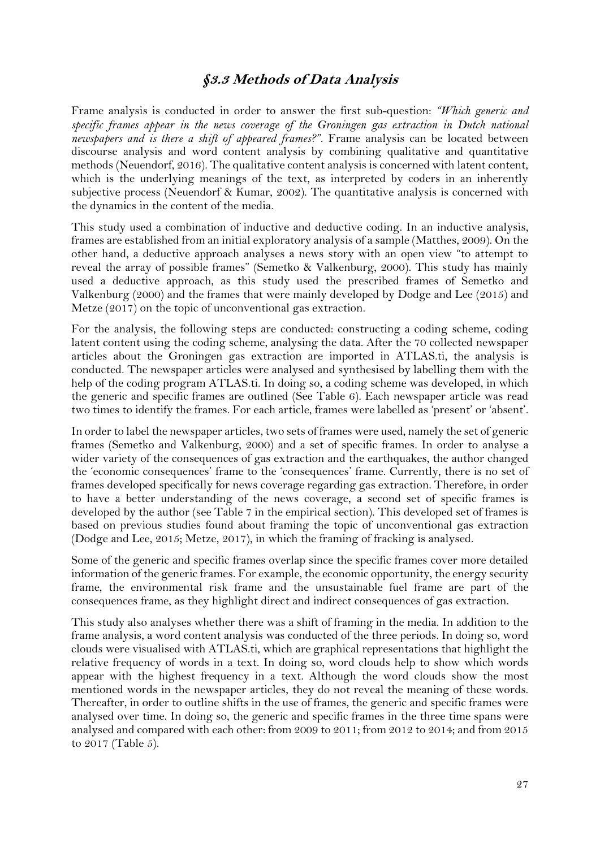## **§3.3 Methods of Data Analysis**

<span id="page-27-0"></span>Frame analysis is conducted in order to answer the first sub-question: *"Which generic and specific frames appear in the news coverage of the Groningen gas extraction in Dutch national newspapers and is there a shift of appeared frames?"*. Frame analysis can be located between discourse analysis and word content analysis by combining qualitative and quantitative methods (Neuendorf, 2016). The qualitative content analysis is concerned with latent content, which is the underlying meanings of the text, as interpreted by coders in an inherently subjective process (Neuendorf & Kumar, 2002). The quantitative analysis is concerned with the dynamics in the content of the media.

This study used a combination of inductive and deductive coding. In an inductive analysis, frames are established from an initial exploratory analysis of a sample (Matthes, 2009). On the other hand, a deductive approach analyses a news story with an open view "to attempt to reveal the array of possible frames" (Semetko & Valkenburg, 2000). This study has mainly used a deductive approach, as this study used the prescribed frames of Semetko and Valkenburg (2000) and the frames that were mainly developed by Dodge and Lee (2015) and Metze (2017) on the topic of unconventional gas extraction.

For the analysis, the following steps are conducted: constructing a coding scheme, coding latent content using the coding scheme, analysing the data. After the 70 collected newspaper articles about the Groningen gas extraction are imported in ATLAS.ti, the analysis is conducted. The newspaper articles were analysed and synthesised by labelling them with the help of the coding program ATLAS.ti. In doing so, a coding scheme was developed, in which the generic and specific frames are outlined (See Table 6). Each newspaper article was read two times to identify the frames. For each article, frames were labelled as 'present' or 'absent'.

In order to label the newspaper articles, two sets of frames were used, namely the set of generic frames (Semetko and Valkenburg, 2000) and a set of specific frames. In order to analyse a wider variety of the consequences of gas extraction and the earthquakes, the author changed the 'economic consequences' frame to the 'consequences' frame. Currently, there is no set of frames developed specifically for news coverage regarding gas extraction. Therefore, in order to have a better understanding of the news coverage, a second set of specific frames is developed by the author (see Table 7 in the empirical section). This developed set of frames is based on previous studies found about framing the topic of unconventional gas extraction (Dodge and Lee, 2015; Metze, 2017), in which the framing of fracking is analysed.

Some of the generic and specific frames overlap since the specific frames cover more detailed information of the generic frames. For example, the economic opportunity, the energy security frame, the environmental risk frame and the unsustainable fuel frame are part of the consequences frame, as they highlight direct and indirect consequences of gas extraction.

This study also analyses whether there was a shift of framing in the media. In addition to the frame analysis, a word content analysis was conducted of the three periods. In doing so, word clouds were visualised with ATLAS.ti, which are graphical representations that highlight the relative frequency of words in a text. In doing so, word clouds help to show which words appear with the highest frequency in a text. Although the word clouds show the most mentioned words in the newspaper articles, they do not reveal the meaning of these words. Thereafter, in order to outline shifts in the use of frames, the generic and specific frames were analysed over time. In doing so, the generic and specific frames in the three time spans were analysed and compared with each other: from 2009 to 2011; from 2012 to 2014; and from 2015 to 2017 (Table 5).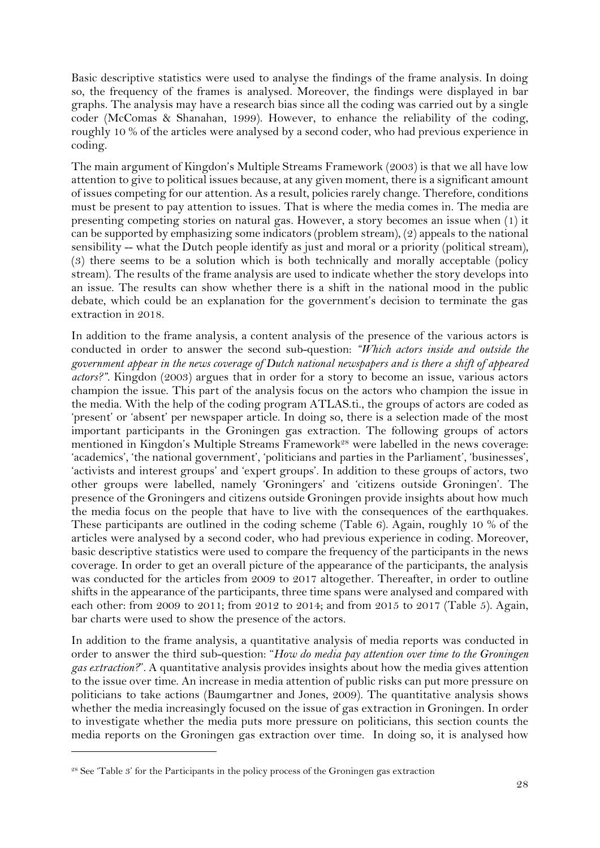Basic descriptive statistics were used to analyse the findings of the frame analysis. In doing so, the frequency of the frames is analysed. Moreover, the findings were displayed in bar graphs. The analysis may have a research bias since all the coding was carried out by a single coder (McComas & Shanahan, 1999). However, to enhance the reliability of the coding, roughly 10 % of the articles were analysed by a second coder, who had previous experience in coding.

The main argument of Kingdon's Multiple Streams Framework (2003) is that we all have low attention to give to political issues because, at any given moment, there is a significant amount of issues competing for our attention. As a result, policies rarely change. Therefore, conditions must be present to pay attention to issues. That is where the media comes in. The media are presenting competing stories on natural gas. However, a story becomes an issue when (1) it can be supported by emphasizing some indicators (problem stream), (2) appeals to the national sensibility -- what the Dutch people identify as just and moral or a priority (political stream), (3) there seems to be a solution which is both technically and morally acceptable (policy stream). The results of the frame analysis are used to indicate whether the story develops into an issue. The results can show whether there is a shift in the national mood in the public debate, which could be an explanation for the government's decision to terminate the gas extraction in 2018.

In addition to the frame analysis, a content analysis of the presence of the various actors is conducted in order to answer the second sub-question: *"Which actors inside and outside the government appear in the news coverage of Dutch national newspapers and is there a shift of appeared actors?"*. Kingdon (2003) argues that in order for a story to become an issue, various actors champion the issue. This part of the analysis focus on the actors who champion the issue in the media. With the help of the coding program ATLAS.ti., the groups of actors are coded as 'present' or 'absent' per newspaper article. In doing so, there is a selection made of the most important participants in the Groningen gas extraction. The following groups of actors mentioned in Kingdon's Multiple Streams Framework<sup>28</sup> were labelled in the news coverage: 'academics', 'the national government', 'politicians and parties in the Parliament', 'businesses', 'activists and interest groups' and 'expert groups'. In addition to these groups of actors, two other groups were labelled, namely 'Groningers' and 'citizens outside Groningen'. The presence of the Groningers and citizens outside Groningen provide insights about how much the media focus on the people that have to live with the consequences of the earthquakes. These participants are outlined in the coding scheme (Table 6). Again, roughly 10 % of the articles were analysed by a second coder, who had previous experience in coding. Moreover, basic descriptive statistics were used to compare the frequency of the participants in the news coverage. In order to get an overall picture of the appearance of the participants, the analysis was conducted for the articles from 2009 to 2017 altogether. Thereafter, in order to outline shifts in the appearance of the participants, three time spans were analysed and compared with each other: from 2009 to 2011; from 2012 to 2014; and from 2015 to 2017 (Table 5). Again, bar charts were used to show the presence of the actors.

In addition to the frame analysis, a quantitative analysis of media reports was conducted in order to answer the third sub-question: "*How do media pay attention over time to the Groningen gas extraction?*". A quantitative analysis provides insights about how the media gives attention to the issue over time. An increase in media attention of public risks can put more pressure on politicians to take actions (Baumgartner and Jones, 2009). The quantitative analysis shows whether the media increasingly focused on the issue of gas extraction in Groningen. In order to investigate whether the media puts more pressure on politicians, this section counts the media reports on the Groningen gas extraction over time. In doing so, it is analysed how

<sup>28</sup> See 'Table 3' for the Participants in the policy process of the Groningen gas extraction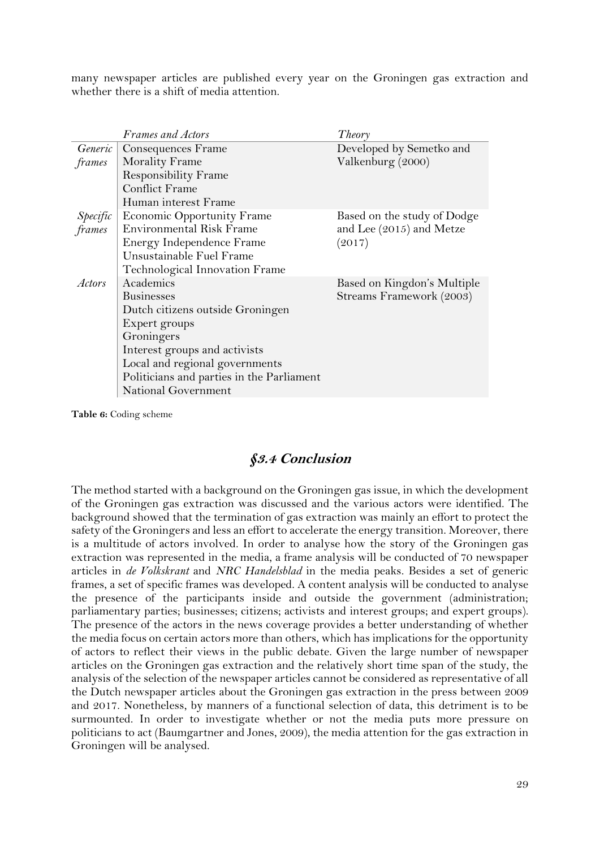many newspaper articles are published every year on the Groningen gas extraction and whether there is a shift of media attention.

|               | Frames and Actors                         | Theory                      |
|---------------|-------------------------------------------|-----------------------------|
|               | <i>Generic</i>   Consequences Frame       | Developed by Semetko and    |
| frames        | <b>Morality Frame</b>                     | Valkenburg (2000)           |
|               | <b>Responsibility Frame</b>               |                             |
|               | <b>Conflict Frame</b>                     |                             |
|               | Human interest Frame                      |                             |
| Specific      | <b>Economic Opportunity Frame</b>         | Based on the study of Dodge |
| frames        | <b>Environmental Risk Frame</b>           | and Lee (2015) and Metze    |
|               | Energy Independence Frame                 | (2017)                      |
|               | Unsustainable Fuel Frame                  |                             |
|               | Technological Innovation Frame            |                             |
| <i>Actors</i> | Academics                                 | Based on Kingdon's Multiple |
|               | <b>Businesses</b>                         | Streams Framework (2003)    |
|               | Dutch citizens outside Groningen          |                             |
|               | Expert groups                             |                             |
|               | Groningers                                |                             |
|               | Interest groups and activists             |                             |
|               | Local and regional governments            |                             |
|               | Politicians and parties in the Parliament |                             |
|               | National Government                       |                             |

<span id="page-29-1"></span>**Table 6:** Coding scheme

#### **§3.4 Conclusion**

<span id="page-29-0"></span>The method started with a background on the Groningen gas issue, in which the development of the Groningen gas extraction was discussed and the various actors were identified. The background showed that the termination of gas extraction was mainly an effort to protect the safety of the Groningers and less an effort to accelerate the energy transition. Moreover, there is a multitude of actors involved. In order to analyse how the story of the Groningen gas extraction was represented in the media, a frame analysis will be conducted of 70 newspaper articles in *de Volkskrant* and *NRC Handelsblad* in the media peaks. Besides a set of generic frames, a set of specific frames was developed. A content analysis will be conducted to analyse the presence of the participants inside and outside the government (administration; parliamentary parties; businesses; citizens; activists and interest groups; and expert groups). The presence of the actors in the news coverage provides a better understanding of whether the media focus on certain actors more than others, which has implications for the opportunity of actors to reflect their views in the public debate. Given the large number of newspaper articles on the Groningen gas extraction and the relatively short time span of the study, the analysis of the selection of the newspaper articles cannot be considered as representative of all the Dutch newspaper articles about the Groningen gas extraction in the press between 2009 and 2017. Nonetheless, by manners of a functional selection of data, this detriment is to be surmounted. In order to investigate whether or not the media puts more pressure on politicians to act (Baumgartner and Jones, 2009), the media attention for the gas extraction in Groningen will be analysed.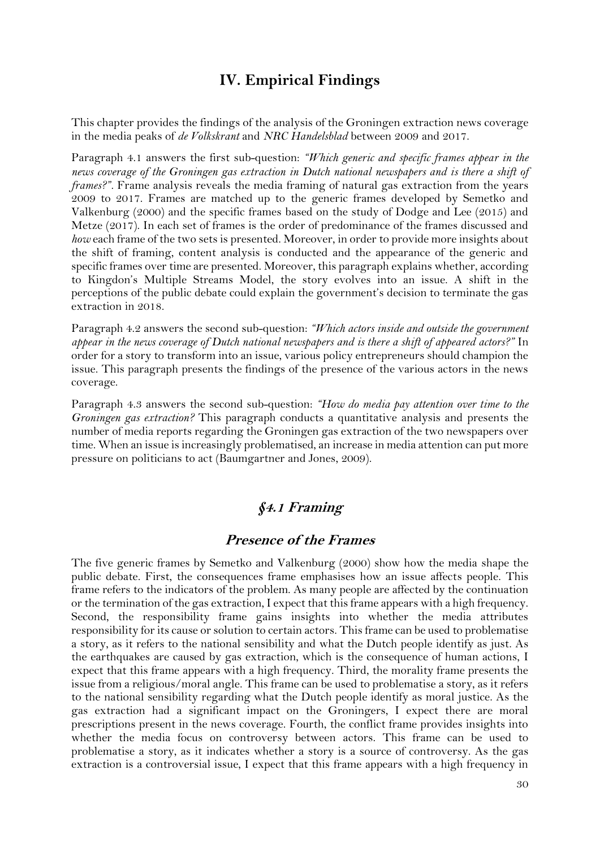## **IV. Empirical Findings**

<span id="page-30-0"></span>This chapter provides the findings of the analysis of the Groningen extraction news coverage in the media peaks of *de Volkskrant* and *NRC Handelsblad* between 2009 and 2017.

Paragraph 4.1 answers the first sub-question: *"Which generic and specific frames appear in the news coverage of the Groningen gas extraction in Dutch national newspapers and is there a shift of frames?".* Frame analysis reveals the media framing of natural gas extraction from the years 2009 to 2017. Frames are matched up to the generic frames developed by Semetko and Valkenburg (2000) and the specific frames based on the study of Dodge and Lee (2015) and Metze (2017). In each set of frames is the order of predominance of the frames discussed and *how* each frame of the two sets is presented. Moreover, in order to provide more insights about the shift of framing, content analysis is conducted and the appearance of the generic and specific frames over time are presented. Moreover, this paragraph explains whether, according to Kingdon's Multiple Streams Model, the story evolves into an issue. A shift in the perceptions of the public debate could explain the government's decision to terminate the gas extraction in 2018.

Paragraph 4.2 answers the second sub-question: *"Which actors inside and outside the government appear in the news coverage of Dutch national newspapers and is there a shift of appeared actors?"* In order for a story to transform into an issue, various policy entrepreneurs should champion the issue. This paragraph presents the findings of the presence of the various actors in the news coverage.

Paragraph 4.3 answers the second sub-question: *"How do media pay attention over time to the Groningen gas extraction?* This paragraph conducts a quantitative analysis and presents the number of media reports regarding the Groningen gas extraction of the two newspapers over time. When an issue is increasingly problematised, an increase in media attention can put more pressure on politicians to act (Baumgartner and Jones, 2009).

## **§4.1 Framing**

#### **Presence of the Frames**

<span id="page-30-1"></span>The five generic frames by Semetko and Valkenburg (2000) show how the media shape the public debate. First, the consequences frame emphasises how an issue affects people. This frame refers to the indicators of the problem. As many people are affected by the continuation or the termination of the gas extraction, I expect that this frame appears with a high frequency. Second, the responsibility frame gains insights into whether the media attributes responsibility for its cause or solution to certain actors. This frame can be used to problematise a story, as it refers to the national sensibility and what the Dutch people identify as just. As the earthquakes are caused by gas extraction, which is the consequence of human actions, I expect that this frame appears with a high frequency. Third, the morality frame presents the issue from a religious/moral angle. This frame can be used to problematise a story, as it refers to the national sensibility regarding what the Dutch people identify as moral justice. As the gas extraction had a significant impact on the Groningers, I expect there are moral prescriptions present in the news coverage. Fourth, the conflict frame provides insights into whether the media focus on controversy between actors. This frame can be used to problematise a story, as it indicates whether a story is a source of controversy. As the gas extraction is a controversial issue, I expect that this frame appears with a high frequency in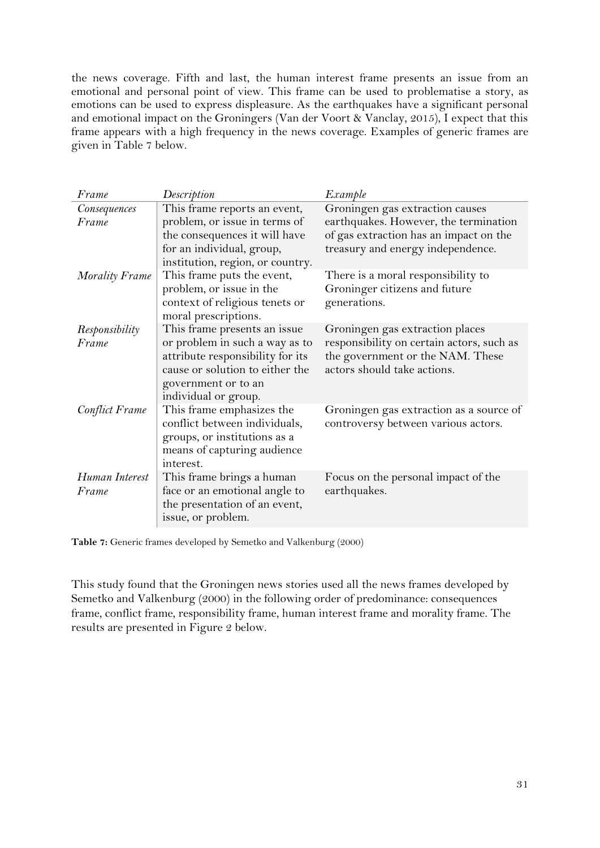the news coverage. Fifth and last, the human interest frame presents an issue from an emotional and personal point of view. This frame can be used to problematise a story, as emotions can be used to express displeasure. As the earthquakes have a significant personal and emotional impact on the Groningers (Van der Voort & Vanclay, 2015), I expect that this frame appears with a high frequency in the news coverage. Examples of generic frames are given in Table 7 below.

| Frame                 | Description                              | Example                                   |
|-----------------------|------------------------------------------|-------------------------------------------|
| Consequences          | This frame reports an event,             | Groningen gas extraction causes           |
| Frame                 | problem, or issue in terms of            | earthquakes. However, the termination     |
|                       | the consequences it will have            | of gas extraction has an impact on the    |
|                       | for an individual, group,                | treasury and energy independence.         |
|                       | institution, region, or country.         |                                           |
| <b>Morality Frame</b> | This frame puts the event,               | There is a moral responsibility to        |
|                       | problem, or issue in the                 | Groninger citizens and future             |
|                       | context of religious tenets or           | generations.                              |
|                       | moral prescriptions.                     |                                           |
| Responsibility        | This frame presents an issue             | Groningen gas extraction places           |
| Frame                 | or problem in such a way as to           | responsibility on certain actors, such as |
|                       | attribute responsibility for its         | the government or the NAM. These          |
|                       | cause or solution to either the          | actors should take actions.               |
|                       | government or to an                      |                                           |
|                       | individual or group.                     |                                           |
| Conflict Frame        | This frame emphasizes the                | Groningen gas extraction as a source of   |
|                       | conflict between individuals,            | controversy between various actors.       |
|                       | groups, or institutions as a             |                                           |
|                       | means of capturing audience<br>interest. |                                           |
| Human Interest        | This frame brings a human                | Focus on the personal impact of the       |
| Frame                 | face or an emotional angle to            | earthquakes.                              |
|                       | the presentation of an event,            |                                           |
|                       | issue, or problem.                       |                                           |
|                       |                                          |                                           |

<span id="page-31-0"></span>**Table 7:** Generic frames developed by Semetko and Valkenburg (2000)

This study found that the Groningen news stories used all the news frames developed by Semetko and Valkenburg (2000) in the following order of predominance: consequences frame, conflict frame, responsibility frame, human interest frame and morality frame. The results are presented in Figure 2 below.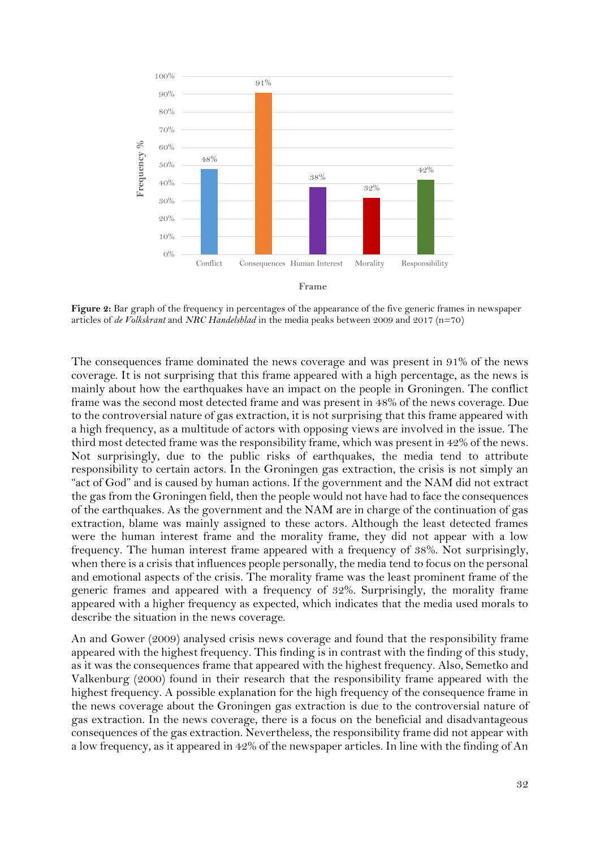

<span id="page-32-0"></span>**Figure 2:** Bar graph of the frequency in percentages of the appearance of the five generic frames in newspaper articles of *de Volkskrant* and *NRC Handelsblad* in the media peaks between 2009 and 2017 (n=70)

The consequences frame dominated the news coverage and was present in 91% of the news coverage. It is not surprising that this frame appeared with a high percentage, as the news is mainly about how the earthquakes have an impact on the people in Groningen. The conflict frame was the second most detected frame and was present in 48% of the news coverage. Due to the controversial nature of gas extraction, it is not surprising that this frame appeared with a high frequency, as a multitude of actors with opposing views are involved in the issue. The third most detected frame was the responsibility frame, which was present in 42% of the news. Not surprisingly, due to the public risks of earthquakes, the media tend to attribute responsibility to certain actors. In the Groningen gas extraction, the crisis is not simply an "act of God" and is caused by human actions. If the government and the NAM did not extract the gas from the Groningen field, then the people would not have had to face the consequences of the earthquakes. As the government and the NAM are in charge of the continuation of gas extraction, blame was mainly assigned to these actors. Although the least detected frames were the human interest frame and the morality frame, they did not appear with a low frequency. The human interest frame appeared with a frequency of 38%. Not surprisingly, when there is a crisis that influences people personally, the media tend to focus on the personal and emotional aspects of the crisis. The morality frame was the least prominent frame of the generic frames and appeared with a frequency of 32%. Surprisingly, the morality frame appeared with a higher frequency as expected, which indicates that the media used morals to describe the situation in the news coverage.

An and Gower (2009) analysed crisis news coverage and found that the responsibility frame appeared with the highest frequency. This finding is in contrast with the finding of this study, as it was the consequences frame that appeared with the highest frequency. Also, Semetko and Valkenburg (2000) found in their research that the responsibility frame appeared with the highest frequency. A possible explanation for the high frequency of the consequence frame in the news coverage about the Groningen gas extraction is due to the controversial nature of gas extraction. In the news coverage, there is a focus on the beneficial and disadvantageous consequences of the gas extraction. Nevertheless, the responsibility frame did not appear with a low frequency, as it appeared in 42% of the newspaper articles. In line with the finding of An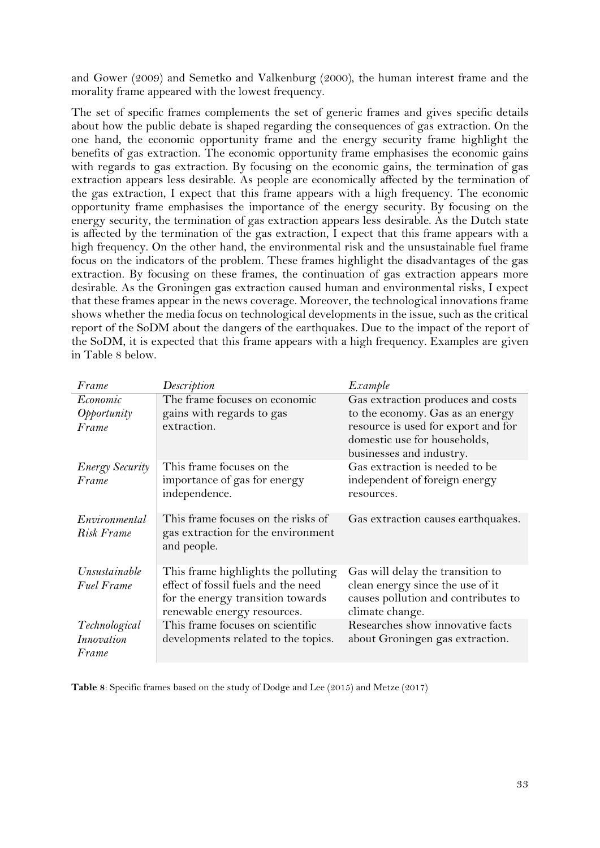and Gower (2009) and Semetko and Valkenburg (2000), the human interest frame and the morality frame appeared with the lowest frequency.

The set of specific frames complements the set of generic frames and gives specific details about how the public debate is shaped regarding the consequences of gas extraction. On the one hand, the economic opportunity frame and the energy security frame highlight the benefits of gas extraction. The economic opportunity frame emphasises the economic gains with regards to gas extraction. By focusing on the economic gains, the termination of gas extraction appears less desirable. As people are economically affected by the termination of the gas extraction, I expect that this frame appears with a high frequency. The economic opportunity frame emphasises the importance of the energy security. By focusing on the energy security, the termination of gas extraction appears less desirable. As the Dutch state is affected by the termination of the gas extraction, I expect that this frame appears with a high frequency. On the other hand, the environmental risk and the unsustainable fuel frame focus on the indicators of the problem. These frames highlight the disadvantages of the gas extraction. By focusing on these frames, the continuation of gas extraction appears more desirable. As the Groningen gas extraction caused human and environmental risks, I expect that these frames appear in the news coverage. Moreover, the technological innovations frame shows whether the media focus on technological developments in the issue, such as the critical report of the SoDM about the dangers of the earthquakes. Due to the impact of the report of the SoDM, it is expected that this frame appears with a high frequency. Examples are given in Table 8 below.

| Frame                       | Description                                                                                             | Example                                                                                         |
|-----------------------------|---------------------------------------------------------------------------------------------------------|-------------------------------------------------------------------------------------------------|
| Economic                    | The frame focuses on economic                                                                           | Gas extraction produces and costs                                                               |
| Opportunity                 | gains with regards to gas                                                                               | to the economy. Gas as an energy                                                                |
| Frame                       | extraction.                                                                                             | resource is used for export and for<br>domestic use for households,<br>businesses and industry. |
| <b>Energy Security</b>      | This frame focuses on the                                                                               | Gas extraction is needed to be                                                                  |
| Frame                       | importance of gas for energy<br>independence.                                                           | independent of foreign energy<br>resources.                                                     |
| Environmental<br>Risk Frame | This frame focuses on the risks of<br>gas extraction for the environment<br>and people.                 | Gas extraction causes earthquakes.                                                              |
| Unsustainable               | This frame highlights the polluting                                                                     | Gas will delay the transition to                                                                |
| <b>Fuel Frame</b>           | effect of fossil fuels and the need<br>for the energy transition towards<br>renewable energy resources. | clean energy since the use of it<br>causes pollution and contributes to<br>climate change.      |
| Technological               | This frame focuses on scientific                                                                        | Researches show innovative facts                                                                |
| Innovation                  | developments related to the topics.                                                                     | about Groningen gas extraction.                                                                 |
| Frame                       |                                                                                                         |                                                                                                 |

**Table 8**: Specific frames based on the study of Dodge and Lee (2015) and Metze (2017)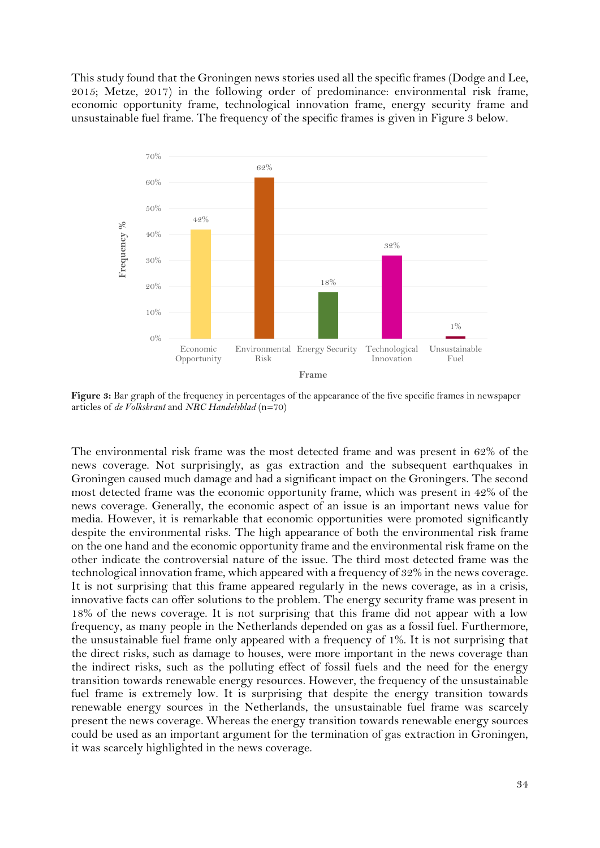This study found that the Groningen news stories used all the specific frames (Dodge and Lee, 2015; Metze, 2017) in the following order of predominance: environmental risk frame, economic opportunity frame, technological innovation frame, energy security frame and unsustainable fuel frame. The frequency of the specific frames is given in Figure 3 below.



<span id="page-34-0"></span>**Figure 3:** Bar graph of the frequency in percentages of the appearance of the five specific frames in newspaper articles of *de Volkskrant* and *NRC Handelsblad* (n=70)

The environmental risk frame was the most detected frame and was present in 62% of the news coverage. Not surprisingly, as gas extraction and the subsequent earthquakes in Groningen caused much damage and had a significant impact on the Groningers. The second most detected frame was the economic opportunity frame, which was present in 42% of the news coverage. Generally, the economic aspect of an issue is an important news value for media. However, it is remarkable that economic opportunities were promoted significantly despite the environmental risks. The high appearance of both the environmental risk frame on the one hand and the economic opportunity frame and the environmental risk frame on the other indicate the controversial nature of the issue. The third most detected frame was the technological innovation frame, which appeared with a frequency of 32% in the news coverage. It is not surprising that this frame appeared regularly in the news coverage, as in a crisis, innovative facts can offer solutions to the problem. The energy security frame was present in 18% of the news coverage. It is not surprising that this frame did not appear with a low frequency, as many people in the Netherlands depended on gas as a fossil fuel. Furthermore, the unsustainable fuel frame only appeared with a frequency of 1%. It is not surprising that the direct risks, such as damage to houses, were more important in the news coverage than the indirect risks, such as the polluting effect of fossil fuels and the need for the energy transition towards renewable energy resources. However, the frequency of the unsustainable fuel frame is extremely low. It is surprising that despite the energy transition towards renewable energy sources in the Netherlands, the unsustainable fuel frame was scarcely present the news coverage. Whereas the energy transition towards renewable energy sources could be used as an important argument for the termination of gas extraction in Groningen, it was scarcely highlighted in the news coverage.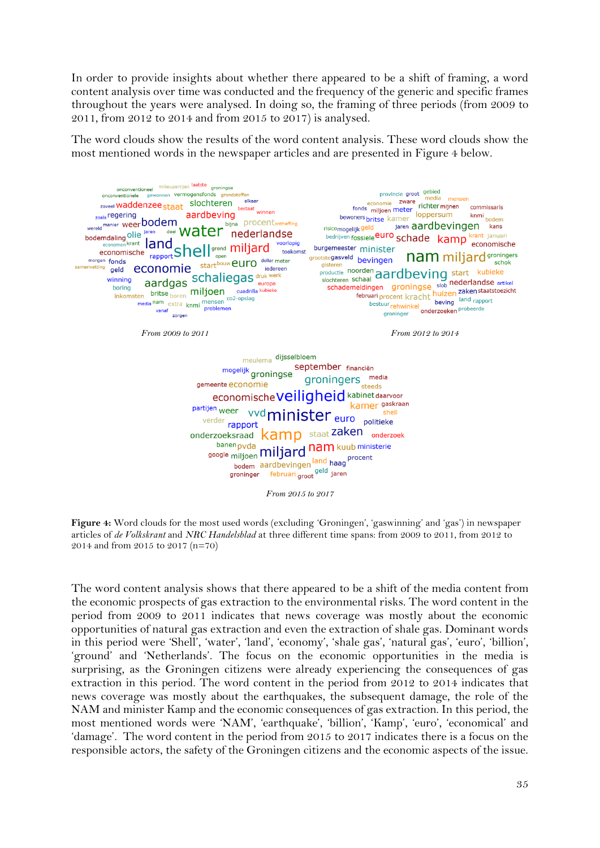In order to provide insights about whether there appeared to be a shift of framing, a word content analysis over time was conducted and the frequency of the generic and specific frames throughout the years were analysed. In doing so, the framing of three periods (from 2009 to 2011, from 2012 to 2014 and from 2015 to 2017) is analysed.

The word clouds show the results of the word content analysis. These word clouds show the most mentioned words in the newspaper articles and are presented in Figure 4 below.



<span id="page-35-0"></span>**Figure 4:** Word clouds for the most used words (excluding 'Groningen', 'gaswinning' and 'gas') in newspaper articles of *de Volkskrant* and *NRC Handelsblad* at three different time spans: from 2009 to 2011, from 2012 to 2014 and from 2015 to 2017 (n=70)

The word content analysis shows that there appeared to be a shift of the media content from the economic prospects of gas extraction to the environmental risks. The word content in the period from 2009 to 2011 indicates that news coverage was mostly about the economic opportunities of natural gas extraction and even the extraction of shale gas. Dominant words in this period were 'Shell', 'water', 'land', 'economy', 'shale gas', 'natural gas', 'euro', 'billion', 'ground' and 'Netherlands'. The focus on the economic opportunities in the media is surprising, as the Groningen citizens were already experiencing the consequences of gas extraction in this period. The word content in the period from 2012 to 2014 indicates that news coverage was mostly about the earthquakes, the subsequent damage, the role of the NAM and minister Kamp and the economic consequences of gas extraction. In this period, the most mentioned words were 'NAM', 'earthquake', 'billion', 'Kamp', 'euro', 'economical' and 'damage'. The word content in the period from 2015 to 2017 indicates there is a focus on the responsible actors, the safety of the Groningen citizens and the economic aspects of the issue.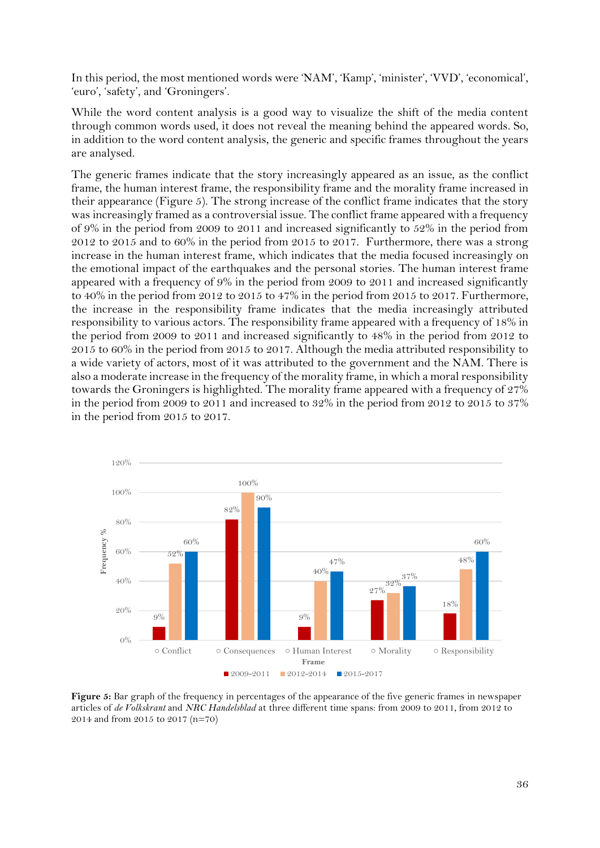In this period, the most mentioned words were 'NAM', 'Kamp', 'minister', 'VVD', 'economical', 'euro', 'safety', and 'Groningers'.

While the word content analysis is a good way to visualize the shift of the media content through common words used, it does not reveal the meaning behind the appeared words. So, in addition to the word content analysis, the generic and specific frames throughout the years are analysed.

The generic frames indicate that the story increasingly appeared as an issue, as the conflict frame, the human interest frame, the responsibility frame and the morality frame increased in their appearance (Figure 5). The strong increase of the conflict frame indicates that the story was increasingly framed as a controversial issue. The conflict frame appeared with a frequency of 9% in the period from 2009 to 2011 and increased significantly to 52% in the period from 2012 to 2015 and to 60% in the period from 2015 to 2017. Furthermore, there was a strong increase in the human interest frame, which indicates that the media focused increasingly on the emotional impact of the earthquakes and the personal stories. The human interest frame appeared with a frequency of 9% in the period from 2009 to 2011 and increased significantly to 40% in the period from 2012 to 2015 to 47% in the period from 2015 to 2017. Furthermore, the increase in the responsibility frame indicates that the media increasingly attributed responsibility to various actors. The responsibility frame appeared with a frequency of 18% in the period from 2009 to 2011 and increased significantly to 48% in the period from 2012 to 2015 to 60% in the period from 2015 to 2017. Although the media attributed responsibility to a wide variety of actors, most of it was attributed to the government and the NAM. There is also a moderate increase in the frequency of the morality frame, in which a moral responsibility towards the Groningers is highlighted. The morality frame appeared with a frequency of 27% in the period from 2009 to 2011 and increased to 32% in the period from 2012 to 2015 to 37% in the period from 2015 to 2017.



<span id="page-36-0"></span>**Figure 5:** Bar graph of the frequency in percentages of the appearance of the five generic frames in newspaper articles of *de Volkskrant* and *NRC Handelsblad* at three different time spans: from 2009 to 2011, from 2012 to 2014 and from 2015 to 2017 (n=70)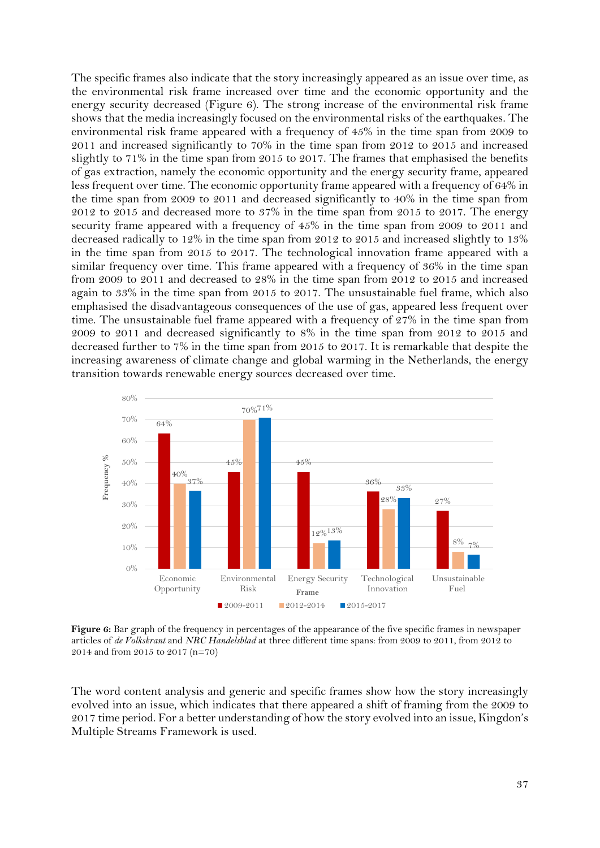The specific frames also indicate that the story increasingly appeared as an issue over time, as the environmental risk frame increased over time and the economic opportunity and the energy security decreased (Figure 6). The strong increase of the environmental risk frame shows that the media increasingly focused on the environmental risks of the earthquakes. The environmental risk frame appeared with a frequency of 45% in the time span from 2009 to 2011 and increased significantly to 70% in the time span from 2012 to 2015 and increased slightly to 71% in the time span from 2015 to 2017. The frames that emphasised the benefits of gas extraction, namely the economic opportunity and the energy security frame, appeared less frequent over time. The economic opportunity frame appeared with a frequency of 64% in the time span from 2009 to 2011 and decreased significantly to 40% in the time span from 2012 to 2015 and decreased more to 37% in the time span from 2015 to 2017. The energy security frame appeared with a frequency of 45% in the time span from 2009 to 2011 and decreased radically to 12% in the time span from 2012 to 2015 and increased slightly to 13% in the time span from 2015 to 2017. The technological innovation frame appeared with a similar frequency over time. This frame appeared with a frequency of 36% in the time span from 2009 to 2011 and decreased to 28% in the time span from 2012 to 2015 and increased again to 33% in the time span from 2015 to 2017. The unsustainable fuel frame, which also emphasised the disadvantageous consequences of the use of gas, appeared less frequent over time. The unsustainable fuel frame appeared with a frequency of 27% in the time span from 2009 to 2011 and decreased significantly to 8% in the time span from 2012 to 2015 and decreased further to 7% in the time span from 2015 to 2017. It is remarkable that despite the increasing awareness of climate change and global warming in the Netherlands, the energy transition towards renewable energy sources decreased over time.



<span id="page-37-0"></span>**Figure 6:** Bar graph of the frequency in percentages of the appearance of the five specific frames in newspaper articles of *de Volkskrant* and *NRC Handelsblad* at three different time spans: from 2009 to 2011, from 2012 to 2014 and from 2015 to 2017 (n=70)

The word content analysis and generic and specific frames show how the story increasingly evolved into an issue, which indicates that there appeared a shift of framing from the 2009 to 2017 time period. For a better understanding of how the story evolved into an issue, Kingdon's Multiple Streams Framework is used.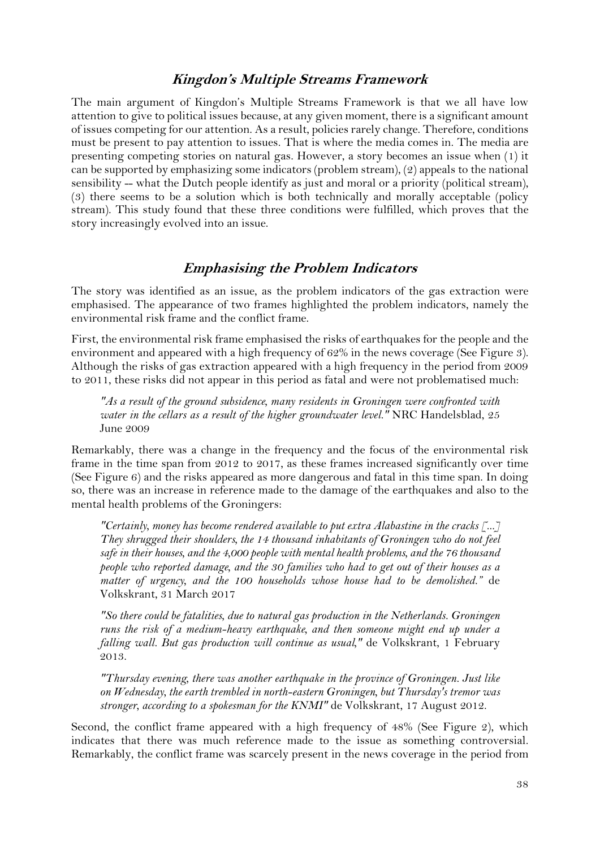#### **Kingdon's Multiple Streams Framework**

The main argument of Kingdon's Multiple Streams Framework is that we all have low attention to give to political issues because, at any given moment, there is a significant amount of issues competing for our attention. As a result, policies rarely change. Therefore, conditions must be present to pay attention to issues. That is where the media comes in. The media are presenting competing stories on natural gas. However, a story becomes an issue when (1) it can be supported by emphasizing some indicators (problem stream), (2) appeals to the national sensibility -- what the Dutch people identify as just and moral or a priority (political stream), (3) there seems to be a solution which is both technically and morally acceptable (policy stream). This study found that these three conditions were fulfilled, which proves that the story increasingly evolved into an issue.

#### **Emphasising the Problem Indicators**

The story was identified as an issue, as the problem indicators of the gas extraction were emphasised. The appearance of two frames highlighted the problem indicators, namely the environmental risk frame and the conflict frame.

First, the environmental risk frame emphasised the risks of earthquakes for the people and the environment and appeared with a high frequency of 62% in the news coverage (See Figure 3). Although the risks of gas extraction appeared with a high frequency in the period from 2009 to 2011, these risks did not appear in this period as fatal and were not problematised much:

*"As a result of the ground subsidence, many residents in Groningen were confronted with water in the cellars as a result of the higher groundwater level."* NRC Handelsblad, 25 June 2009

Remarkably, there was a change in the frequency and the focus of the environmental risk frame in the time span from 2012 to 2017, as these frames increased significantly over time (See Figure 6) and the risks appeared as more dangerous and fatal in this time span. In doing so, there was an increase in reference made to the damage of the earthquakes and also to the mental health problems of the Groningers:

*"Certainly, money has become rendered available to put extra Alabastine in the cracks [...] They shrugged their shoulders, the 14 thousand inhabitants of Groningen who do not feel safe in their houses, and the 4,000 people with mental health problems, and the 76 thousand people who reported damage, and the 30 families who had to get out of their houses as a matter of urgency, and the 100 households whose house had to be demolished."* de Volkskrant, 31 March 2017

*"So there could be fatalities, due to natural gas production in the Netherlands. Groningen runs the risk of a medium-heavy earthquake, and then someone might end up under a falling wall. But gas production will continue as usual,"* de Volkskrant, 1 February 2013.

*"Thursday evening, there was another earthquake in the province of Groningen. Just like on Wednesday, the earth trembled in north-eastern Groningen, but Thursday's tremor was stronger, according to a spokesman for the KNMI"* de Volkskrant, 17 August 2012.

Second, the conflict frame appeared with a high frequency of 48% (See Figure 2), which indicates that there was much reference made to the issue as something controversial. Remarkably, the conflict frame was scarcely present in the news coverage in the period from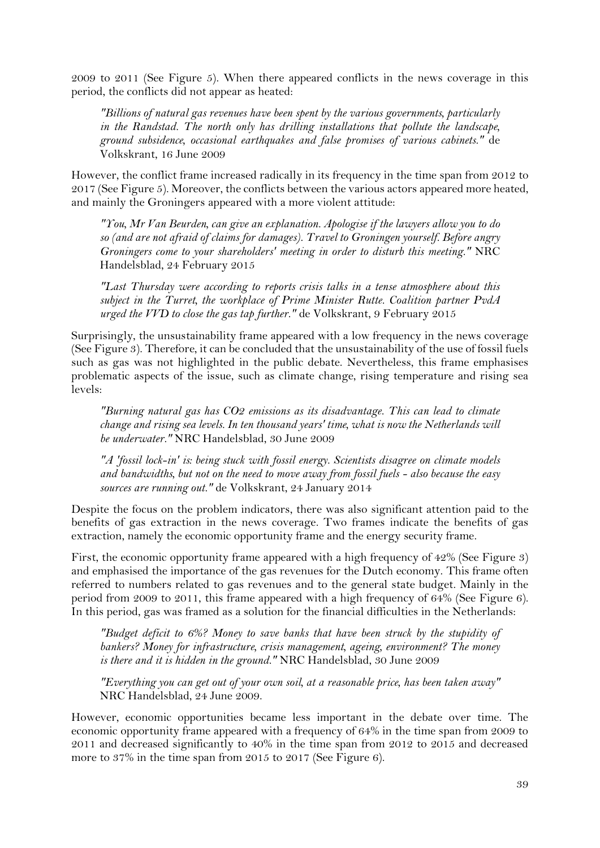2009 to 2011 (See Figure 5). When there appeared conflicts in the news coverage in this period, the conflicts did not appear as heated:

*"Billions of natural gas revenues have been spent by the various governments, particularly in the Randstad. The north only has drilling installations that pollute the landscape, ground subsidence, occasional earthquakes and false promises of various cabinets."* de Volkskrant, 16 June 2009

However, the conflict frame increased radically in its frequency in the time span from 2012 to 2017 (See Figure 5). Moreover, the conflicts between the various actors appeared more heated, and mainly the Groningers appeared with a more violent attitude:

*"You, Mr Van Beurden, can give an explanation. Apologise if the lawyers allow you to do so (and are not afraid of claims for damages). Travel to Groningen yourself. Before angry Groningers come to your shareholders' meeting in order to disturb this meeting."* NRC Handelsblad, 24 February 2015

*"Last Thursday were according to reports crisis talks in a tense atmosphere about this subject in the Turret, the workplace of Prime Minister Rutte. Coalition partner PvdA urged the VVD to close the gas tap further."* de Volkskrant, 9 February 2015

Surprisingly, the unsustainability frame appeared with a low frequency in the news coverage (See Figure 3). Therefore, it can be concluded that the unsustainability of the use of fossil fuels such as gas was not highlighted in the public debate. Nevertheless, this frame emphasises problematic aspects of the issue, such as climate change, rising temperature and rising sea levels:

*"Burning natural gas has CO2 emissions as its disadvantage. This can lead to climate change and rising sea levels. In ten thousand years' time, what is now the Netherlands will be underwater."* NRC Handelsblad, 30 June 2009

*"A 'fossil lock-in' is: being stuck with fossil energy. Scientists disagree on climate models and bandwidths, but not on the need to move away from fossil fuels - also because the easy sources are running out."* de Volkskrant, 24 January 2014

Despite the focus on the problem indicators, there was also significant attention paid to the benefits of gas extraction in the news coverage. Two frames indicate the benefits of gas extraction, namely the economic opportunity frame and the energy security frame.

First, the economic opportunity frame appeared with a high frequency of 42% (See Figure 3) and emphasised the importance of the gas revenues for the Dutch economy. This frame often referred to numbers related to gas revenues and to the general state budget. Mainly in the period from 2009 to 2011, this frame appeared with a high frequency of 64% (See Figure 6). In this period, gas was framed as a solution for the financial difficulties in the Netherlands:

*"Budget deficit to 6%? Money to save banks that have been struck by the stupidity of bankers? Money for infrastructure, crisis management, ageing, environment? The money is there and it is hidden in the ground."* NRC Handelsblad, 30 June 2009

*"Everything you can get out of your own soil, at a reasonable price, has been taken away"*  NRC Handelsblad, 24 June 2009.

However, economic opportunities became less important in the debate over time. The economic opportunity frame appeared with a frequency of 64% in the time span from 2009 to 2011 and decreased significantly to 40% in the time span from 2012 to 2015 and decreased more to 37% in the time span from 2015 to 2017 (See Figure 6).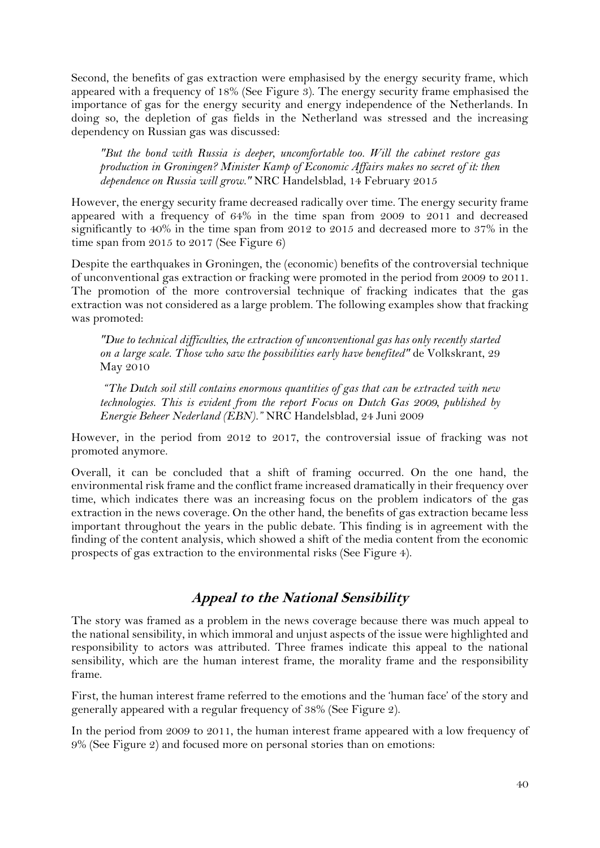Second, the benefits of gas extraction were emphasised by the energy security frame, which appeared with a frequency of 18% (See Figure 3). The energy security frame emphasised the importance of gas for the energy security and energy independence of the Netherlands. In doing so, the depletion of gas fields in the Netherland was stressed and the increasing dependency on Russian gas was discussed:

*"But the bond with Russia is deeper, uncomfortable too. Will the cabinet restore gas production in Groningen? Minister Kamp of Economic Affairs makes no secret of it: then dependence on Russia will grow."* NRC Handelsblad, 14 February 2015

However, the energy security frame decreased radically over time. The energy security frame appeared with a frequency of 64% in the time span from 2009 to 2011 and decreased significantly to 40% in the time span from 2012 to 2015 and decreased more to 37% in the time span from 2015 to 2017 (See Figure 6)

Despite the earthquakes in Groningen, the (economic) benefits of the controversial technique of unconventional gas extraction or fracking were promoted in the period from 2009 to 2011. The promotion of the more controversial technique of fracking indicates that the gas extraction was not considered as a large problem. The following examples show that fracking was promoted:

*"Due to technical difficulties, the extraction of unconventional gas has only recently started on a large scale. Those who saw the possibilities early have benefited"* de Volkskrant, 29 May 2010

*"The Dutch soil still contains enormous quantities of gas that can be extracted with new technologies. This is evident from the report Focus on Dutch Gas 2009, published by Energie Beheer Nederland (EBN)."* NRC Handelsblad, 24 Juni 2009

However, in the period from 2012 to 2017, the controversial issue of fracking was not promoted anymore.

Overall, it can be concluded that a shift of framing occurred. On the one hand, the environmental risk frame and the conflict frame increased dramatically in their frequency over time, which indicates there was an increasing focus on the problem indicators of the gas extraction in the news coverage. On the other hand, the benefits of gas extraction became less important throughout the years in the public debate. This finding is in agreement with the finding of the content analysis, which showed a shift of the media content from the economic prospects of gas extraction to the environmental risks (See Figure 4).

## **Appeal to the National Sensibility**

The story was framed as a problem in the news coverage because there was much appeal to the national sensibility, in which immoral and unjust aspects of the issue were highlighted and responsibility to actors was attributed. Three frames indicate this appeal to the national sensibility, which are the human interest frame, the morality frame and the responsibility frame.

First, the human interest frame referred to the emotions and the 'human face' of the story and generally appeared with a regular frequency of 38% (See Figure 2).

In the period from 2009 to 2011, the human interest frame appeared with a low frequency of 9% (See Figure 2) and focused more on personal stories than on emotions: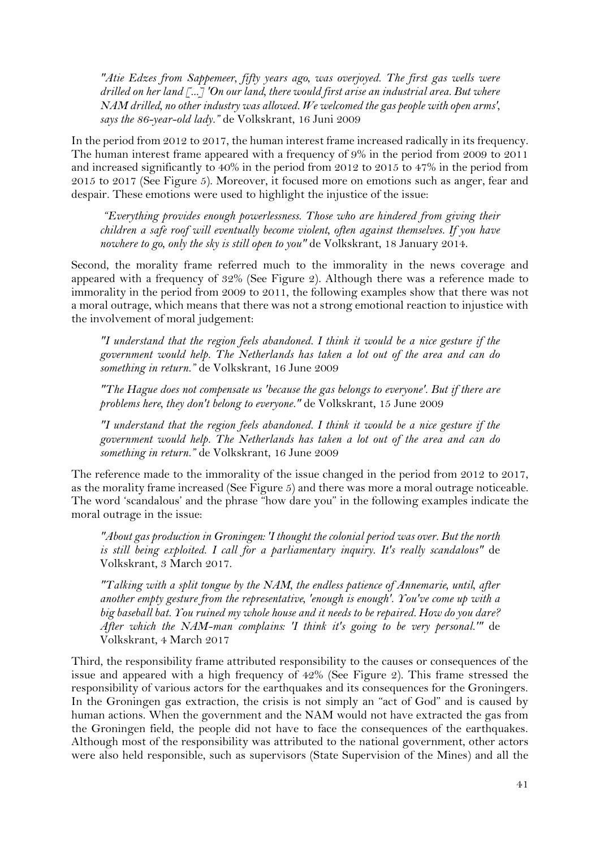*"Atie Edzes from Sappemeer, fifty years ago, was overjoyed. The first gas wells were drilled on her land [...] 'On our land, there would first arise an industrial area. But where NAM drilled, no other industry was allowed. We welcomed the gas people with open arms', says the 86-year-old lady."* de Volkskrant, 16 Juni 2009

In the period from 2012 to 2017, the human interest frame increased radically in its frequency. The human interest frame appeared with a frequency of 9% in the period from 2009 to 2011 and increased significantly to 40% in the period from 2012 to 2015 to 47% in the period from 2015 to 2017 (See Figure 5). Moreover, it focused more on emotions such as anger, fear and despair. These emotions were used to highlight the injustice of the issue:

*"Everything provides enough powerlessness. Those who are hindered from giving their children a safe roof will eventually become violent, often against themselves. If you have nowhere to go, only the sky is still open to you"* de Volkskrant, 18 January 2014.

Second, the morality frame referred much to the immorality in the news coverage and appeared with a frequency of 32% (See Figure 2). Although there was a reference made to immorality in the period from 2009 to 2011, the following examples show that there was not a moral outrage, which means that there was not a strong emotional reaction to injustice with the involvement of moral judgement:

*"I understand that the region feels abandoned. I think it would be a nice gesture if the government would help. The Netherlands has taken a lot out of the area and can do something in return."* de Volkskrant, 16 June 2009

*"The Hague does not compensate us 'because the gas belongs to everyone'. But if there are problems here, they don't belong to everyone."* de Volkskrant, 15 June 2009

*"I understand that the region feels abandoned. I think it would be a nice gesture if the government would help. The Netherlands has taken a lot out of the area and can do something in return."* de Volkskrant, 16 June 2009

The reference made to the immorality of the issue changed in the period from 2012 to 2017, as the morality frame increased (See Figure 5) and there was more a moral outrage noticeable. The word 'scandalous' and the phrase "how dare you" in the following examples indicate the moral outrage in the issue:

*"About gas production in Groningen: 'I thought the colonial period was over. But the north is still being exploited. I call for a parliamentary inquiry. It's really scandalous"* de Volkskrant, 3 March 2017.

*"Talking with a split tongue by the NAM, the endless patience of Annemarie, until, after another empty gesture from the representative, 'enough is enough'. You've come up with a big baseball bat. You ruined my whole house and it needs to be repaired. How do you dare? After which the NAM-man complains: 'I think it's going to be very personal.'"* de Volkskrant, 4 March 2017

Third, the responsibility frame attributed responsibility to the causes or consequences of the issue and appeared with a high frequency of 42% (See Figure 2). This frame stressed the responsibility of various actors for the earthquakes and its consequences for the Groningers. In the Groningen gas extraction, the crisis is not simply an "act of God" and is caused by human actions. When the government and the NAM would not have extracted the gas from the Groningen field, the people did not have to face the consequences of the earthquakes. Although most of the responsibility was attributed to the national government, other actors were also held responsible, such as supervisors (State Supervision of the Mines) and all the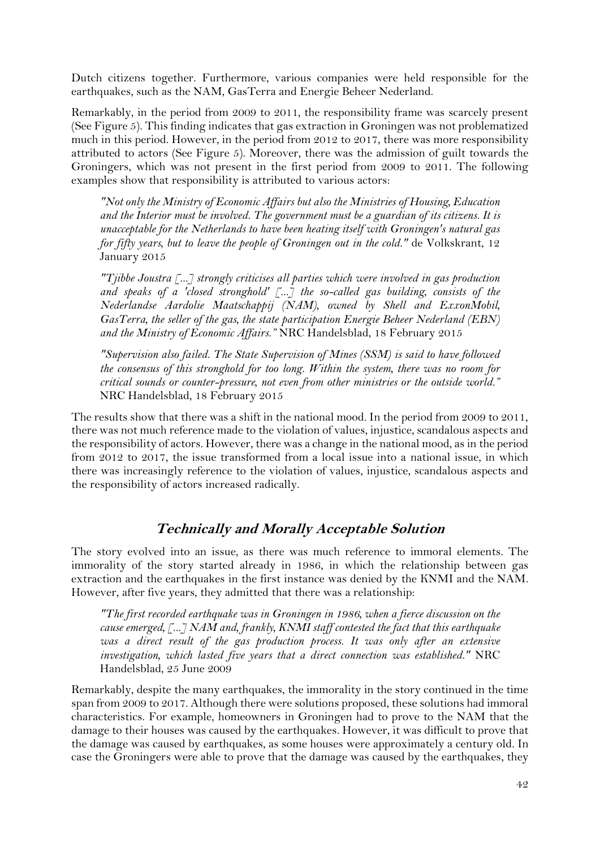Dutch citizens together. Furthermore, various companies were held responsible for the earthquakes, such as the NAM, GasTerra and Energie Beheer Nederland.

Remarkably, in the period from 2009 to 2011, the responsibility frame was scarcely present (See Figure 5). This finding indicates that gas extraction in Groningen was not problematized much in this period. However, in the period from 2012 to 2017, there was more responsibility attributed to actors (See Figure 5). Moreover, there was the admission of guilt towards the Groningers, which was not present in the first period from 2009 to 2011. The following examples show that responsibility is attributed to various actors:

*"Not only the Ministry of Economic Affairs but also the Ministries of Housing, Education and the Interior must be involved. The government must be a guardian of its citizens. It is unacceptable for the Netherlands to have been heating itself with Groningen's natural gas for fifty years, but to leave the people of Groningen out in the cold."* de Volkskrant, 12 January 2015

*"Tjibbe Joustra [...] strongly criticises all parties which were involved in gas production and speaks of a 'closed stronghold' [...] the so-called gas building, consists of the Nederlandse Aardolie Maatschappij (NAM), owned by Shell and ExxonMobil, GasTerra, the seller of the gas, the state participation Energie Beheer Nederland (EBN) and the Ministry of Economic Affairs."* NRC Handelsblad, 18 February 2015

*"Supervision also failed. The State Supervision of Mines (SSM) is said to have followed the consensus of this stronghold for too long. Within the system, there was no room for critical sounds or counter-pressure, not even from other ministries or the outside world."* NRC Handelsblad, 18 February 2015

The results show that there was a shift in the national mood. In the period from 2009 to 2011, there was not much reference made to the violation of values, injustice, scandalous aspects and the responsibility of actors. However, there was a change in the national mood, as in the period from 2012 to 2017, the issue transformed from a local issue into a national issue, in which there was increasingly reference to the violation of values, injustice, scandalous aspects and the responsibility of actors increased radically.

## **Technically and Morally Acceptable Solution**

The story evolved into an issue, as there was much reference to immoral elements. The immorality of the story started already in 1986, in which the relationship between gas extraction and the earthquakes in the first instance was denied by the KNMI and the NAM. However, after five years, they admitted that there was a relationship:

*"The first recorded earthquake was in Groningen in 1986, when a fierce discussion on the cause emerged, [...] NAM and, frankly, KNMI staff contested the fact that this earthquake*  was a direct result of the gas production process. It was only after an extensive *investigation, which lasted five years that a direct connection was established."* NRC Handelsblad, 25 June 2009

Remarkably, despite the many earthquakes, the immorality in the story continued in the time span from 2009 to 2017. Although there were solutions proposed, these solutions had immoral characteristics. For example, homeowners in Groningen had to prove to the NAM that the damage to their houses was caused by the earthquakes. However, it was difficult to prove that the damage was caused by earthquakes, as some houses were approximately a century old. In case the Groningers were able to prove that the damage was caused by the earthquakes, they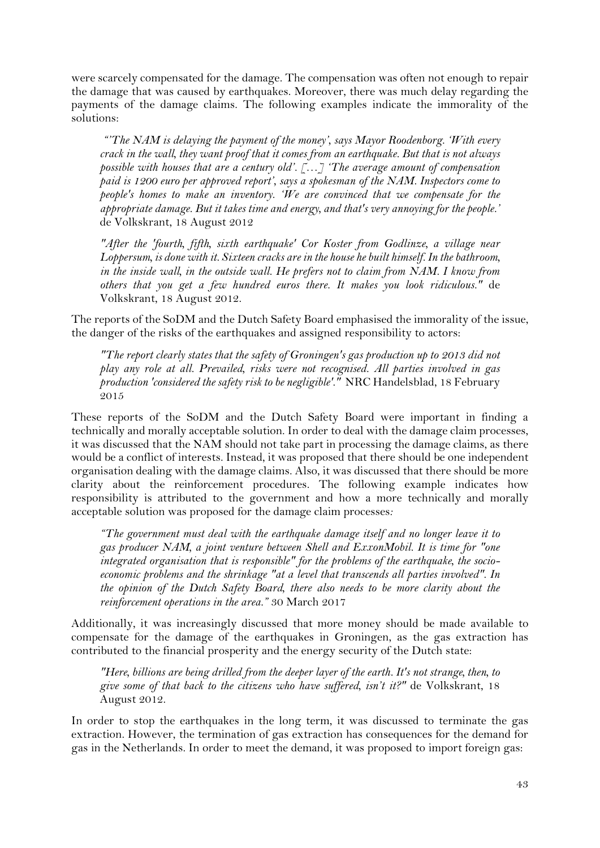were scarcely compensated for the damage. The compensation was often not enough to repair the damage that was caused by earthquakes. Moreover, there was much delay regarding the payments of the damage claims. The following examples indicate the immorality of the solutions:

*"'The NAM is delaying the payment of the money', says Mayor Roodenborg. 'With every crack in the wall, they want proof that it comes from an earthquake. But that is not always possible with houses that are a century old'. […] 'The average amount of compensation paid is 1200 euro per approved report', says a spokesman of the NAM. Inspectors come to people's homes to make an inventory. 'We are convinced that we compensate for the appropriate damage. But it takes time and energy, and that's very annoying for the people.'* de Volkskrant, 18 August 2012

*"After the 'fourth, fifth, sixth earthquake' Cor Koster from Godlinze, a village near Loppersum, is done with it. Sixteen cracks are in the house he built himself. In the bathroom, in the inside wall, in the outside wall. He prefers not to claim from NAM. I know from others that you get a few hundred euros there. It makes you look ridiculous."* de Volkskrant, 18 August 2012.

The reports of the SoDM and the Dutch Safety Board emphasised the immorality of the issue, the danger of the risks of the earthquakes and assigned responsibility to actors:

*"The report clearly states that the safety of Groningen's gas production up to 2013 did not play any role at all. Prevailed, risks were not recognised. All parties involved in gas production 'considered the safety risk to be negligible'."* NRC Handelsblad, 18 February 2015

These reports of the SoDM and the Dutch Safety Board were important in finding a technically and morally acceptable solution. In order to deal with the damage claim processes, it was discussed that the NAM should not take part in processing the damage claims, as there would be a conflict of interests. Instead, it was proposed that there should be one independent organisation dealing with the damage claims. Also, it was discussed that there should be more clarity about the reinforcement procedures. The following example indicates how responsibility is attributed to the government and how a more technically and morally acceptable solution was proposed for the damage claim processes*:*

*"The government must deal with the earthquake damage itself and no longer leave it to gas producer NAM, a joint venture between Shell and ExxonMobil. It is time for "one integrated organisation that is responsible" for the problems of the earthquake, the socioeconomic problems and the shrinkage "at a level that transcends all parties involved". In the opinion of the Dutch Safety Board, there also needs to be more clarity about the reinforcement operations in the area."* 30 March 2017

Additionally, it was increasingly discussed that more money should be made available to compensate for the damage of the earthquakes in Groningen, as the gas extraction has contributed to the financial prosperity and the energy security of the Dutch state:

*"Here, billions are being drilled from the deeper layer of the earth. It's not strange, then, to give some of that back to the citizens who have suffered, isn't it?"* de Volkskrant, 18 August 2012.

In order to stop the earthquakes in the long term, it was discussed to terminate the gas extraction. However, the termination of gas extraction has consequences for the demand for gas in the Netherlands. In order to meet the demand, it was proposed to import foreign gas: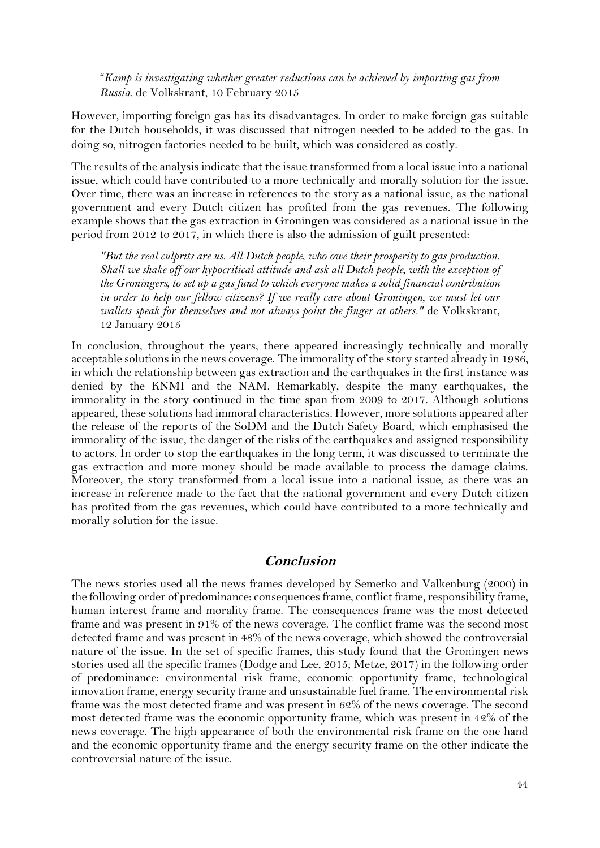"*Kamp is investigating whether greater reductions can be achieved by importing gas from Russia.* de Volkskrant, 10 February 2015

However, importing foreign gas has its disadvantages. In order to make foreign gas suitable for the Dutch households, it was discussed that nitrogen needed to be added to the gas. In doing so, nitrogen factories needed to be built, which was considered as costly.

The results of the analysis indicate that the issue transformed from a local issue into a national issue, which could have contributed to a more technically and morally solution for the issue. Over time, there was an increase in references to the story as a national issue, as the national government and every Dutch citizen has profited from the gas revenues. The following example shows that the gas extraction in Groningen was considered as a national issue in the period from 2012 to 2017, in which there is also the admission of guilt presented:

*"But the real culprits are us. All Dutch people, who owe their prosperity to gas production. Shall we shake off our hypocritical attitude and ask all Dutch people, with the exception of the Groningers, to set up a gas fund to which everyone makes a solid financial contribution in order to help our fellow citizens? If we really care about Groningen, we must let our wallets speak for themselves and not always point the finger at others."* de Volkskrant, 12 January 2015

In conclusion, throughout the years, there appeared increasingly technically and morally acceptable solutions in the news coverage. The immorality of the story started already in 1986, in which the relationship between gas extraction and the earthquakes in the first instance was denied by the KNMI and the NAM. Remarkably, despite the many earthquakes, the immorality in the story continued in the time span from 2009 to 2017. Although solutions appeared, these solutions had immoral characteristics. However, more solutions appeared after the release of the reports of the SoDM and the Dutch Safety Board, which emphasised the immorality of the issue, the danger of the risks of the earthquakes and assigned responsibility to actors. In order to stop the earthquakes in the long term, it was discussed to terminate the gas extraction and more money should be made available to process the damage claims. Moreover, the story transformed from a local issue into a national issue, as there was an increase in reference made to the fact that the national government and every Dutch citizen has profited from the gas revenues, which could have contributed to a more technically and morally solution for the issue.

#### **Conclusion**

The news stories used all the news frames developed by Semetko and Valkenburg (2000) in the following order of predominance: consequences frame, conflict frame, responsibility frame, human interest frame and morality frame. The consequences frame was the most detected frame and was present in 91% of the news coverage. The conflict frame was the second most detected frame and was present in 48% of the news coverage, which showed the controversial nature of the issue. In the set of specific frames, this study found that the Groningen news stories used all the specific frames (Dodge and Lee, 2015; Metze, 2017) in the following order of predominance: environmental risk frame, economic opportunity frame, technological innovation frame, energy security frame and unsustainable fuel frame. The environmental risk frame was the most detected frame and was present in 62% of the news coverage. The second most detected frame was the economic opportunity frame, which was present in 42% of the news coverage. The high appearance of both the environmental risk frame on the one hand and the economic opportunity frame and the energy security frame on the other indicate the controversial nature of the issue.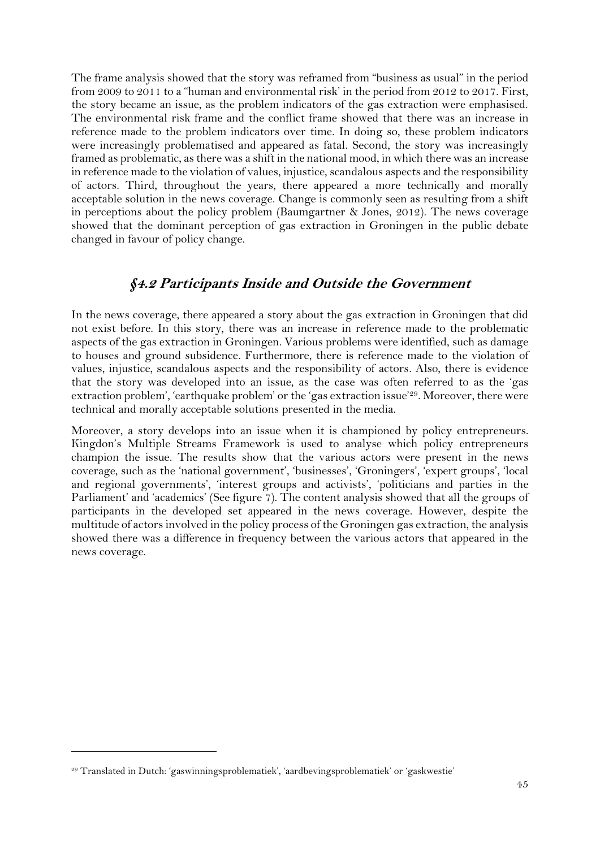The frame analysis showed that the story was reframed from "business as usual" in the period from 2009 to 2011 to a "human and environmental risk' in the period from 2012 to 2017. First, the story became an issue, as the problem indicators of the gas extraction were emphasised. The environmental risk frame and the conflict frame showed that there was an increase in reference made to the problem indicators over time. In doing so, these problem indicators were increasingly problematised and appeared as fatal. Second, the story was increasingly framed as problematic, as there was a shift in the national mood, in which there was an increase in reference made to the violation of values, injustice, scandalous aspects and the responsibility of actors. Third, throughout the years, there appeared a more technically and morally acceptable solution in the news coverage. Change is commonly seen as resulting from a shift in perceptions about the policy problem (Baumgartner & Jones, 2012). The news coverage showed that the dominant perception of gas extraction in Groningen in the public debate changed in favour of policy change.

#### **§4.2 Participants Inside and Outside the Government**

<span id="page-45-0"></span>In the news coverage, there appeared a story about the gas extraction in Groningen that did not exist before. In this story, there was an increase in reference made to the problematic aspects of the gas extraction in Groningen. Various problems were identified, such as damage to houses and ground subsidence. Furthermore, there is reference made to the violation of values, injustice, scandalous aspects and the responsibility of actors. Also, there is evidence that the story was developed into an issue, as the case was often referred to as the 'gas extraction problem', 'earthquake problem' or the 'gas extraction issue'29. Moreover, there were technical and morally acceptable solutions presented in the media.

Moreover, a story develops into an issue when it is championed by policy entrepreneurs. Kingdon's Multiple Streams Framework is used to analyse which policy entrepreneurs champion the issue. The results show that the various actors were present in the news coverage, such as the 'national government', 'businesses', 'Groningers', 'expert groups', 'local and regional governments', 'interest groups and activists', 'politicians and parties in the Parliament' and 'academics' (See figure 7). The content analysis showed that all the groups of participants in the developed set appeared in the news coverage. However, despite the multitude of actors involved in the policy process of the Groningen gas extraction, the analysis showed there was a difference in frequency between the various actors that appeared in the news coverage.

<sup>29</sup> Translated in Dutch: 'gaswinningsproblematiek', 'aardbevingsproblematiek' or 'gaskwestie'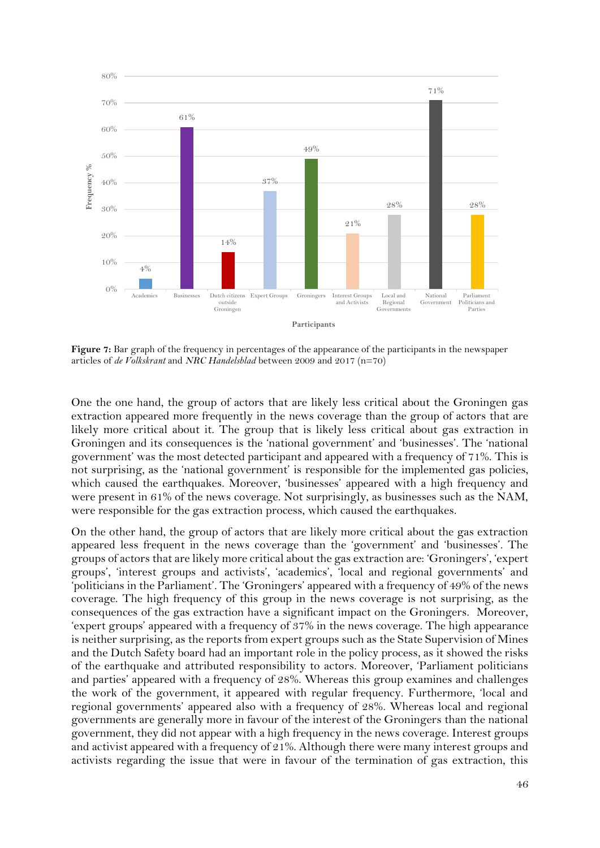

<span id="page-46-0"></span>**Figure 7:** Bar graph of the frequency in percentages of the appearance of the participants in the newspaper articles of *de Volkskrant* and *NRC Handelsblad* between 2009 and 2017 (n=70)

One the one hand, the group of actors that are likely less critical about the Groningen gas extraction appeared more frequently in the news coverage than the group of actors that are likely more critical about it. The group that is likely less critical about gas extraction in Groningen and its consequences is the 'national government' and 'businesses'. The 'national government' was the most detected participant and appeared with a frequency of 71%. This is not surprising, as the 'national government' is responsible for the implemented gas policies, which caused the earthquakes. Moreover, 'businesses' appeared with a high frequency and were present in 61% of the news coverage. Not surprisingly, as businesses such as the NAM, were responsible for the gas extraction process, which caused the earthquakes.

On the other hand, the group of actors that are likely more critical about the gas extraction appeared less frequent in the news coverage than the 'government' and 'businesses'. The groups of actors that are likely more critical about the gas extraction are: 'Groningers', 'expert groups', 'interest groups and activists', 'academics', 'local and regional governments' and 'politicians in the Parliament'. The 'Groningers' appeared with a frequency of 49% of the news coverage. The high frequency of this group in the news coverage is not surprising, as the consequences of the gas extraction have a significant impact on the Groningers. Moreover, 'expert groups' appeared with a frequency of 37% in the news coverage. The high appearance is neither surprising, as the reports from expert groups such as the State Supervision of Mines and the Dutch Safety board had an important role in the policy process, as it showed the risks of the earthquake and attributed responsibility to actors. Moreover, 'Parliament politicians and parties' appeared with a frequency of 28%. Whereas this group examines and challenges the work of the government, it appeared with regular frequency. Furthermore, 'local and regional governments' appeared also with a frequency of 28%. Whereas local and regional governments are generally more in favour of the interest of the Groningers than the national government, they did not appear with a high frequency in the news coverage. Interest groups and activist appeared with a frequency of 21%. Although there were many interest groups and activists regarding the issue that were in favour of the termination of gas extraction, this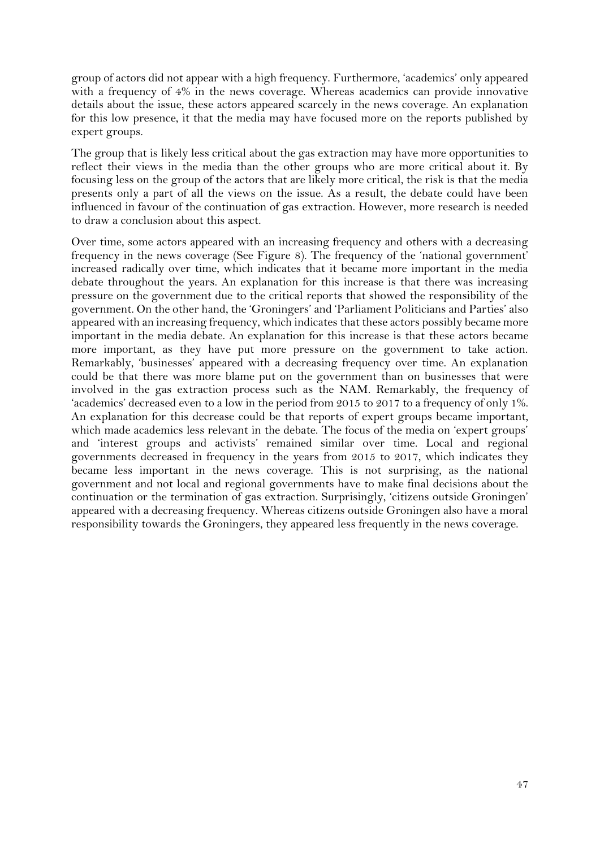group of actors did not appear with a high frequency. Furthermore, 'academics' only appeared with a frequency of 4% in the news coverage. Whereas academics can provide innovative details about the issue, these actors appeared scarcely in the news coverage. An explanation for this low presence, it that the media may have focused more on the reports published by expert groups.

The group that is likely less critical about the gas extraction may have more opportunities to reflect their views in the media than the other groups who are more critical about it. By focusing less on the group of the actors that are likely more critical, the risk is that the media presents only a part of all the views on the issue. As a result, the debate could have been influenced in favour of the continuation of gas extraction. However, more research is needed to draw a conclusion about this aspect.

Over time, some actors appeared with an increasing frequency and others with a decreasing frequency in the news coverage (See Figure 8). The frequency of the 'national government' increased radically over time, which indicates that it became more important in the media debate throughout the years. An explanation for this increase is that there was increasing pressure on the government due to the critical reports that showed the responsibility of the government. On the other hand, the 'Groningers' and 'Parliament Politicians and Parties' also appeared with an increasing frequency, which indicates that these actors possibly became more important in the media debate. An explanation for this increase is that these actors became more important, as they have put more pressure on the government to take action. Remarkably, 'businesses' appeared with a decreasing frequency over time. An explanation could be that there was more blame put on the government than on businesses that were involved in the gas extraction process such as the NAM. Remarkably, the frequency of 'academics' decreased even to a low in the period from 2015 to 2017 to a frequency of only 1%. An explanation for this decrease could be that reports of expert groups became important, which made academics less relevant in the debate. The focus of the media on 'expert groups' and 'interest groups and activists' remained similar over time. Local and regional governments decreased in frequency in the years from 2015 to 2017, which indicates they became less important in the news coverage. This is not surprising, as the national government and not local and regional governments have to make final decisions about the continuation or the termination of gas extraction. Surprisingly, 'citizens outside Groningen' appeared with a decreasing frequency. Whereas citizens outside Groningen also have a moral responsibility towards the Groningers, they appeared less frequently in the news coverage.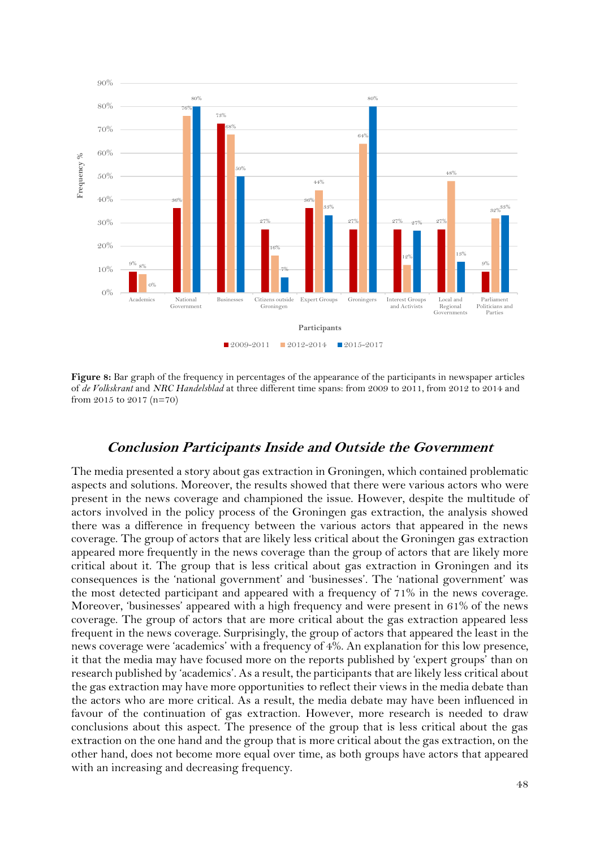

<span id="page-48-0"></span>**Figure 8:** Bar graph of the frequency in percentages of the appearance of the participants in newspaper articles of *de Volkskrant* and *NRC Handelsblad* at three different time spans: from 2009 to 2011, from 2012 to 2014 and from 2015 to 2017 (n=70)

#### **Conclusion Participants Inside and Outside the Government**

The media presented a story about gas extraction in Groningen, which contained problematic aspects and solutions. Moreover, the results showed that there were various actors who were present in the news coverage and championed the issue. However, despite the multitude of actors involved in the policy process of the Groningen gas extraction, the analysis showed there was a difference in frequency between the various actors that appeared in the news coverage. The group of actors that are likely less critical about the Groningen gas extraction appeared more frequently in the news coverage than the group of actors that are likely more critical about it. The group that is less critical about gas extraction in Groningen and its consequences is the 'national government' and 'businesses'. The 'national government' was the most detected participant and appeared with a frequency of 71% in the news coverage. Moreover, 'businesses' appeared with a high frequency and were present in 61% of the news coverage. The group of actors that are more critical about the gas extraction appeared less frequent in the news coverage. Surprisingly, the group of actors that appeared the least in the news coverage were 'academics' with a frequency of 4%. An explanation for this low presence, it that the media may have focused more on the reports published by 'expert groups' than on research published by 'academics'. As a result, the participants that are likely less critical about the gas extraction may have more opportunities to reflect their views in the media debate than the actors who are more critical. As a result, the media debate may have been influenced in favour of the continuation of gas extraction. However, more research is needed to draw conclusions about this aspect. The presence of the group that is less critical about the gas extraction on the one hand and the group that is more critical about the gas extraction, on the other hand, does not become more equal over time, as both groups have actors that appeared with an increasing and decreasing frequency.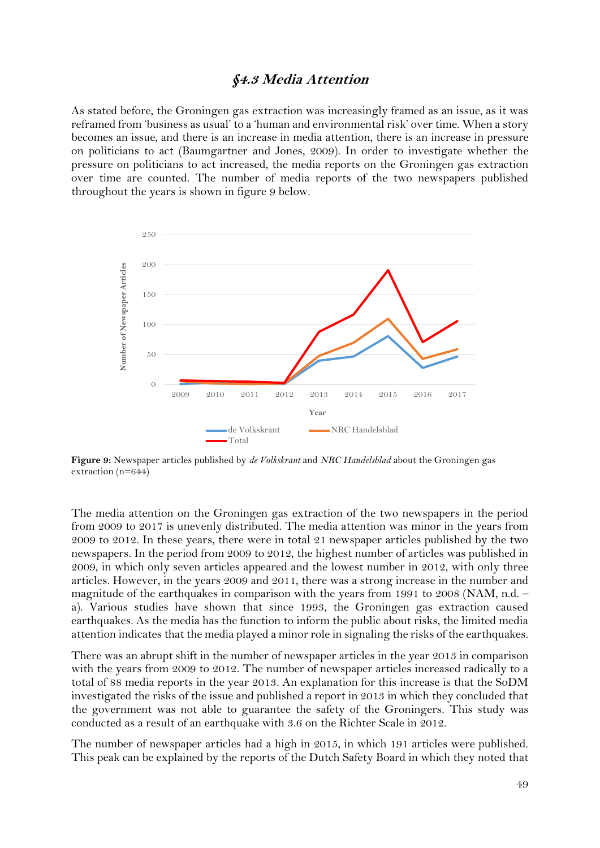#### **§4.3 Media Attention**

<span id="page-49-0"></span>As stated before, the Groningen gas extraction was increasingly framed as an issue, as it was reframed from 'business as usual' to a 'human and environmental risk' over time. When a story becomes an issue, and there is an increase in media attention, there is an increase in pressure on politicians to act (Baumgartner and Jones, 2009). In order to investigate whether the pressure on politicians to act increased, the media reports on the Groningen gas extraction over time are counted. The number of media reports of the two newspapers published throughout the years is shown in figure 9 below.



<span id="page-49-1"></span>**Figure 9:** Newspaper articles published by *de Volkskrant* and *NRC Handelsblad* about the Groningen gas extraction (n=644)

The media attention on the Groningen gas extraction of the two newspapers in the period from 2009 to 2017 is unevenly distributed. The media attention was minor in the years from 2009 to 2012. In these years, there were in total 21 newspaper articles published by the two newspapers. In the period from 2009 to 2012, the highest number of articles was published in 2009, in which only seven articles appeared and the lowest number in 2012, with only three articles. However, in the years 2009 and 2011, there was a strong increase in the number and magnitude of the earthquakes in comparison with the years from 1991 to 2008 (NAM, n.d. – a). Various studies have shown that since 1993, the Groningen gas extraction caused earthquakes. As the media has the function to inform the public about risks, the limited media attention indicates that the media played a minor role in signaling the risks of the earthquakes.

There was an abrupt shift in the number of newspaper articles in the year 2013 in comparison with the years from 2009 to 2012. The number of newspaper articles increased radically to a total of 88 media reports in the year 2013. An explanation for this increase is that the SoDM investigated the risks of the issue and published a report in 2013 in which they concluded that the government was not able to guarantee the safety of the Groningers. This study was conducted as a result of an earthquake with 3.6 on the Richter Scale in 2012.

The number of newspaper articles had a high in 2015, in which 191 articles were published. This peak can be explained by the reports of the Dutch Safety Board in which they noted that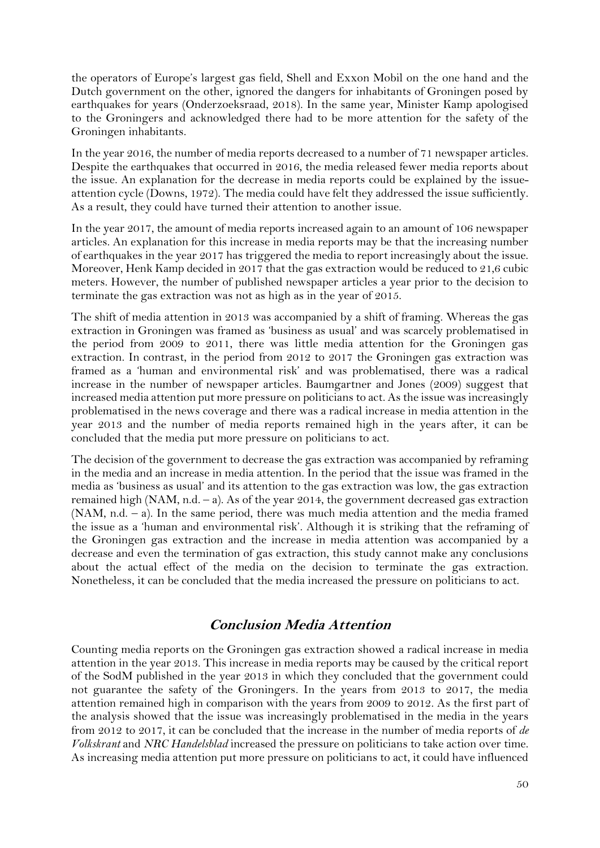the operators of Europe's largest gas field, Shell and Exxon Mobil on the one hand and the Dutch government on the other, ignored the dangers for inhabitants of Groningen posed by earthquakes for years (Onderzoeksraad, 2018). In the same year, Minister Kamp apologised to the Groningers and acknowledged there had to be more attention for the safety of the Groningen inhabitants.

In the year 2016, the number of media reports decreased to a number of 71 newspaper articles. Despite the earthquakes that occurred in 2016, the media released fewer media reports about the issue. An explanation for the decrease in media reports could be explained by the issueattention cycle (Downs, 1972). The media could have felt they addressed the issue sufficiently. As a result, they could have turned their attention to another issue.

In the year 2017, the amount of media reports increased again to an amount of 106 newspaper articles. An explanation for this increase in media reports may be that the increasing number of earthquakes in the year 2017 has triggered the media to report increasingly about the issue. Moreover, Henk Kamp decided in 2017 that the gas extraction would be reduced to 21,6 cubic meters. However, the number of published newspaper articles a year prior to the decision to terminate the gas extraction was not as high as in the year of 2015.

The shift of media attention in 2013 was accompanied by a shift of framing. Whereas the gas extraction in Groningen was framed as 'business as usual' and was scarcely problematised in the period from 2009 to 2011, there was little media attention for the Groningen gas extraction. In contrast, in the period from 2012 to 2017 the Groningen gas extraction was framed as a 'human and environmental risk' and was problematised, there was a radical increase in the number of newspaper articles. Baumgartner and Jones (2009) suggest that increased media attention put more pressure on politicians to act. As the issue was increasingly problematised in the news coverage and there was a radical increase in media attention in the year 2013 and the number of media reports remained high in the years after, it can be concluded that the media put more pressure on politicians to act.

The decision of the government to decrease the gas extraction was accompanied by reframing in the media and an increase in media attention. In the period that the issue was framed in the media as 'business as usual' and its attention to the gas extraction was low, the gas extraction remained high (NAM, n.d. – a). As of the year 2014, the government decreased gas extraction (NAM, n.d. – a). In the same period, there was much media attention and the media framed the issue as a 'human and environmental risk'. Although it is striking that the reframing of the Groningen gas extraction and the increase in media attention was accompanied by a decrease and even the termination of gas extraction, this study cannot make any conclusions about the actual effect of the media on the decision to terminate the gas extraction. Nonetheless, it can be concluded that the media increased the pressure on politicians to act.

#### **Conclusion Media Attention**

Counting media reports on the Groningen gas extraction showed a radical increase in media attention in the year 2013. This increase in media reports may be caused by the critical report of the SodM published in the year 2013 in which they concluded that the government could not guarantee the safety of the Groningers. In the years from 2013 to 2017, the media attention remained high in comparison with the years from 2009 to 2012. As the first part of the analysis showed that the issue was increasingly problematised in the media in the years from 2012 to 2017, it can be concluded that the increase in the number of media reports of *de Volkskrant* and *NRC Handelsblad* increased the pressure on politicians to take action over time. As increasing media attention put more pressure on politicians to act, it could have influenced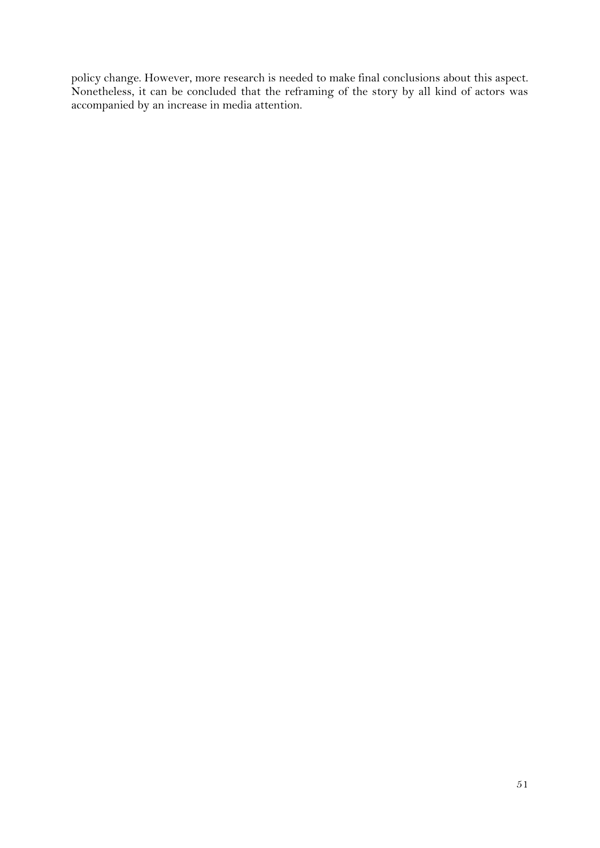policy change. However, more research is needed to make final conclusions about this aspect. Nonetheless, it can be concluded that the reframing of the story by all kind of actors was accompanied by an increase in media attention.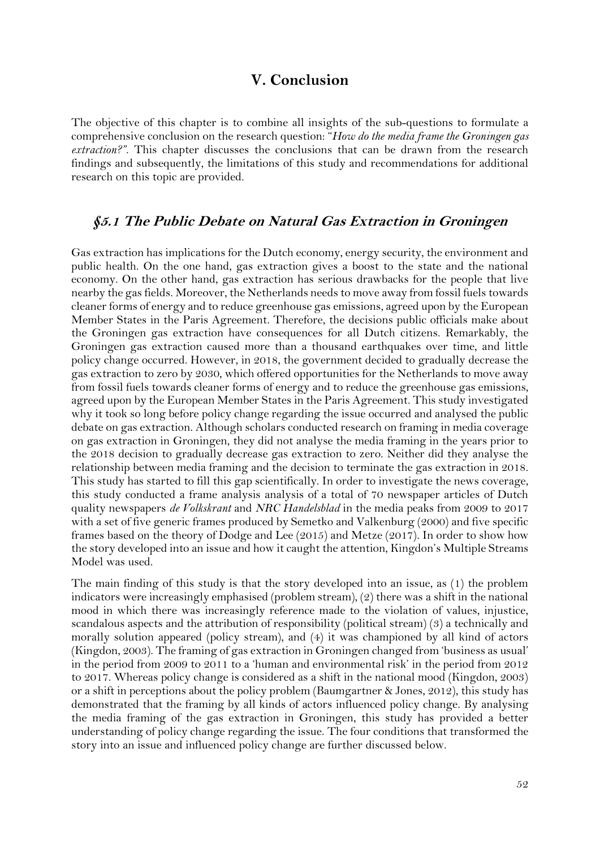### **V. Conclusion**

<span id="page-52-0"></span>The objective of this chapter is to combine all insights of the sub-questions to formulate a comprehensive conclusion on the research question: "*How do the media frame the Groningen gas extraction?"*. This chapter discusses the conclusions that can be drawn from the research findings and subsequently, the limitations of this study and recommendations for additional research on this topic are provided.

#### <span id="page-52-1"></span>**§5.1 The Public Debate on Natural Gas Extraction in Groningen**

Gas extraction has implications for the Dutch economy, energy security, the environment and public health. On the one hand, gas extraction gives a boost to the state and the national economy. On the other hand, gas extraction has serious drawbacks for the people that live nearby the gas fields. Moreover, the Netherlands needs to move away from fossil fuels towards cleaner forms of energy and to reduce greenhouse gas emissions, agreed upon by the European Member States in the Paris Agreement. Therefore, the decisions public officials make about the Groningen gas extraction have consequences for all Dutch citizens. Remarkably, the Groningen gas extraction caused more than a thousand earthquakes over time, and little policy change occurred. However, in 2018, the government decided to gradually decrease the gas extraction to zero by 2030, which offered opportunities for the Netherlands to move away from fossil fuels towards cleaner forms of energy and to reduce the greenhouse gas emissions, agreed upon by the European Member States in the Paris Agreement. This study investigated why it took so long before policy change regarding the issue occurred and analysed the public debate on gas extraction. Although scholars conducted research on framing in media coverage on gas extraction in Groningen, they did not analyse the media framing in the years prior to the 2018 decision to gradually decrease gas extraction to zero. Neither did they analyse the relationship between media framing and the decision to terminate the gas extraction in 2018. This study has started to fill this gap scientifically. In order to investigate the news coverage, this study conducted a frame analysis analysis of a total of 70 newspaper articles of Dutch quality newspapers *de Volkskrant* and *NRC Handelsblad* in the media peaks from 2009 to 2017 with a set of five generic frames produced by Semetko and Valkenburg (2000) and five specific frames based on the theory of Dodge and Lee (2015) and Metze (2017). In order to show how the story developed into an issue and how it caught the attention, Kingdon's Multiple Streams Model was used.

The main finding of this study is that the story developed into an issue, as (1) the problem indicators were increasingly emphasised (problem stream), (2) there was a shift in the national mood in which there was increasingly reference made to the violation of values, injustice, scandalous aspects and the attribution of responsibility (political stream) (3) a technically and morally solution appeared (policy stream), and (4) it was championed by all kind of actors (Kingdon, 2003). The framing of gas extraction in Groningen changed from 'business as usual' in the period from 2009 to 2011 to a 'human and environmental risk' in the period from 2012 to 2017. Whereas policy change is considered as a shift in the national mood (Kingdon, 2003) or a shift in perceptions about the policy problem (Baumgartner & Jones, 2012), this study has demonstrated that the framing by all kinds of actors influenced policy change. By analysing the media framing of the gas extraction in Groningen, this study has provided a better understanding of policy change regarding the issue. The four conditions that transformed the story into an issue and influenced policy change are further discussed below.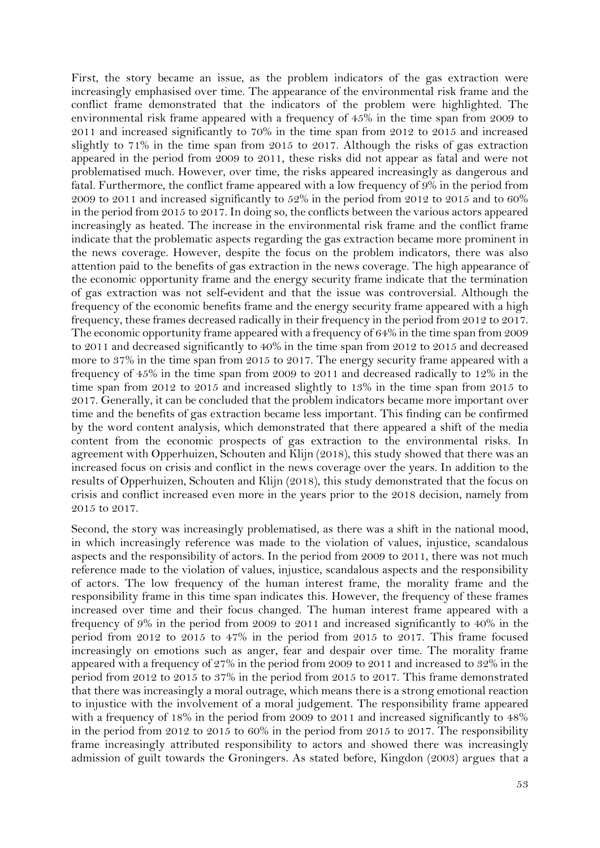First, the story became an issue, as the problem indicators of the gas extraction were increasingly emphasised over time. The appearance of the environmental risk frame and the conflict frame demonstrated that the indicators of the problem were highlighted. The environmental risk frame appeared with a frequency of 45% in the time span from 2009 to 2011 and increased significantly to 70% in the time span from 2012 to 2015 and increased slightly to 71% in the time span from 2015 to 2017. Although the risks of gas extraction appeared in the period from 2009 to 2011, these risks did not appear as fatal and were not problematised much. However, over time, the risks appeared increasingly as dangerous and fatal. Furthermore, the conflict frame appeared with a low frequency of 9% in the period from 2009 to 2011 and increased significantly to 52% in the period from 2012 to 2015 and to 60% in the period from 2015 to 2017. In doing so, the conflicts between the various actors appeared increasingly as heated. The increase in the environmental risk frame and the conflict frame indicate that the problematic aspects regarding the gas extraction became more prominent in the news coverage. However, despite the focus on the problem indicators, there was also attention paid to the benefits of gas extraction in the news coverage. The high appearance of the economic opportunity frame and the energy security frame indicate that the termination of gas extraction was not self-evident and that the issue was controversial. Although the frequency of the economic benefits frame and the energy security frame appeared with a high frequency, these frames decreased radically in their frequency in the period from 2012 to 2017. The economic opportunity frame appeared with a frequency of 64% in the time span from 2009 to 2011 and decreased significantly to 40% in the time span from 2012 to 2015 and decreased more to 37% in the time span from 2015 to 2017. The energy security frame appeared with a frequency of 45% in the time span from 2009 to 2011 and decreased radically to 12% in the time span from 2012 to 2015 and increased slightly to 13% in the time span from 2015 to 2017. Generally, it can be concluded that the problem indicators became more important over time and the benefits of gas extraction became less important. This finding can be confirmed by the word content analysis, which demonstrated that there appeared a shift of the media content from the economic prospects of gas extraction to the environmental risks. In agreement with Opperhuizen, Schouten and Klijn (2018), this study showed that there was an increased focus on crisis and conflict in the news coverage over the years. In addition to the results of Opperhuizen, Schouten and Klijn (2018), this study demonstrated that the focus on crisis and conflict increased even more in the years prior to the 2018 decision, namely from 2015 to 2017.

Second, the story was increasingly problematised, as there was a shift in the national mood, in which increasingly reference was made to the violation of values, injustice, scandalous aspects and the responsibility of actors. In the period from 2009 to 2011, there was not much reference made to the violation of values, injustice, scandalous aspects and the responsibility of actors. The low frequency of the human interest frame, the morality frame and the responsibility frame in this time span indicates this. However, the frequency of these frames increased over time and their focus changed. The human interest frame appeared with a frequency of 9% in the period from 2009 to 2011 and increased significantly to 40% in the period from 2012 to 2015 to 47% in the period from 2015 to 2017. This frame focused increasingly on emotions such as anger, fear and despair over time. The morality frame appeared with a frequency of 27% in the period from 2009 to 2011 and increased to 32% in the period from 2012 to 2015 to 37% in the period from 2015 to 2017. This frame demonstrated that there was increasingly a moral outrage, which means there is a strong emotional reaction to injustice with the involvement of a moral judgement. The responsibility frame appeared with a frequency of 18% in the period from 2009 to 2011 and increased significantly to 48% in the period from 2012 to 2015 to 60% in the period from 2015 to 2017. The responsibility frame increasingly attributed responsibility to actors and showed there was increasingly admission of guilt towards the Groningers. As stated before, Kingdon (2003) argues that a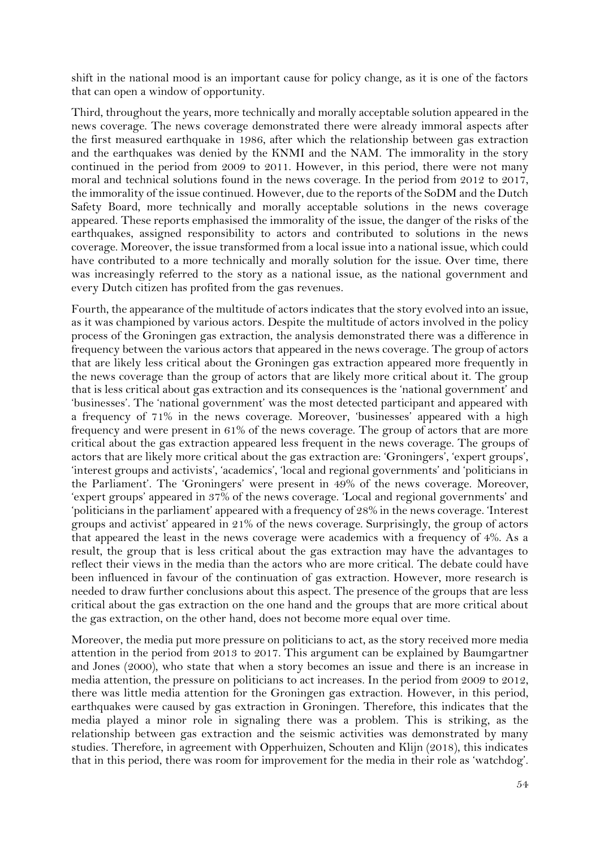shift in the national mood is an important cause for policy change, as it is one of the factors that can open a window of opportunity.

Third, throughout the years, more technically and morally acceptable solution appeared in the news coverage. The news coverage demonstrated there were already immoral aspects after the first measured earthquake in 1986, after which the relationship between gas extraction and the earthquakes was denied by the KNMI and the NAM. The immorality in the story continued in the period from 2009 to 2011. However, in this period, there were not many moral and technical solutions found in the news coverage. In the period from 2012 to 2017, the immorality of the issue continued. However, due to the reports of the SoDM and the Dutch Safety Board, more technically and morally acceptable solutions in the news coverage appeared. These reports emphasised the immorality of the issue, the danger of the risks of the earthquakes, assigned responsibility to actors and contributed to solutions in the news coverage. Moreover, the issue transformed from a local issue into a national issue, which could have contributed to a more technically and morally solution for the issue. Over time, there was increasingly referred to the story as a national issue, as the national government and every Dutch citizen has profited from the gas revenues.

Fourth, the appearance of the multitude of actors indicates that the story evolved into an issue, as it was championed by various actors. Despite the multitude of actors involved in the policy process of the Groningen gas extraction, the analysis demonstrated there was a difference in frequency between the various actors that appeared in the news coverage. The group of actors that are likely less critical about the Groningen gas extraction appeared more frequently in the news coverage than the group of actors that are likely more critical about it. The group that is less critical about gas extraction and its consequences is the 'national government' and 'businesses'. The 'national government' was the most detected participant and appeared with a frequency of 71% in the news coverage. Moreover, 'businesses' appeared with a high frequency and were present in 61% of the news coverage. The group of actors that are more critical about the gas extraction appeared less frequent in the news coverage. The groups of actors that are likely more critical about the gas extraction are: 'Groningers', 'expert groups', 'interest groups and activists', 'academics', 'local and regional governments' and 'politicians in the Parliament'. The 'Groningers' were present in 49% of the news coverage. Moreover, 'expert groups' appeared in 37% of the news coverage. 'Local and regional governments' and 'politicians in the parliament' appeared with a frequency of 28% in the news coverage. 'Interest groups and activist' appeared in 21% of the news coverage. Surprisingly, the group of actors that appeared the least in the news coverage were academics with a frequency of 4%. As a result, the group that is less critical about the gas extraction may have the advantages to reflect their views in the media than the actors who are more critical. The debate could have been influenced in favour of the continuation of gas extraction. However, more research is needed to draw further conclusions about this aspect. The presence of the groups that are less critical about the gas extraction on the one hand and the groups that are more critical about the gas extraction, on the other hand, does not become more equal over time.

Moreover, the media put more pressure on politicians to act, as the story received more media attention in the period from 2013 to 2017. This argument can be explained by Baumgartner and Jones (2000), who state that when a story becomes an issue and there is an increase in media attention, the pressure on politicians to act increases. In the period from 2009 to 2012, there was little media attention for the Groningen gas extraction. However, in this period, earthquakes were caused by gas extraction in Groningen. Therefore, this indicates that the media played a minor role in signaling there was a problem. This is striking, as the relationship between gas extraction and the seismic activities was demonstrated by many studies. Therefore, in agreement with Opperhuizen, Schouten and Klijn (2018), this indicates that in this period, there was room for improvement for the media in their role as 'watchdog'.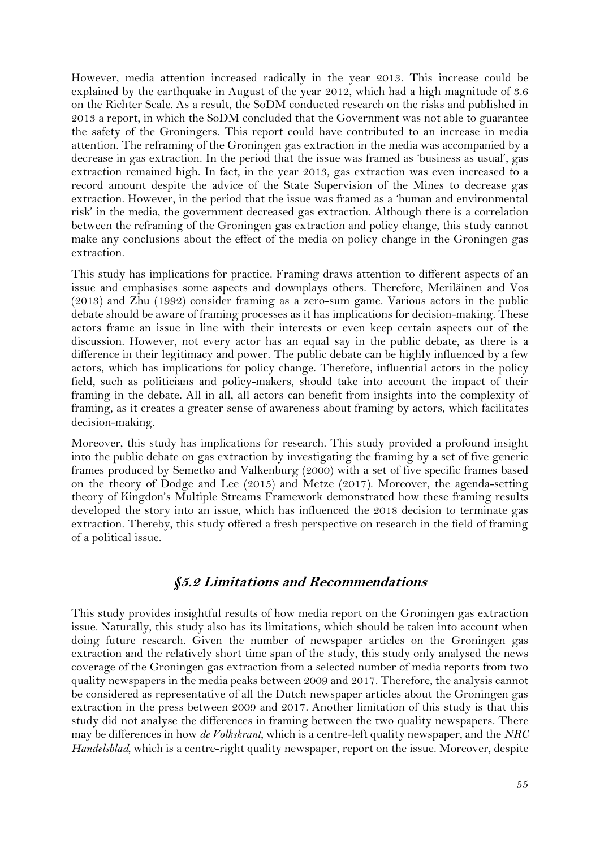However, media attention increased radically in the year 2013. This increase could be explained by the earthquake in August of the year 2012, which had a high magnitude of 3.6 on the Richter Scale. As a result, the SoDM conducted research on the risks and published in 2013 a report, in which the SoDM concluded that the Government was not able to guarantee the safety of the Groningers. This report could have contributed to an increase in media attention. The reframing of the Groningen gas extraction in the media was accompanied by a decrease in gas extraction. In the period that the issue was framed as 'business as usual', gas extraction remained high. In fact, in the year 2013, gas extraction was even increased to a record amount despite the advice of the State Supervision of the Mines to decrease gas extraction. However, in the period that the issue was framed as a 'human and environmental risk' in the media, the government decreased gas extraction. Although there is a correlation between the reframing of the Groningen gas extraction and policy change, this study cannot make any conclusions about the effect of the media on policy change in the Groningen gas extraction.

This study has implications for practice. Framing draws attention to different aspects of an issue and emphasises some aspects and downplays others. Therefore, Meriläinen and Vos (2013) and Zhu (1992) consider framing as a zero-sum game. Various actors in the public debate should be aware of framing processes as it has implications for decision-making. These actors frame an issue in line with their interests or even keep certain aspects out of the discussion. However, not every actor has an equal say in the public debate, as there is a difference in their legitimacy and power. The public debate can be highly influenced by a few actors, which has implications for policy change. Therefore, influential actors in the policy field, such as politicians and policy-makers, should take into account the impact of their framing in the debate. All in all, all actors can benefit from insights into the complexity of framing, as it creates a greater sense of awareness about framing by actors, which facilitates decision-making.

Moreover, this study has implications for research. This study provided a profound insight into the public debate on gas extraction by investigating the framing by a set of five generic frames produced by Semetko and Valkenburg (2000) with a set of five specific frames based on the theory of Dodge and Lee (2015) and Metze (2017). Moreover, the agenda-setting theory of Kingdon's Multiple Streams Framework demonstrated how these framing results developed the story into an issue, which has influenced the 2018 decision to terminate gas extraction. Thereby, this study offered a fresh perspective on research in the field of framing of a political issue.

### **§5.2 Limitations and Recommendations**

<span id="page-55-0"></span>This study provides insightful results of how media report on the Groningen gas extraction issue. Naturally, this study also has its limitations, which should be taken into account when doing future research. Given the number of newspaper articles on the Groningen gas extraction and the relatively short time span of the study, this study only analysed the news coverage of the Groningen gas extraction from a selected number of media reports from two quality newspapers in the media peaks between 2009 and 2017. Therefore, the analysis cannot be considered as representative of all the Dutch newspaper articles about the Groningen gas extraction in the press between 2009 and 2017. Another limitation of this study is that this study did not analyse the differences in framing between the two quality newspapers. There may be differences in how *de Volkskrant*, which is a centre-left quality newspaper, and the *NRC Handelsblad,* which is a centre-right quality newspaper, report on the issue. Moreover, despite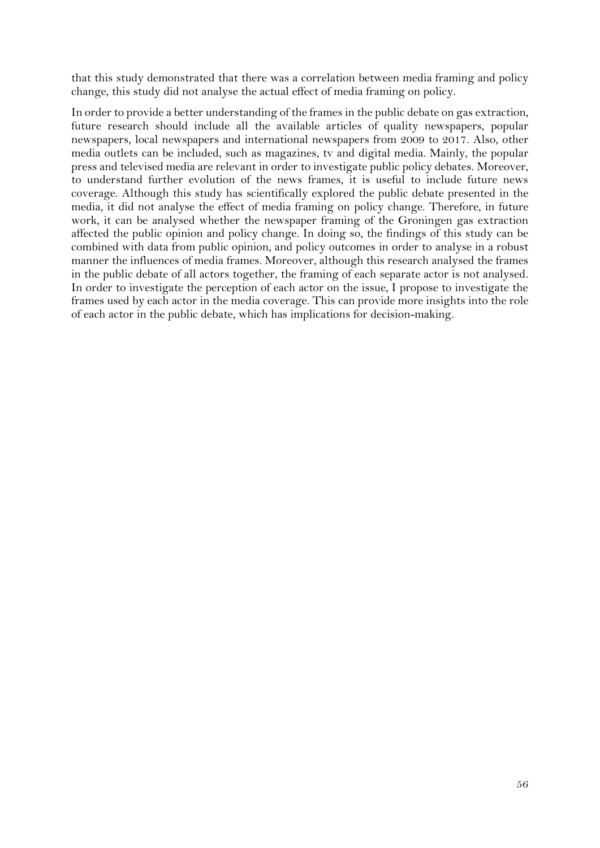that this study demonstrated that there was a correlation between media framing and policy change, this study did not analyse the actual effect of media framing on policy.

In order to provide a better understanding of the frames in the public debate on gas extraction, future research should include all the available articles of quality newspapers, popular newspapers, local newspapers and international newspapers from 2009 to 2017. Also, other media outlets can be included, such as magazines, tv and digital media. Mainly, the popular press and televised media are relevant in order to investigate public policy debates. Moreover, to understand further evolution of the news frames, it is useful to include future news coverage. Although this study has scientifically explored the public debate presented in the media, it did not analyse the effect of media framing on policy change. Therefore, in future work, it can be analysed whether the newspaper framing of the Groningen gas extraction affected the public opinion and policy change. In doing so, the findings of this study can be combined with data from public opinion, and policy outcomes in order to analyse in a robust manner the influences of media frames. Moreover, although this research analysed the frames in the public debate of all actors together, the framing of each separate actor is not analysed. In order to investigate the perception of each actor on the issue, I propose to investigate the frames used by each actor in the media coverage. This can provide more insights into the role of each actor in the public debate, which has implications for decision-making.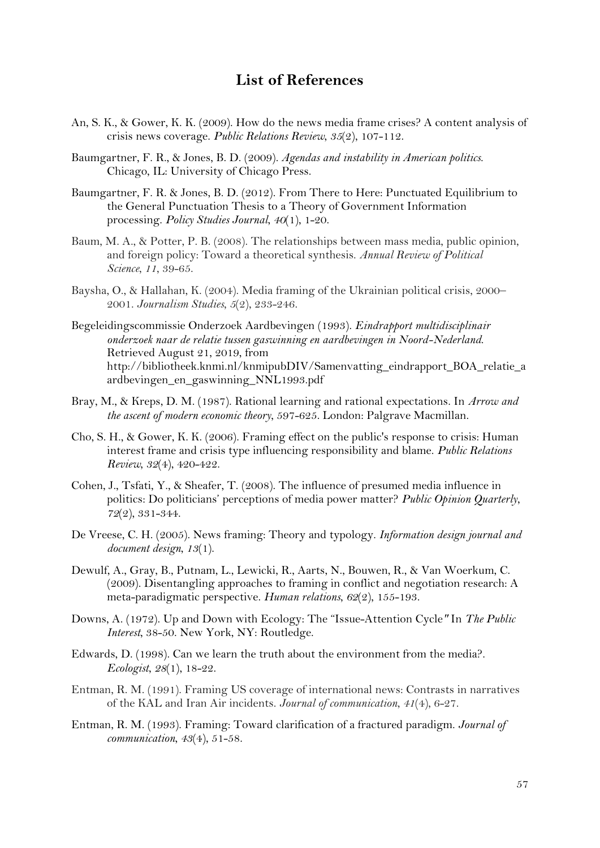## **List of References**

- <span id="page-57-0"></span>An, S. K., & Gower, K. K. (2009). How do the news media frame crises? A content analysis of crisis news coverage. *Public Relations Review*, *35*(2), 107-112.
- Baumgartner, F. R., & Jones, B. D. (2009). *Agendas and instability in American politics*. Chicago, IL: University of Chicago Press.
- Baumgartner, F. R. & Jones, B. D. (2012). From There to Here: Punctuated Equilibrium to the General Punctuation Thesis to a Theory of Government Information processing. *Policy Studies Journal*, *40*(1), 1-20.
- Baum, M. A., & Potter, P. B. (2008). The relationships between mass media, public opinion, and foreign policy: Toward a theoretical synthesis. *Annual Review of Political Science*, *11*, 39-65.
- Baysha, O., & Hallahan, K. (2004). Media framing of the Ukrainian political crisis, 2000– 2001. *Journalism Studies*, *5*(2), 233-246.
- Begeleidingscommissie Onderzoek Aardbevingen (1993). *Eindrapport multidisciplinair onderzoek naar de relatie tussen gaswinning en aardbevingen in Noord-Nederland*. Retrieved August 21, 2019, from http://bibliotheek.knmi.nl/knmipubDIV/Samenvatting\_eindrapport\_BOA\_relatie\_a ardbevingen\_en\_gaswinning\_NNL1993.pdf
- Bray, M., & Kreps, D. M. (1987). Rational learning and rational expectations. In *Arrow and the ascent of modern economic theory*, 597-625. London: Palgrave Macmillan.
- Cho, S. H., & Gower, K. K. (2006). Framing effect on the public's response to crisis: Human interest frame and crisis type influencing responsibility and blame. *Public Relations Review*, *32*(4), 420-422.
- Cohen, J., Tsfati, Y., & Sheafer, T. (2008). The influence of presumed media influence in politics: Do politicians' perceptions of media power matter? *Public Opinion Quarterly*, *72*(2), 331-344.
- De Vreese, C. H. (2005). News framing: Theory and typology. *Information design journal and document design*, *13*(1).
- Dewulf, A., Gray, B., Putnam, L., Lewicki, R., Aarts, N., Bouwen, R., & Van Woerkum, C. (2009). Disentangling approaches to framing in conflict and negotiation research: A meta-paradigmatic perspective. *Human relations*, *62*(2), 155-193.
- Downs, A. (1972). Up and Down with Ecology: The "Issue-Attention Cycle*"* In *The Public Interest*, 38-50. New York, NY: Routledge.
- Edwards, D. (1998). Can we learn the truth about the environment from the media?. *Ecologist*, *28*(1), 18-22.
- Entman, R. M. (1991). Framing US coverage of international news: Contrasts in narratives of the KAL and Iran Air incidents. *Journal of communication*, *41*(4), 6-27.
- Entman, R. M. (1993). Framing: Toward clarification of a fractured paradigm. *Journal of communication*, *43*(4), 51-58.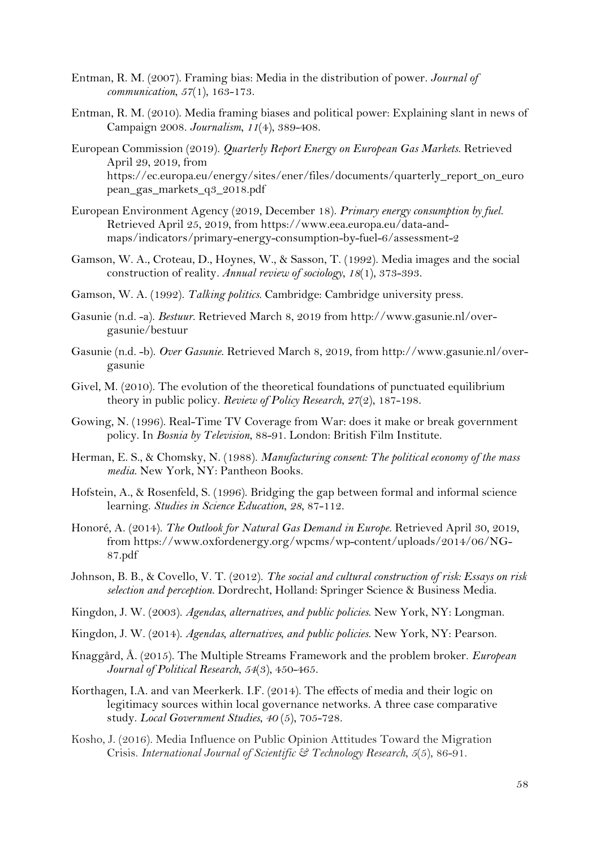- Entman, R. M. (2007). Framing bias: Media in the distribution of power. *Journal of communication*, *57*(1), 163-173.
- Entman, R. M. (2010). Media framing biases and political power: Explaining slant in news of Campaign 2008. *Journalism*, *11*(4), 389-408.
- European Commission (2019). *Quarterly Report Energy on European Gas Markets*. Retrieved April 29, 2019, from https://ec.europa.eu/energy/sites/ener/files/documents/quarterly\_report\_on\_euro pean\_gas\_markets\_q3\_2018.pdf
- European Environment Agency (2019, December 18). *Primary energy consumption by fuel*. Retrieved April 25, 2019, from https://www.eea.europa.eu/data-andmaps/indicators/primary-energy-consumption-by-fuel-6/assessment-2
- Gamson, W. A., Croteau, D., Hoynes, W., & Sasson, T. (1992). Media images and the social construction of reality*. Annual review of sociology*, *18*(1), 373-393.
- Gamson, W. A. (1992). *Talking politics*. Cambridge: Cambridge university press.
- Gasunie (n.d. -a). *Bestuur*. Retrieved March 8, 2019 from http://www.gasunie.nl/overgasunie/bestuur
- Gasunie (n.d. -b). *Over Gasunie*. Retrieved March 8, 2019, from http://www.gasunie.nl/overgasunie
- Givel, M. (2010). The evolution of the theoretical foundations of punctuated equilibrium theory in public policy. *Review of Policy Research*, *27*(2), 187-198.
- Gowing, N. (1996). Real-Time TV Coverage from War: does it make or break government policy. In *Bosnia by Television*, 88-91. London: British Film Institute.
- Herman, E. S., & Chomsky, N. (1988). *Manufacturing consent: The political economy of the mass media*. New York, NY: Pantheon Books.
- Hofstein, A., & Rosenfeld, S. (1996). Bridging the gap between formal and informal science learning. *Studies in Science Education*, *28*, 87-112.
- Honoré, A. (2014). *The Outlook for Natural Gas Demand in Europe*. Retrieved April 30, 2019, from https://www.oxfordenergy.org/wpcms/wp-content/uploads/2014/06/NG-87.pdf
- Johnson, B. B., & Covello, V. T. (2012). *The social and cultural construction of risk: Essays on risk selection and perception*. Dordrecht, Holland: Springer Science & Business Media.
- Kingdon, J. W. (2003). *Agendas, alternatives, and public policies*. New York, NY: Longman.
- Kingdon, J. W. (2014). *Agendas, alternatives, and public policies*. New York, NY: Pearson.
- Knaggård, Å. (2015). The Multiple Streams Framework and the problem broker. *European Journal of Political Research*, *54*(3), 450-465.
- Korthagen, I.A. and van Meerkerk. I.F. (2014). The effects of media and their logic on legitimacy sources within local governance networks. A three case comparative study. *Local Government Studies*, *40* (5), 705-728.
- Kosho, J. (2016). Media Influence on Public Opinion Attitudes Toward the Migration Crisis. *International Journal of Scientific & Technology Research*, *5*(5), 86-91.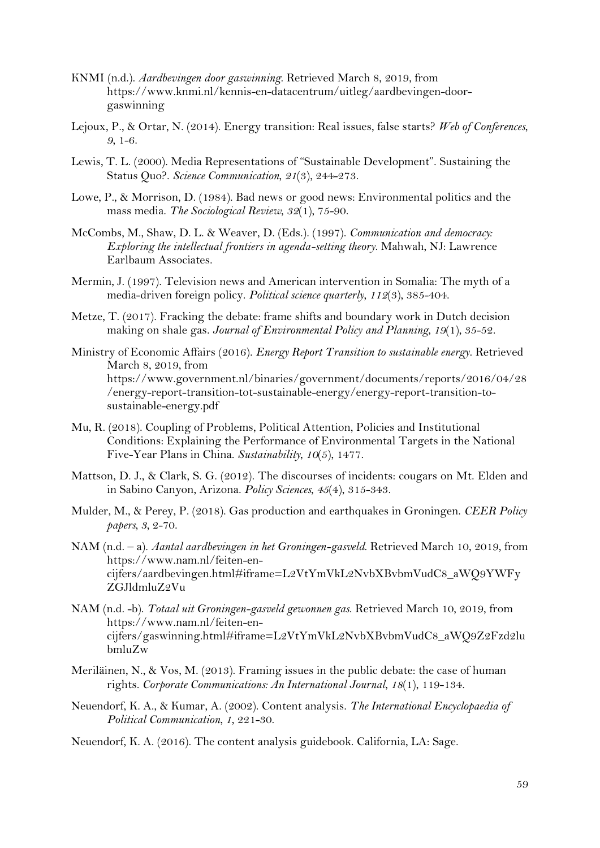- KNMI (n.d.). *Aardbevingen door gaswinning*. Retrieved March 8, 2019, from https://www.knmi.nl/kennis-en-datacentrum/uitleg/aardbevingen-doorgaswinning
- Lejoux, P., & Ortar, N. (2014). Energy transition: Real issues, false starts? *Web of Conferences*, *9*, 1-6.
- Lewis, T. L. (2000). Media Representations of "Sustainable Development". Sustaining the Status Quo?. *Science Communication*, *21*(3), 244-273.
- Lowe, P., & Morrison, D. (1984). Bad news or good news: Environmental politics and the mass media. *The Sociological Review*, *32*(1), 75-90.
- McCombs, M., Shaw, D. L. & Weaver, D. (Eds.). (1997). *Communication and democracy: Exploring the intellectual frontiers in agenda-setting theory*. Mahwah, NJ: Lawrence Earlbaum Associates.
- Mermin, J. (1997). Television news and American intervention in Somalia: The myth of a media-driven foreign policy. *Political science quarterly*, *112*(3), 385-404.
- Metze, T. (2017). Fracking the debate: frame shifts and boundary work in Dutch decision making on shale gas. *Journal of Environmental Policy and Planning*, *19*(1), 35-52.
- Ministry of Economic Affairs (2016). *Energy Report Transition to sustainable energy*. Retrieved March 8, 2019, from https://www.government.nl/binaries/government/documents/reports/2016/04/28 /energy-report-transition-tot-sustainable-energy/energy-report-transition-tosustainable-energy.pdf
- Mu, R. (2018). Coupling of Problems, Political Attention, Policies and Institutional Conditions: Explaining the Performance of Environmental Targets in the National Five-Year Plans in China. *Sustainability*, *10*(5), 1477.
- Mattson, D. J., & Clark, S. G. (2012). The discourses of incidents: cougars on Mt. Elden and in Sabino Canyon, Arizona. *Policy Sciences*, *45*(4), 315-343.
- Mulder, M., & Perey, P. (2018). Gas production and earthquakes in Groningen. *CEER Policy papers, 3*, 2-70.
- NAM (n.d. a). *Aantal aardbevingen in het Groningen-gasveld*. Retrieved March 10, 2019, from https://www.nam.nl/feiten-encijfers/aardbevingen.html#iframe=L2VtYmVkL2NvbXBvbmVudC8\_aWQ9YWFy ZGJldmluZ2Vu
- NAM (n.d. -b). *Totaal uit Groningen-gasveld gewonnen gas*. Retrieved March 10, 2019, from https://www.nam.nl/feiten-encijfers/gaswinning.html#iframe=L2VtYmVkL2NvbXBvbmVudC8\_aWQ9Z2Fzd2lu bmluZw
- Meriläinen, N., & Vos, M. (2013). Framing issues in the public debate: the case of human rights. *Corporate Communications: An International Journal*, *18*(1), 119-134.
- Neuendorf, K. A., & Kumar, A. (2002). Content analysis. *The International Encyclopaedia of Political Communication*, *1*, 221-30.
- Neuendorf, K. A. (2016). The content analysis guidebook. California, LA: Sage.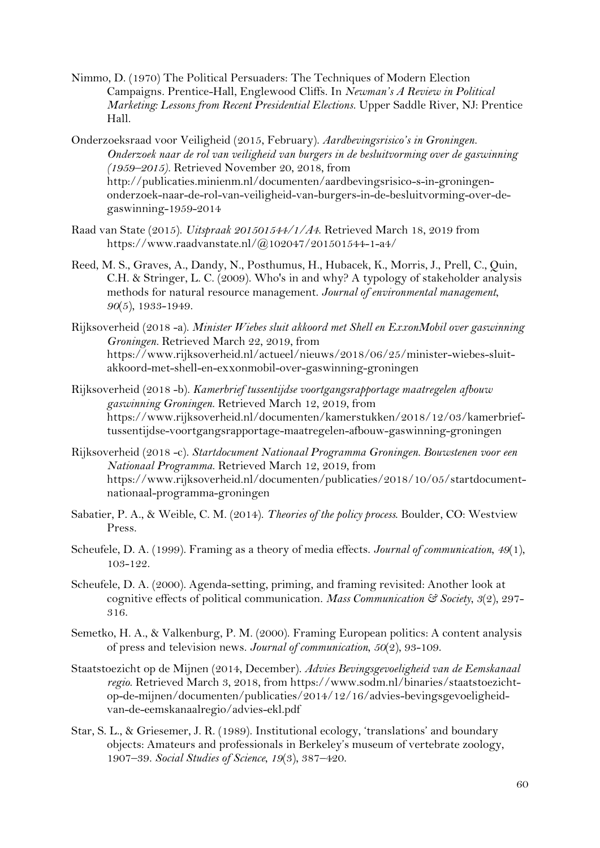- Nimmo, D. (1970) The Political Persuaders: The Techniques of Modern Election Campaigns. Prentice-Hall, Englewood Cliffs. In *Newman's A Review in Political Marketing: Lessons from Recent Presidential Elections*. Upper Saddle River, NJ: Prentice Hall.
- Onderzoeksraad voor Veiligheid (2015, February). *Aardbevingsrisico's in Groningen. Onderzoek naar de rol van veiligheid van burgers in de besluitvorming over de gaswinning (1959–2015).* Retrieved November 20, 2018, from http://publicaties.minienm.nl/documenten/aardbevingsrisico-s-in-groningenonderzoek-naar-de-rol-van-veiligheid-van-burgers-in-de-besluitvorming-over-degaswinning-1959-2014
- Raad van State (2015). *Uitspraak 201501544/1/A4*. Retrieved March 18, 2019 from https://www.raadvanstate.nl/@102047/201501544-1-a4/
- Reed, M. S., Graves, A., Dandy, N., Posthumus, H., Hubacek, K., Morris, J., Prell, C., Quin, C.H. & Stringer, L. C. (2009). Who's in and why? A typology of stakeholder analysis methods for natural resource management. *Journal of environmental management*, *90*(5), 1933-1949.
- Rijksoverheid (2018 -a). *Minister Wiebes sluit akkoord met Shell en ExxonMobil over gaswinning Groningen.* Retrieved March 22, 2019, from https://www.rijksoverheid.nl/actueel/nieuws/2018/06/25/minister-wiebes-sluitakkoord-met-shell-en-exxonmobil-over-gaswinning-groningen
- Rijksoverheid (2018 -b). *Kamerbrief tussentijdse voortgangsrapportage maatregelen afbouw gaswinning Groningen*. Retrieved March 12, 2019, from https://www.rijksoverheid.nl/documenten/kamerstukken/2018/12/03/kamerbrieftussentijdse-voortgangsrapportage-maatregelen-afbouw-gaswinning-groningen
- Rijksoverheid (2018 -c). *Startdocument Nationaal Programma Groningen. Bouwstenen voor een Nationaal Programma*. Retrieved March 12, 2019, from https://www.rijksoverheid.nl/documenten/publicaties/2018/10/05/startdocumentnationaal-programma-groningen
- Sabatier, P. A., & Weible, C. M. (2014). *Theories of the policy process*. Boulder, CO: Westview Press.
- Scheufele, D. A. (1999). Framing as a theory of media effects. *Journal of communication*, *49*(1), 103-122.
- Scheufele, D. A. (2000). Agenda-setting, priming, and framing revisited: Another look at cognitive effects of political communication. *Mass Communication & Society*, *3*(2), 297- 316.
- Semetko, H. A., & Valkenburg, P. M. (2000). Framing European politics: A content analysis of press and television news. *Journal of communication*, *50*(2), 93-109.
- Staatstoezicht op de Mijnen (2014, December). *Advies Bevingsgevoeligheid van de Eemskanaal regio*. Retrieved March 3, 2018, from https://www.sodm.nl/binaries/staatstoezichtop-de-mijnen/documenten/publicaties/2014/12/16/advies-bevingsgevoeligheidvan-de-eemskanaalregio/advies-ekl.pdf
- Star, S. L., & Griesemer, J. R. (1989). Institutional ecology, 'translations' and boundary objects: Amateurs and professionals in Berkeley's museum of vertebrate zoology, 1907–39. *Social Studies of Science*, *19*(3), 387–420.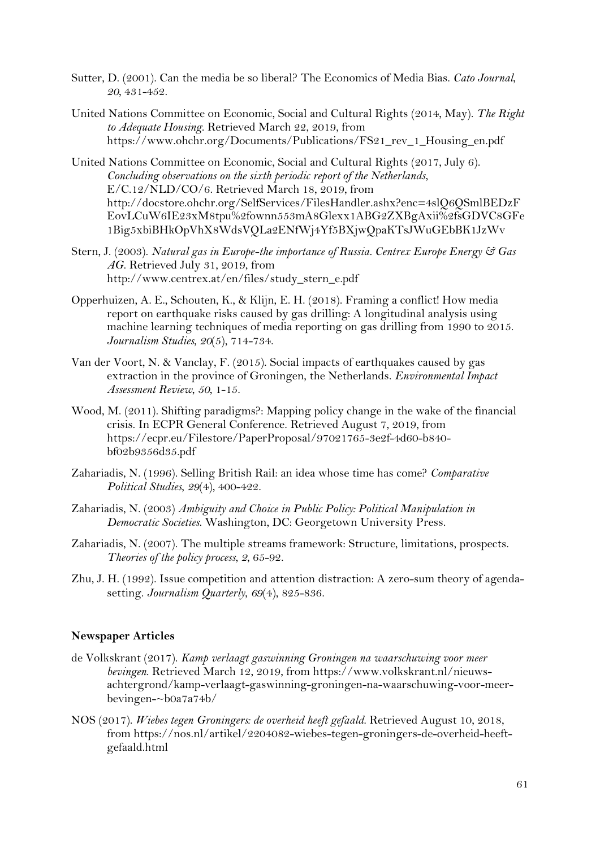- Sutter, D. (2001). Can the media be so liberal? The Economics of Media Bias. *Cato Journal*, *20*, 431-452.
- United Nations Committee on Economic, Social and Cultural Rights (2014, May). *The Right to Adequate Housing*. Retrieved March 22, 2019, from https://www.ohchr.org/Documents/Publications/FS21\_rev\_1\_Housing\_en.pdf
- United Nations Committee on Economic, Social and Cultural Rights (2017, July 6). *Concluding observations on the sixth periodic report of the Netherlands*, E/C.12/NLD/CO/6. Retrieved March 18, 2019, from http://docstore.ohchr.org/SelfServices/FilesHandler.ashx?enc=4slQ6QSmlBEDzF EovLCuW6IE23xM8tpu%2fownn553mA8Glexx1ABG2ZXBgAxii%2fsGDVC8GFe 1Big5xbiBHkOpVhX8WdsVQLa2ENfWj4Yf5BXjwQpaKTsJWuGEbBK1JzWv
- Stern, J. (2003). *Natural gas in Europe-the importance of Russia. Centrex Europe Energy & Gas AG*. Retrieved July 31, 2019, from http://www.centrex.at/en/files/study\_stern\_e.pdf
- Opperhuizen, A. E., Schouten, K., & Klijn, E. H. (2018). Framing a conflict! How media report on earthquake risks caused by gas drilling: A longitudinal analysis using machine learning techniques of media reporting on gas drilling from 1990 to 2015. *Journalism Studies*, *20*(5), 714-734.
- Van der Voort, N. & Vanclay, F. (2015). Social impacts of earthquakes caused by gas extraction in the province of Groningen, the Netherlands. *Environmental Impact Assessment Review*, *50*, 1-15.
- Wood, M. (2011). Shifting paradigms?: Mapping policy change in the wake of the financial crisis. In ECPR General Conference. Retrieved August 7, 2019, from https://ecpr.eu/Filestore/PaperProposal/97021765-3e2f-4d60-b840 bf02b9356d35.pdf
- Zahariadis, N. (1996). Selling British Rail: an idea whose time has come? *Comparative Political Studies*, *29*(4), 400-422.
- Zahariadis, N. (2003) *Ambiguity and Choice in Public Policy: Political Manipulation in Democratic Societies*. Washington, DC: Georgetown University Press.
- Zahariadis, N. (2007). The multiple streams framework: Structure, limitations, prospects. *Theories of the policy process*, *2*, 65-92.
- Zhu, J. H. (1992). Issue competition and attention distraction: A zero-sum theory of agendasetting. *Journalism Quarterly*, *69*(4), 825-836.

#### **Newspaper Articles**

- de Volkskrant (2017). *Kamp verlaagt gaswinning Groningen na waarschuwing voor meer bevingen*. Retrieved March 12, 2019, from https://www.volkskrant.nl/nieuwsachtergrond/kamp-verlaagt-gaswinning-groningen-na-waarschuwing-voor-meerbevingen-~b0a7a74b/
- NOS (2017). *Wiebes tegen Groningers: de overheid heeft gefaald*. Retrieved August 10, 2018, from https://nos.nl/artikel/2204082-wiebes-tegen-groningers-de-overheid-heeftgefaald.html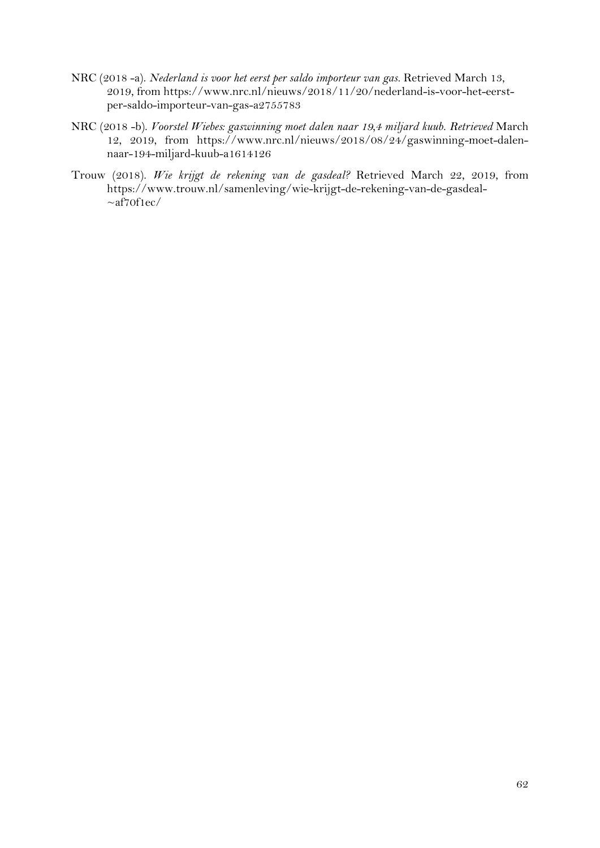- NRC (2018 -a). *Nederland is voor het eerst per saldo importeur van gas.* Retrieved March 13, 2019, from https://www.nrc.nl/nieuws/2018/11/20/nederland-is-voor-het-eerstper-saldo-importeur-van-gas-a2755783
- NRC (2018 -b). *Voorstel Wiebes: gaswinning moet dalen naar 19,4 miljard kuub. Retrieved* March 12, 2019, from https://www.nrc.nl/nieuws/2018/08/24/gaswinning-moet-dalennaar-194-miljard-kuub-a1614126
- Trouw (2018). *Wie krijgt de rekening van de gasdeal?* Retrieved March 22, 2019, from https://www.trouw.nl/samenleving/wie-krijgt-de-rekening-van-de-gasdeal-  $\sim$ af70f1ec/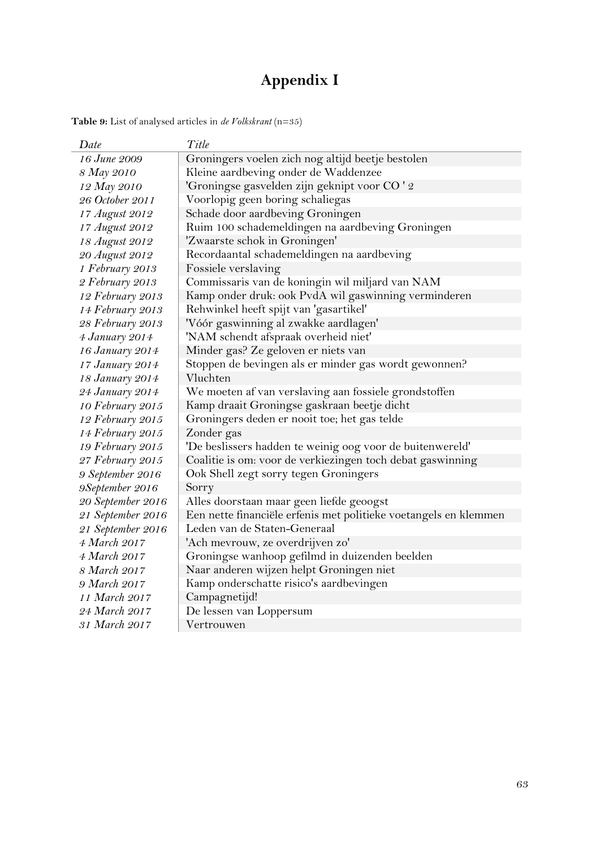# **Appendix I**

<span id="page-63-1"></span><span id="page-63-0"></span>**Table 9:** List of analysed articles in *de Volkskrant* (n=35)

| Date              | Title                                                            |
|-------------------|------------------------------------------------------------------|
| 16 June 2009      | Groningers voelen zich nog altijd beetje bestolen                |
| 8 May 2010        | Kleine aardbeving onder de Waddenzee                             |
| 12 May 2010       | 'Groningse gasvelden zijn geknipt voor CO ' 2                    |
| 26 October 2011   | Voorlopig geen boring schaliegas                                 |
| 17 August 2012    | Schade door aardbeving Groningen                                 |
| 17 August 2012    | Ruim 100 schademeldingen na aardbeving Groningen                 |
| 18 August 2012    | 'Zwaarste schok in Groningen'                                    |
| 20 August 2012    | Recordaantal schademeldingen na aardbeving                       |
| 1 February 2013   | Fossiele verslaving                                              |
| 2 February 2013   | Commissaris van de koningin wil miljard van NAM                  |
| 12 February 2013  | Kamp onder druk: ook PvdA wil gaswinning verminderen             |
| 14 February 2013  | Rehwinkel heeft spijt van 'gasartikel'                           |
| 28 February 2013  | 'Vóór gaswinning al zwakke aardlagen'                            |
| 4 January 2014    | 'NAM schendt afspraak overheid niet'                             |
| 16 January 2014   | Minder gas? Ze geloven er niets van                              |
| 17 January 2014   | Stoppen de bevingen als er minder gas wordt gewonnen?            |
| 18 January 2014   | Vluchten                                                         |
| 24 January 2014   | We moeten af van verslaving aan fossiele grondstoffen            |
| 10 February 2015  | Kamp draait Groningse gaskraan beetje dicht                      |
| 12 February 2015  | Groningers deden er nooit toe; het gas telde                     |
| 14 February 2015  | Zonder gas                                                       |
| 19 February 2015  | 'De beslissers hadden te weinig oog voor de buitenwereld'        |
| 27 February 2015  | Coalitie is om: voor de verkiezingen toch debat gaswinning       |
| 9 September 2016  | Ook Shell zegt sorry tegen Groningers                            |
| 9September 2016   | Sorry                                                            |
| 20 September 2016 | Alles doorstaan maar geen liefde geoogst                         |
| 21 September 2016 | Een nette financiële erfenis met politieke voetangels en klemmen |
| 21 September 2016 | Leden van de Staten-Generaal                                     |
| 4 March 2017      | 'Ach mevrouw, ze overdrijven zo'                                 |
| 4 March 2017      | Groningse wanhoop gefilmd in duizenden beelden                   |
| 8 March 2017      | Naar anderen wijzen helpt Groningen niet                         |
| 9 March 2017      | Kamp onderschatte risico's aardbevingen                          |
| 11 March 2017     | Campagnetijd!                                                    |
| 24 March 2017     | De lessen van Loppersum                                          |
| 31 March 2017     | Vertrouwen                                                       |